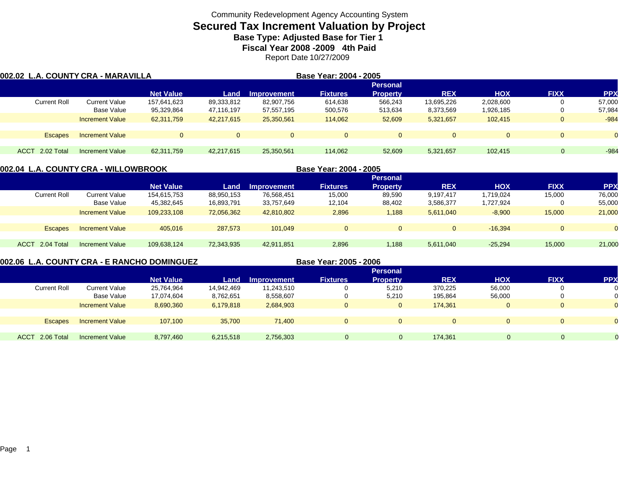# **Secured Tax Increment Valuation by Project**

**Base Type: Adjusted Base for Tier 1** 

**Fiscal Year 2008 -2009 4th Paid**

Report Date 10/27/2009

| 002.02 L.A. COUNTY CRA - MARAVILLA |                        |                  | Base Year: 2004 - 2005 |             |                 |                 |            |            |                |                |
|------------------------------------|------------------------|------------------|------------------------|-------------|-----------------|-----------------|------------|------------|----------------|----------------|
|                                    |                        |                  |                        |             |                 | <b>Personal</b> |            |            |                |                |
|                                    |                        | <b>Net Value</b> | Land                   | Improvement | <b>Fixtures</b> | <b>Property</b> | <b>REX</b> | <b>HOX</b> | <b>FIXX</b>    | <b>PPX</b>     |
| <b>Current Roll</b>                | <b>Current Value</b>   | 157.641.623      | 89,333,812             | 82,907,756  | 614.638         | 566.243         | 13,695,226 | 2,028,600  |                | 57.000         |
|                                    | Base Value             | 95,329,864       | 47,116,197             | 57,557,195  | 500,576         | 513,634         | 8,373,569  | 1,926,185  |                | 57,984         |
|                                    | <b>Increment Value</b> | 62,311,759       | 42,217,615             | 25,350,561  | 114,062         | 52,609          | 5,321,657  | 102.415    |                | $-984$         |
|                                    |                        |                  |                        |             |                 |                 |            |            |                |                |
| <b>Escapes</b>                     | <b>Increment Value</b> | $\Omega$         | $\mathbf{0}$           | $\Omega$    | $\Omega$        | $\Omega$        |            |            |                | $\overline{0}$ |
|                                    |                        |                  |                        |             |                 |                 |            |            |                |                |
| 2.02 Total<br><b>ACCT</b>          | <b>Increment Value</b> | 62,311,759       | 42.217.615             | 25,350,561  | 114.062         | 52,609          | 5,321,657  | 102.415    | $\overline{0}$ | $-984$         |

|                           | 002.04  L.A. COUNTY CRA - WILLOWBROOK |                  |            |                    | Base Year: 2004 - 2005 |                 |            |            |              |            |
|---------------------------|---------------------------------------|------------------|------------|--------------------|------------------------|-----------------|------------|------------|--------------|------------|
|                           |                                       |                  |            |                    |                        | <b>Personal</b> |            |            |              |            |
|                           |                                       | <b>Net Value</b> | Land       | <b>Improvement</b> | <b>Fixtures</b>        | <b>Property</b> | <b>REX</b> | <b>HOX</b> | <b>FIXX</b>  | <b>PPX</b> |
| <b>Current Roll</b>       | <b>Current Value</b>                  | 154,615,753      | 88,950,153 | 76,568,451         | 15,000                 | 89,590          | 9,197,417  | 1.719.024  | 15,000       | 76,000     |
|                           | Base Value                            | 45,382,645       | 16,893,791 | 33,757,649         | 12,104                 | 88,402          | 3,586,377  | 1,727,924  |              | 55,000     |
|                           | <b>Increment Value</b>                | 109.233.108      | 72,056,362 | 42,810,802         | 2,896                  | 1,188           | 5,611,040  | $-8,900$   | 15,000       | 21,000     |
|                           |                                       |                  |            |                    |                        |                 |            |            |              |            |
| <b>Escapes</b>            | <b>Increment Value</b>                | 405.016          | 287,573    | 101.049            | $\Omega$               | $\mathbf{0}$    | $\Omega$   | $-16.394$  | $\mathbf{0}$ | $\Omega$   |
|                           |                                       |                  |            |                    |                        |                 |            |            |              |            |
| 2.04 Total<br><b>ACCT</b> | Increment Value                       | 109.638.124      | 72,343,935 | 42,911,851         | 2,896                  | 1,188           | 5,611,040  | $-25.294$  | 15,000       | 21,000     |
|                           |                                       |                  |            |                    |                        |                 |            |            |              |            |

**002.06 L.A. COUNTY CRA - E RANCHO DOMINGUEZ**

**Base Year: 2005 - 2006**

|                     |                        |                  |            |                    |                 | <b>Personal</b> |            |            |             |                |
|---------------------|------------------------|------------------|------------|--------------------|-----------------|-----------------|------------|------------|-------------|----------------|
|                     |                        | <b>Net Value</b> | Land       | <b>Improvement</b> | <b>Fixtures</b> | <b>Property</b> | <b>REX</b> | <b>HOX</b> | <b>FIXX</b> | <b>PPX</b>     |
| <b>Current Roll</b> | Current Value          | 25,764,964       | 14,942,469 | 11,243,510         | 0               | 5,210           | 370,225    | 56,000     |             | $\overline{0}$ |
|                     | <b>Base Value</b>      | 17,074,604       | 8,762,651  | 8,558,607          | 0               | 5,210           | 195,864    | 56,000     |             | $\mathbf{0}$   |
|                     | <b>Increment Value</b> | 8,690,360        | 6,179,818  | 2,684,903          | $\mathbf 0$     | $\mathbf{0}$    | 174,361    |            |             | $\overline{O}$ |
|                     |                        |                  |            |                    |                 |                 |            |            |             |                |
| <b>Escapes</b>      | <b>Increment Value</b> | 107,100          | 35,700     | 71.400             | $\Omega$        | $\Omega$        |            |            |             | $\overline{0}$ |
|                     |                        |                  |            |                    |                 |                 |            |            |             |                |
| ACCT 2.06 Total     | <b>Increment Value</b> | 8,797,460        | 6,215,518  | 2,756,303          |                 | 0               | 174,361    | 0          |             | 0.             |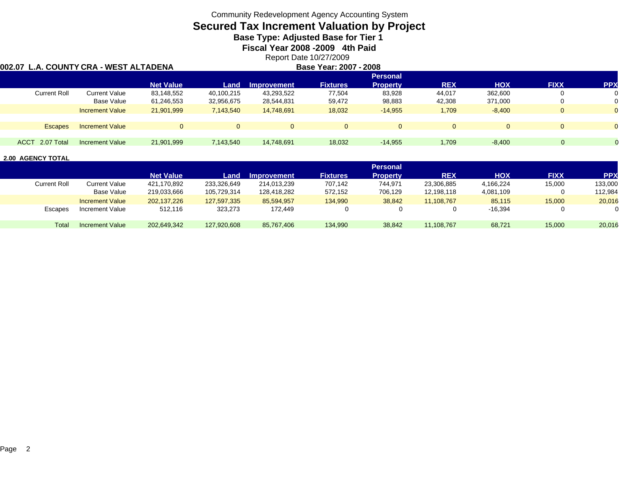### **Secured Tax Increment Valuation by Project**

**Base Type: Adjusted Base for Tier 1** 

**Fiscal Year 2008 -2009 4th Paid**

Report Date 10/27/2009 **Base Year: 2007 - 2008**

### **002.07 L.A. COUNTY CRA - WEST ALTADENA**

|                 |                        |                  |                |                    |                 | <b>Personal</b> |                |            |             |            |
|-----------------|------------------------|------------------|----------------|--------------------|-----------------|-----------------|----------------|------------|-------------|------------|
|                 |                        | <b>Net Value</b> | Land           | <b>Improvement</b> | <b>Fixtures</b> | <b>Property</b> | <b>REX</b>     | <b>HOX</b> | <b>FIXX</b> | <b>PPX</b> |
| Current Roll    | <b>Current Value</b>   | 83,148,552       | 40,100,215     | 43,293,522         | 77,504          | 83,928          | 44,017         | 362,600    |             |            |
|                 | Base Value             | 61,246,553       | 32,956,675     | 28,544,831         | 59,472          | 98,883          | 42,308         | 371,000    |             |            |
|                 | <b>Increment Value</b> | 21,901,999       | 7,143,540      | 14,748,691         | 18,032          | $-14,955$       | 1,709          | $-8,400$   |             |            |
|                 |                        |                  |                |                    |                 |                 |                |            |             |            |
| <b>Escapes</b>  | <b>Increment Value</b> |                  | $\overline{0}$ | $\Omega$           | $\Omega$        |                 | $\overline{0}$ |            |             |            |
|                 |                        |                  |                |                    |                 |                 |                |            |             |            |
| ACCT 2.07 Total | <b>Increment Value</b> | 21,901,999       | 7,143,540      | 14,748,691         | 18,032          | $-14.955$       | 1,709          | $-8,400$   |             |            |

|                     |                        |                  |             |             |                 | <b>Personal</b> |            |            |             |            |
|---------------------|------------------------|------------------|-------------|-------------|-----------------|-----------------|------------|------------|-------------|------------|
|                     |                        | <b>Net Value</b> | Land        | Improvement | <b>Fixtures</b> | <b>Property</b> | <b>REX</b> | <b>HOX</b> | <b>FIXX</b> | <b>PPX</b> |
| <b>Current Roll</b> | <b>Current Value</b>   | 421,170,892      | 233,326,649 | 214.013.239 | 707,142         | 744.971         | 23,306,885 | 4,166,224  | 15,000      | 133,000    |
|                     | Base Value             | 219,033,666      | 105.729.314 | 128.418.282 | 572,152         | 706,129         | 12.198.118 | 4,081,109  |             | 112,984    |
|                     | <b>Increment Value</b> | 202.137.226      | 127,597,335 | 85.594.957  | 134,990         | 38,842          | 11.108.767 | 85,115     | 15,000      | 20,016     |
| <b>Escapes</b>      | Increment Value        | 512,116          | 323,273     | 172,449     |                 |                 |            | $-16,394$  | $\Omega$    | 0          |
|                     |                        |                  |             |             |                 |                 |            |            |             |            |
| Total               | <b>Increment Value</b> | 202.649.342      | 127,920,608 | 85,767,406  | 134,990         | 38,842          | 11,108,767 | 68,721     | 15,000      | 20,016     |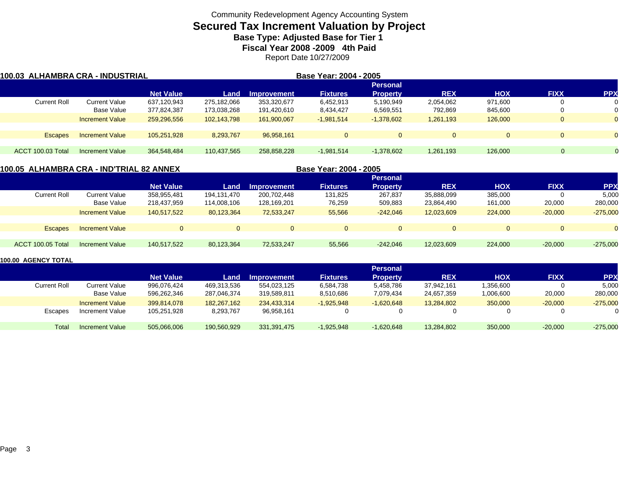# **Secured Tax Increment Valuation by Project**

**Base Type: Adjusted Base for Tier 1** 

**Fiscal Year 2008 -2009 4th Paid**

Report Date 10/27/2009

| 100.03  ALHAMBRA CRA - INDUSTRIAL |                        |                  |             | Base Year: 2004 - 2005 |                 |                 |            |            |             |            |
|-----------------------------------|------------------------|------------------|-------------|------------------------|-----------------|-----------------|------------|------------|-------------|------------|
|                                   |                        |                  |             |                        |                 | <b>Personal</b> |            |            |             |            |
|                                   |                        | <b>Net Value</b> | Land        | <b>Improvement</b>     | <b>Fixtures</b> | <b>Property</b> | <b>REX</b> | <b>HOX</b> | <b>FIXX</b> | <b>PPX</b> |
| <b>Current Roll</b>               | Current Value          | 637,120,943      | 275,182,066 | 353,320,677            | 6,452,913       | 5,190,949       | 2,054,062  | 971,600    |             |            |
|                                   | Base Value             | 377,824,387      | 173,038,268 | 191,420,610            | 8,434,427       | 6,569,551       | 792,869    | 845,600    |             |            |
|                                   | <b>Increment Value</b> | 259,296,556      | 102,143,798 | 161,900,067            | $-1,981,514$    | $-1,378,602$    | 1,261,193  | 126,000    |             | $\Omega$   |
|                                   |                        |                  |             |                        |                 |                 |            |            |             |            |
| <b>Escapes</b>                    | <b>Increment Value</b> | 105.251.928      | 8,293,767   | 96.958.161             | 0               |                 | $\Omega$   |            | $\Omega$    | $\Omega$   |
|                                   |                        |                  |             |                        |                 |                 |            |            |             |            |
| <b>ACCT 100.03 Total</b>          | <b>Increment Value</b> | 364,548,484      | 110,437,565 | 258.858.228            | $-1,981,514$    | $-1,378,602$    | 1,261,193  | 126.000    | 0           |            |

### **100.05 ALHAMBRA CRA - IND'TRIAL 82 ANNEX**

| 0.05 ALHAMBRA CRA - IND'TRIAL 82 ANNEX |                        |                  |             | Base Year: 2004 - 2005 |                 |                 |            |            |             |            |
|----------------------------------------|------------------------|------------------|-------------|------------------------|-----------------|-----------------|------------|------------|-------------|------------|
|                                        |                        |                  |             |                        |                 | <b>Personal</b> |            |            |             |            |
|                                        |                        | <b>Net Value</b> | Land        | <b>Improvement</b>     | <b>Fixtures</b> | <b>Property</b> | <b>REX</b> | <b>HOX</b> | <b>FIXX</b> | <b>PPX</b> |
| <b>Current Roll</b>                    | Current Value          | 358,955,481      | 194.131.470 | 200,702,448            | 131,825         | 267,837         | 35,888,099 | 385,000    |             | 5,000      |
|                                        | Base Value             | 218,437,959      | 114,008,106 | 128,169,201            | 76,259          | 509,883         | 23,864,490 | 161,000    | 20,000      | 280,000    |
|                                        | <b>Increment Value</b> | 140.517.522      | 80,123,364  | 72.533.247             | 55,566          | $-242.046$      | 12,023,609 | 224,000    | $-20,000$   | $-275,000$ |
| <b>Escapes</b>                         | <b>Increment Value</b> |                  |             | $\mathbf{0}$           |                 |                 | $\Omega$   | $\Omega$   |             | $\Omega$   |
| ACCT 100.05 Total                      | Increment Value        | 140.517.522      | 80,123,364  | 72.533.247             | 55.566          | $-242.046$      | 12,023,609 | 224,000    | $-20,000$   | $-275,000$ |

|                     |                        |                  |             |             |                 | <b>Personal</b> |            |            |             |            |
|---------------------|------------------------|------------------|-------------|-------------|-----------------|-----------------|------------|------------|-------------|------------|
|                     |                        | <b>Net Value</b> | Land        | Improvement | <b>Fixtures</b> | <b>Property</b> | <b>REX</b> | <b>XOH</b> | <b>FIXX</b> | <b>PPX</b> |
| <b>Current Roll</b> | Current Value          | 996,076,424      | 469,313,536 | 554,023,125 | 6,584,738       | 5,458,786       | 37,942,161 | .356,600   |             | 5,000      |
|                     | Base Value             | 596.262.346      | 287,046,374 | 319,589,811 | 8,510,686       | 7,079,434       | 24,657,359 | 006,600.   | 20,000      | 280,000    |
|                     | <b>Increment Value</b> | 399.814.078      | 182.267.162 | 234.433.314 | $-1,925,948$    | $-1,620,648$    | 13,284,802 | 350,000    | $-20,000$   | $-275,000$ |
| Escapes             | <b>Increment Value</b> | 105.251.928      | 8,293,767   | 96,958,161  |                 |                 |            | 0          |             |            |
| Total               | <b>Increment Value</b> | 505,066,006      | 190,560,929 | 331,391,475 | $-1,925,948$    | $-1,620,648$    | 13,284,802 | 350,000    | $-20,000$   | $-275,000$ |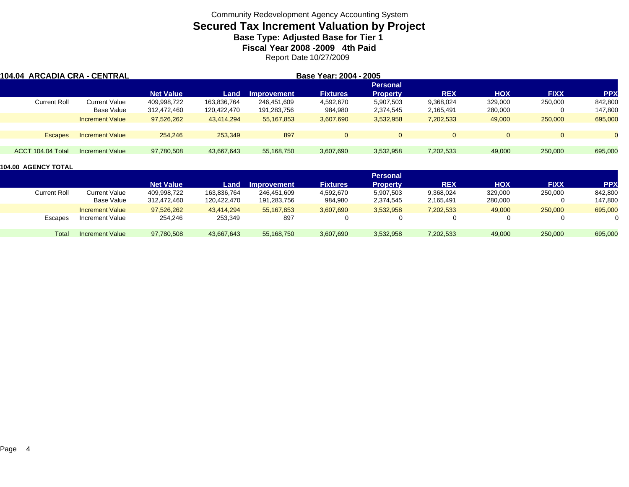# **Secured Tax Increment Valuation by Project**

**Base Type: Adjusted Base for Tier 1** 

**Fiscal Year 2008 -2009 4th Paid**

Report Date 10/27/2009

| 104.04 ARCADIA CRA - CENTRAL |                  |             |             |                 |                 |                        |            |             |            |
|------------------------------|------------------|-------------|-------------|-----------------|-----------------|------------------------|------------|-------------|------------|
|                              |                  |             |             |                 | <b>Personal</b> |                        |            |             |            |
|                              | <b>Net Value</b> | Land        | Improvement | <b>Fixtures</b> | <b>Property</b> | <b>REX</b>             | <b>HOX</b> | <b>FIXX</b> | <b>PPX</b> |
| Current Value                | 409,998,722      | 163,836,764 | 246.451.609 | 4,592,670       | 5,907,503       | 9,368,024              | 329,000    | 250,000     | 842,800    |
| Base Value                   | 312,472,460      | 120,422,470 | 191,283,756 | 984,980         | 2,374,545       | 2,165,491              | 280,000    |             | 147,800    |
| <b>Increment Value</b>       | 97,526,262       | 43.414.294  | 55,167,853  | 3,607,690       | 3,532,958       | 7,202,533              | 49,000     | 250,000     | 695,000    |
| <b>Increment Value</b>       | 254,246          | 253.349     | 897         |                 | $\Omega$        | $\Omega$               |            | $\Omega$    |            |
| Increment Value              | 97,780,508       | 43,667,643  | 55,168,750  | 3,607,690       | 3,532,958       | 7,202,533              | 49,000     | 250,000     | 695,000    |
|                              |                  |             |             |                 |                 | Base Year: 2004 - 2005 |            |             |            |

|                     |                        |                  |             |                    |                 | Personal        |            |            |             |            |
|---------------------|------------------------|------------------|-------------|--------------------|-----------------|-----------------|------------|------------|-------------|------------|
|                     |                        | <b>Net Value</b> | Land        | <b>Improvement</b> | <b>Fixtures</b> | <b>Property</b> | <b>REX</b> | <b>HOX</b> | <b>FIXX</b> | <b>PPX</b> |
| <b>Current Roll</b> | <b>Current Value</b>   | 409,998,722      | 163,836,764 | 246,451,609        | 4,592,670       | 5,907,503       | 9,368,024  | 329,000    | 250,000     | 842,800    |
|                     | Base Value             | 312,472,460      | 120,422,470 | 191,283,756        | 984,980         | 2,374,545       | 2,165,491  | 280,000    |             | 147,800    |
|                     | <b>Increment Value</b> | 97,526,262       | 43,414,294  | 55, 167, 853       | 3,607,690       | 3,532,958       | 7,202,533  | 49,000     | 250,000     | 695,000    |
| Escapes             | Increment Value        | 254,246          | 253,349     | 897                |                 | 0               |            |            |             |            |
| Total               | <b>Increment Value</b> | 97,780,508       | 43,667,643  | 55,168,750         | 3,607,690       | 3,532,958       | 7,202,533  | 49,000     | 250,000     | 695,000    |
|                     |                        |                  |             |                    |                 |                 |            |            |             |            |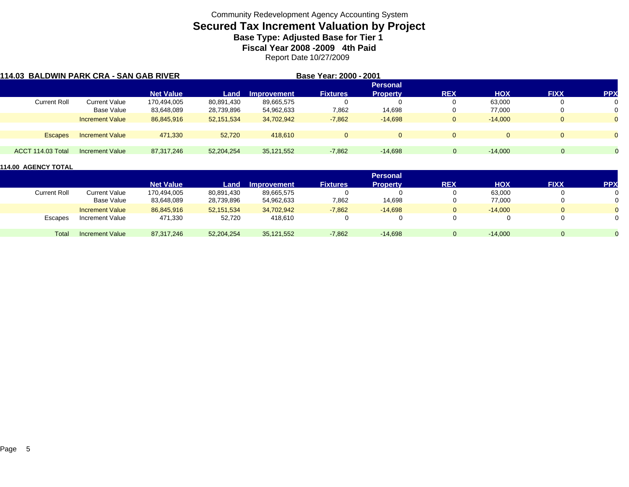# **Secured Tax Increment Valuation by Project**

**Base Type: Adjusted Base for Tier 1** 

**Fiscal Year 2008 -2009 4th Paid**

Report Date 10/27/2009

| 114.03 BALDWIN PARK CRA - SAN GAB RIVER |                        |                  |            |                    | Base Year: 2000 - 2001 |                 |             |            |             |            |
|-----------------------------------------|------------------------|------------------|------------|--------------------|------------------------|-----------------|-------------|------------|-------------|------------|
|                                         |                        |                  |            |                    |                        | <b>Personal</b> |             |            |             |            |
|                                         |                        | <b>Net Value</b> | Land       | <b>Improvement</b> | <b>Fixtures</b>        | <b>Property</b> | <b>REX</b>  | <b>HOX</b> | <b>FIXX</b> | <b>PPX</b> |
| Current Roll                            | <b>Current Value</b>   | 170,494,005      | 80,891,430 | 89,665,575         |                        |                 | 0           | 63,000     |             |            |
|                                         | Base Value             | 83,648,089       | 28,739,896 | 54,962,633         | 7,862                  | 14,698          | U           | 77,000     |             |            |
|                                         | <b>Increment Value</b> | 86,845,916       | 52,151,534 | 34,702,942         | $-7,862$               | $-14,698$       | $\mathbf 0$ | $-14.000$  |             |            |
| <b>Escapes</b>                          | <b>Increment Value</b> | 471.330          | 52,720     | 418,610            | $\Omega$               | $\overline{0}$  | $\Omega$    |            |             | $\Omega$   |
|                                         |                        |                  |            |                    |                        |                 |             |            |             |            |
| ACCT 114.03 Total                       | <b>Increment Value</b> | 87,317,246       | 52,204,254 | 35,121,552         | $-7,862$               | $-14.698$       | 0           | $-14.000$  | $\Omega$    |            |

|              |                        |                  |            |                    |                 | <b>Personal</b> |            |            |             |                |
|--------------|------------------------|------------------|------------|--------------------|-----------------|-----------------|------------|------------|-------------|----------------|
|              |                        | <b>Net Value</b> | Land       | <b>Improvement</b> | <b>Fixtures</b> | <b>Property</b> | <b>REX</b> | <b>HOX</b> | <b>FIXX</b> | <b>PPX</b>     |
| Current Roll | <b>Current Value</b>   | 170,494,005      | 80,891,430 | 89,665,575         |                 | 0               |            | 63,000     | 0           | 0              |
|              | Base Value             | 83,648,089       | 28,739,896 | 54,962,633         | 7,862           | 14,698          |            | 77,000     | 0           | 0              |
|              | <b>Increment Value</b> | 86,845,916       | 52,151,534 | 34,702,942         | $-7,862$        | $-14,698$       | $\Omega$   | $-14.000$  | $\Omega$    | $\overline{0}$ |
| Escapes      | Increment Value        | 471,330          | 52,720     | 418.610            |                 | 0               |            |            | 0           | 0              |
| Total        | <b>Increment Value</b> | 87,317,246       | 52,204,254 | 35,121,552         | $-7,862$        | $-14,698$       |            | $-14.000$  | 0           |                |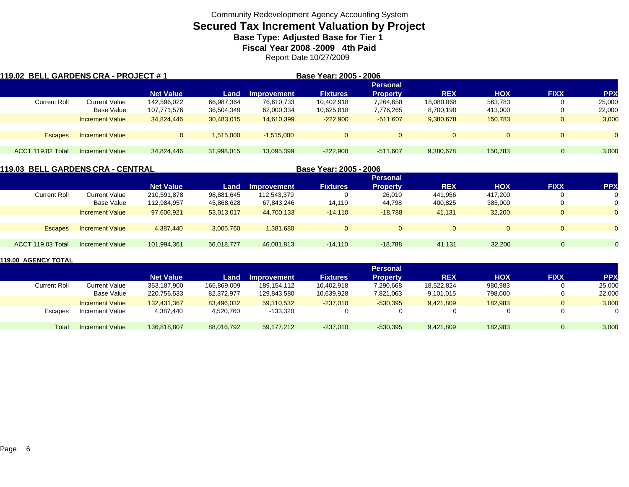# **Secured Tax Increment Valuation by Project**

**Base Type: Adjusted Base for Tier 1** 

**Fiscal Year 2008 -2009 4th Paid**

Report Date 10/27/2009

| 119.02  BELL GARDENS CRA - PROJECT # 1 |                        |                  |            |              | Base Year: 2005 - 2006 |                 |            |            |             |            |
|----------------------------------------|------------------------|------------------|------------|--------------|------------------------|-----------------|------------|------------|-------------|------------|
|                                        |                        |                  |            |              |                        | <b>Personal</b> |            |            |             |            |
|                                        |                        | <b>Net Value</b> | Land       | Improvement  | <b>Fixtures</b>        | <b>Property</b> | <b>REX</b> | <b>HOX</b> | <b>FIXX</b> | <b>PPX</b> |
| <b>Current Roll</b>                    | Current Value          | 142,596,022      | 66,987,364 | 76,610,733   | 10,402,918             | 7,264,658       | 18,080,868 | 563,783    | 0           | 25,000     |
|                                        | Base Value             | 107,771,576      | 36,504,349 | 62,000,334   | 10,625,818             | 7,776,265       | 8,700,190  | 413,000    | 0           | 22,000     |
|                                        | <b>Increment Value</b> | 34.824.446       | 30,483,015 | 14.610.399   | $-222.900$             | $-511.607$      | 9,380,678  | 150.783    | $\mathbf 0$ | 3,000      |
| <b>Escapes</b>                         | <b>Increment Value</b> |                  | 1,515,000  | $-1.515.000$ | $\Omega$               | $\Omega$        | $\Omega$   | $\Omega$   | $\Omega$    | $\Omega$   |
|                                        |                        |                  |            |              |                        |                 |            |            |             |            |
| ACCT 119.02 Total                      | <b>Increment Value</b> | 34.824.446       | 31,998,015 | 13,095,399   | $-222.900$             | $-511.607$      | 9,380,678  | 150.783    |             | 3,000      |

| 119.03  BELL GARDENS CRA - CENTRAL |                        |                  |            |             | Base Year: 2005 - 2006 |                 |            |            |              |            |
|------------------------------------|------------------------|------------------|------------|-------------|------------------------|-----------------|------------|------------|--------------|------------|
|                                    |                        |                  |            |             |                        | <b>Personal</b> |            |            |              |            |
|                                    |                        | <b>Net Value</b> | Land       | Improvement | <b>Fixtures</b>        | <b>Property</b> | <b>REX</b> | <b>HOX</b> | <b>FIXX</b>  | <b>PPX</b> |
| <b>Current Roll</b>                | <b>Current Value</b>   | 210.591.878      | 98.881.645 | 112,543,379 |                        | 26,010          | 441.956    | 417.200    | 0            |            |
|                                    | Base Value             | 112,984,957      | 45,868,628 | 67,843,246  | 14,110                 | 44,798          | 400,825    | 385,000    | 0            | 0          |
|                                    | <b>Increment Value</b> | 97,606,921       | 53,013,017 | 44,700,133  | $-14.110$              | $-18,788$       | 41,131     | 32,200     | $\mathbf{0}$ | $\Omega$   |
|                                    |                        |                  |            |             |                        |                 |            |            |              |            |
| <b>Escapes</b>                     | <b>Increment Value</b> | 4,387,440        | 3,005,760  | 1,381,680   | $\Omega$               | $\Omega$        |            | $\Omega$   | $\Omega$     |            |
|                                    |                        |                  |            |             |                        |                 |            |            |              |            |
| ACCT 119.03 Total                  | Increment Value        | 101,994,361      | 56,018,777 | 46,081,813  | $-14.110$              | $-18.788$       | 41,131     | 32,200     |              |            |
|                                    |                        |                  |            |             |                        |                 |            |            |              |            |

|                     |                        |                  |             |                    |                 | <b>Personal</b> |            |            |              |            |
|---------------------|------------------------|------------------|-------------|--------------------|-----------------|-----------------|------------|------------|--------------|------------|
|                     |                        | <b>Net Value</b> | Land        | <b>Improvement</b> | <b>Fixtures</b> | <b>Property</b> | <b>REX</b> | <b>HOX</b> | <b>FIXX</b>  | <b>PPX</b> |
| <b>Current Roll</b> | Current Value          | 353,187,900      | 165,869,009 | 189,154,112        | 10,402,918      | 7,290,668       | 18,522,824 | 980,983    | $\mathbf{0}$ | 25,000     |
|                     | Base Value             | 220,756,533      | 82,372,977  | 129,843,580        | 10,639,928      | 7,821,063       | 9,101,015  | 798,000    | $\mathbf{0}$ | 22,000     |
|                     | <b>Increment Value</b> | 132.431.367      | 83.496.032  | 59.310.532         | $-237.010$      | $-530.395$      | 9.421.809  | 182.983    | $\mathbf{0}$ | 3,000      |
| Escapes             | Increment Value        | 4,387,440        | 4,520,760   | $-133,320$         |                 |                 |            |            | 0            | 0          |
| Total               | Increment Value        | 136.818.807      | 88,016,792  | 59,177,212         | $-237.010$      | $-530.395$      | 9,421,809  | 182.983    | $\Omega$     | 3,000      |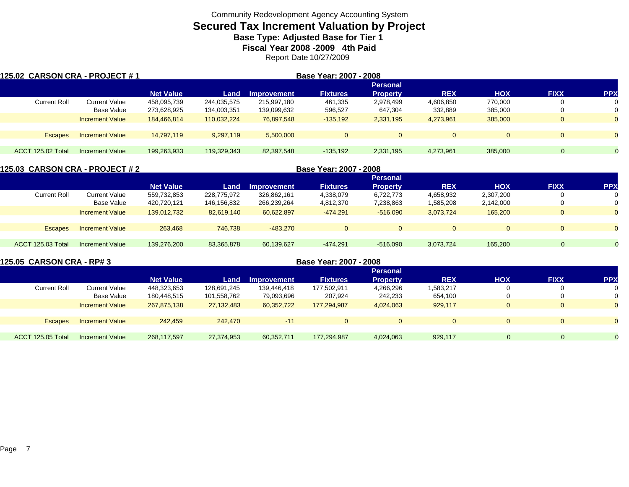# **Secured Tax Increment Valuation by Project**

**Base Type: Adjusted Base for Tier 1** 

**Fiscal Year 2008 -2009 4th Paid**

Report Date 10/27/2009

| <b>125.02 CARSON CRA - PROJECT # 1</b> |                        |                  |             |                    | Base Year: 2007 - 2008 |                 |            |            |             |                |
|----------------------------------------|------------------------|------------------|-------------|--------------------|------------------------|-----------------|------------|------------|-------------|----------------|
|                                        |                        |                  |             |                    |                        | <b>Personal</b> |            |            |             |                |
|                                        |                        | <b>Net Value</b> | Land        | <b>Improvement</b> | <b>Fixtures</b>        | <b>Property</b> | <b>REX</b> | <b>HOX</b> | <b>FIXX</b> | <b>PPX</b>     |
| <b>Current Roll</b>                    | <b>Current Value</b>   | 458,095,739      | 244,035,575 | 215.997.180        | 461,335                | 2,978,499       | 4,606,850  | 770.000    |             |                |
|                                        | Base Value             | 273,628,925      | 134,003,351 | 139,099,632        | 596,527                | 647,304         | 332,889    | 385,000    |             |                |
|                                        | <b>Increment Value</b> | 184,466,814      | 110,032,224 | 76,897,548         | $-135,192$             | 2,331,195       | 4,273,961  | 385,000    |             |                |
|                                        |                        |                  |             |                    |                        |                 |            |            |             |                |
| <b>Escapes</b>                         | <b>Increment Value</b> | 14.797.119       | 9,297,119   | 5.500.000          | $\mathbf{0}$           |                 | $\Omega$   |            | $\Omega$    | $\overline{0}$ |
|                                        |                        |                  |             |                    |                        |                 |            |            |             |                |
| ACCT 125.02 Total                      | Increment Value        | 199,263,933      | 119,329,343 | 82,397,548         | $-135,192$             | 2,331,195       | 4,273,961  | 385,000    | $\Omega$    |                |

|                          |                        |                  |             |             | Base Year: 2007 - 2008 |                 |            |            |              |            |
|--------------------------|------------------------|------------------|-------------|-------------|------------------------|-----------------|------------|------------|--------------|------------|
|                          |                        |                  |             |             |                        | <b>Personal</b> |            |            |              |            |
|                          |                        | <b>Net Value</b> | Land        | Improvement | <b>Fixtures</b>        | <b>Property</b> | <b>REX</b> | <b>HOX</b> | <b>FIXX</b>  | <b>PPX</b> |
| <b>Current Roll</b>      | Current Value          | 559,732,853      | 228,775,972 | 326,862,161 | 4,338,079              | 6,722,773       | 4,658,932  | 2,307,200  |              | 0          |
|                          | Base Value             | 420,720,121      | 146,156,832 | 266,239,264 | 4,812,370              | 7,238,863       | 1,585,208  | 2,142,000  |              | 0          |
|                          | <b>Increment Value</b> | 139,012,732      | 82.619.140  | 60,622,897  | $-474.291$             | $-516.090$      | 3,073,724  | 165,200    | $\mathbf{0}$ | $\Omega$   |
|                          |                        |                  |             |             |                        |                 |            |            |              |            |
| Escapes                  | <b>Increment Value</b> | 263,468          | 746.738     | $-483.270$  |                        | $\Omega$        |            | $\Omega$   | $\Omega$     | $\Omega$   |
|                          |                        |                  |             |             |                        |                 |            |            |              |            |
| <b>ACCT 125.03 Total</b> | <b>Increment Value</b> | 139,276,200      | 83,365,878  | 60,139,627  | $-474.291$             | $-516,090$      | 3,073,724  | 165,200    | $\Omega$     | $\Omega$   |
|                          |                        |                  |             |             |                        |                 |            |            |              |            |

| 125.05 CARSON CRA - RP# 3 |                        |                  |             |                    | Base Year: 2007 - 2008 |                 |            |     |             |            |
|---------------------------|------------------------|------------------|-------------|--------------------|------------------------|-----------------|------------|-----|-------------|------------|
|                           |                        |                  |             |                    |                        | <b>Personal</b> |            |     |             |            |
|                           |                        | <b>Net Value</b> | Land        | <b>Improvement</b> | <b>Fixtures</b>        | <b>Property</b> | <b>REX</b> | HOX | <b>FIXX</b> | <b>PPX</b> |
| Current Roll              | Current Value          | 448.323.653      | 128.691.245 | 139.446.418        | 177,502,911            | 4,266,296       | 1,583,217  |     | 0           |            |
|                           | Base Value             | 180,448,515      | 101,558,762 | 79,093,696         | 207,924                | 242,233         | 654,100    |     |             |            |
|                           | <b>Increment Value</b> | 267.875.138      | 27.132.483  | 60.352.722         | 177.294.987            | 4,024,063       | 929.117    |     | 0           |            |
|                           |                        |                  |             |                    |                        |                 |            |     |             |            |
| <b>Escapes</b>            | <b>Increment Value</b> | 242,459          | 242,470     | $-11$              | 0                      | $\Omega$        |            |     | 0           |            |
|                           |                        |                  |             |                    |                        |                 |            |     |             |            |
| ACCT 125.05 Total         | Increment Value        | 268.117.597      | 27.374.953  | 60.352.711         | 177.294.987            | 4,024,063       | 929.117    |     | 0           |            |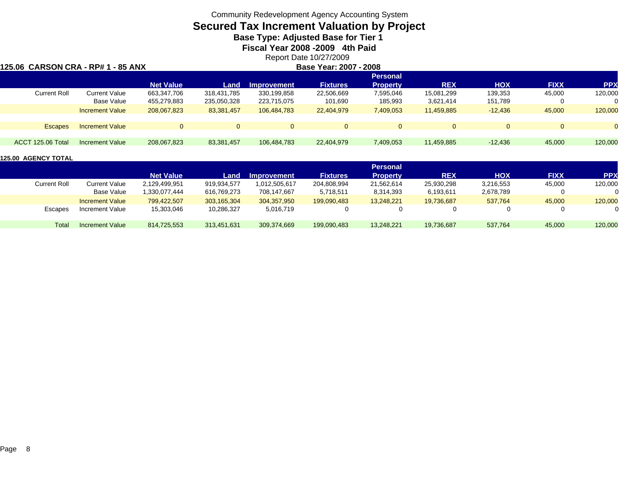# **Secured Tax Increment Valuation by Project**

**Base Type: Adjusted Base for Tier 1** 

**Fiscal Year 2008 -2009 4th Paid**

Report Date 10/27/2009 **Base Year: 2007 - 2008**

### **125.06 CARSON CRA - RP# 1 - 85 ANX**

|                     |                        |                  |             |                    |                 | <b>Personal</b> |            |            |             |            |
|---------------------|------------------------|------------------|-------------|--------------------|-----------------|-----------------|------------|------------|-------------|------------|
|                     |                        | <b>Net Value</b> | Land        | <b>Improvement</b> | <b>Fixtures</b> | <b>Property</b> | <b>REX</b> | <b>HOX</b> | <b>FIXX</b> | <b>PPX</b> |
| <b>Current Roll</b> | <b>Current Value</b>   | 663.347.706      | 318.431.785 | 330.199.858        | 22,506,669      | 7,595,046       | 15,081,299 | 139,353    | 45,000      | 120,000    |
|                     | Base Value             | 455,279,883      | 235,050,328 | 223,715,075        | 101,690         | 185,993         | 3,621,414  | 151,789    |             |            |
|                     | <b>Increment Value</b> | 208.067.823      | 83,381,457  | 106.484.783        | 22,404,979      | 7,409,053       | 11,459,885 | $-12.436$  | 45,000      | 120,000    |
|                     |                        |                  |             |                    |                 |                 |            |            |             |            |
| <b>Escapes</b>      | <b>Increment Value</b> | $\Omega$         | $\mathbf 0$ | 0                  | $\Omega$        | $\overline{0}$  |            | $\Omega$   |             | $\Omega$   |
|                     |                        |                  |             |                    |                 |                 |            |            |             |            |
| ACCT 125.06 Total   | Increment Value        | 208,067,823      | 83,381,457  | 106,484,783        | 22,404,979      | 7,409,053       | 11,459,885 | $-12,436$  | 45,000      | 120,000    |
|                     |                        |                  |             |                    |                 |                 |            |            |             |            |

|              |                        |                  |             |                    |                 | Personal        |            |            |             |            |
|--------------|------------------------|------------------|-------------|--------------------|-----------------|-----------------|------------|------------|-------------|------------|
|              |                        | <b>Net Value</b> | Land        | <b>Improvement</b> | <b>Fixtures</b> | <b>Property</b> | <b>REX</b> | <b>NOH</b> | <b>FIXX</b> | <b>PPX</b> |
| Current Roll | Current Value          | 2,129,499,951    | 919,934,577 | 1,012,505,617      | 204,808,994     | 21,562,614      | 25,930,298 | 3,216,553  | 45,000      | 120,000    |
|              | Base Value             | .330.077.444     | 616.769.273 | 708.147.667        | 5,718,511       | 8,314,393       | 6,193,611  | 2,678,789  |             |            |
|              | <b>Increment Value</b> | 799.422.507      | 303.165.304 | 304,357,950        | 199.090.483     | 13.248.221      | 19.736.687 | 537.764    | 45,000      | 120,000    |
| Escapes      | Increment Value        | 15,303,046       | 10,286,327  | 5,016,719          |                 | 0               |            |            |             |            |
| Total        | Increment Value        | 814.725.553      | 313.451.631 | 309.374.669        | 199,090,483     | 13.248.221      | 19,736,687 | 537,764    | 45,000      | 120,000    |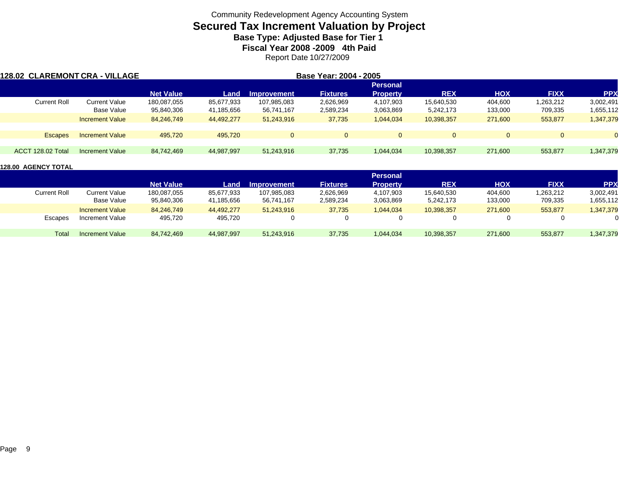# **Secured Tax Increment Valuation by Project**

**Base Type: Adjusted Base for Tier 1** 

**Fiscal Year 2008 -2009 4th Paid**

Report Date 10/27/2009

| 128.02 CLAREMONT CRA - VILLAGE |                        |                  |            |                    | Base Year: 2004 - 2005 |                 |            |            |             |            |
|--------------------------------|------------------------|------------------|------------|--------------------|------------------------|-----------------|------------|------------|-------------|------------|
|                                |                        |                  |            |                    |                        | <b>Personal</b> |            |            |             |            |
|                                |                        | <b>Net Value</b> | Land       | <b>Improvement</b> | <b>Fixtures</b>        | <b>Property</b> | <b>REX</b> | <b>HOX</b> | <b>FIXX</b> | <b>PPX</b> |
| <b>Current Roll</b>            | <b>Current Value</b>   | 180,087,055      | 85,677,933 | 107,985,083        | 2,626,969              | 4,107,903       | 15.640.530 | 404,600    | 1,263,212   | 3,002,491  |
|                                | Base Value             | 95,840,306       | 41,185,656 | 56,741,167         | 2,589,234              | 3,063,869       | 5,242,173  | 133,000    | 709,335     | 1,655,112  |
|                                | <b>Increment Value</b> | 84,246,749       | 44.492.277 | 51,243,916         | 37,735                 | 1.044.034       | 10,398,357 | 271,600    | 553,877     | 1,347,379  |
|                                |                        |                  |            |                    |                        |                 |            |            |             |            |
| <b>Escapes</b>                 | <b>Increment Value</b> | 495,720          | 495.720    | $\Omega$           | $\Omega$               | $\Omega$        | $\Omega$   | $\Omega$   | $\Omega$    | $\Omega$   |
|                                |                        |                  |            |                    |                        |                 |            |            |             |            |
| <b>ACCT 128.02 Total</b>       | Increment Value        | 84.742.469       | 44,987,997 | 51.243.916         | 37,735                 | 1,044,034       | 10,398,357 | 271,600    | 553,877     | 1,347,379  |

|              |                        |                  |            |             |                 | <b>Personal</b> |            |            |             |            |
|--------------|------------------------|------------------|------------|-------------|-----------------|-----------------|------------|------------|-------------|------------|
|              |                        | <b>Net Value</b> | Land       | Improvement | <b>Fixtures</b> | <b>Property</b> | <b>REX</b> | <b>HOX</b> | <b>FIXX</b> | <b>PPX</b> |
| Current Roll | Current Value          | 180,087,055      | 85,677,933 | 107,985,083 | 2,626,969       | 4,107,903       | 15,640,530 | 404,600    | 1,263,212   | 3,002,491  |
|              | <b>Base Value</b>      | 95,840,306       | 41,185,656 | 56,741,167  | 2,589,234       | 3,063,869       | 5,242,173  | 133,000    | 709,335     | 1,655,112  |
|              | <b>Increment Value</b> | 84,246,749       | 44,492,277 | 51,243,916  | 37,735          | 1,044,034       | 10,398,357 | 271,600    | 553,877     | 1,347,379  |
| Escapes      | Increment Value        | 495.720          | 495.720    |             |                 | 0               |            |            |             |            |
| Total        | <b>Increment Value</b> | 84,742,469       | 44,987,997 | 51,243,916  | 37,735          | 1,044,034       | 10,398,357 | 271,600    | 553,877     | 1,347,379  |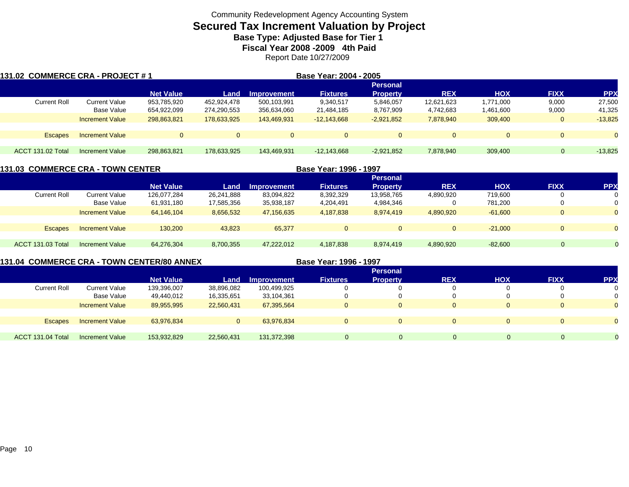# **Secured Tax Increment Valuation by Project**

**Base Type: Adjusted Base for Tier 1** 

**Fiscal Year 2008 -2009 4th Paid**

Report Date 10/27/2009

| 131.02 COMMERCE CRA - PROJECT # 1 |                        |                  |              |                | Base Year: 2004 - 2005 |                 |              |            |              |                |
|-----------------------------------|------------------------|------------------|--------------|----------------|------------------------|-----------------|--------------|------------|--------------|----------------|
|                                   |                        |                  |              |                |                        | <b>Personal</b> |              |            |              |                |
|                                   |                        | <b>Net Value</b> | Land         | Improvement    | <b>Fixtures</b>        | <b>Property</b> | <b>REX</b>   | <b>HOX</b> | <b>FIXX</b>  | <b>PPX</b>     |
| <b>Current Roll</b>               | Current Value          | 953,785,920      | 452,924,478  | 500,103,991    | 9,340,517              | 5,846,057       | 12,621,623   | 1,771,000  | 9,000        | 27,500         |
|                                   | Base Value             | 654,922,099      | 274,290,553  | 356,634,060    | 21,484,185             | 8,767,909       | 4,742,683    | 1,461,600  | 9,000        | 41,325         |
|                                   | <b>Increment Value</b> | 298,863,821      | 178,633,925  | 143.469.931    | $-12,143,668$          | $-2,921,852$    | 7,878,940    | 309,400    | $\mathbf{0}$ | $-13,825$      |
| <b>Escapes</b>                    | <b>Increment Value</b> | $\Omega$         | $\mathbf{0}$ | $\overline{0}$ | $\Omega$               | $\overline{0}$  | $\mathbf{0}$ | $\Omega$   | $\mathbf{0}$ | $\overline{0}$ |
|                                   |                        |                  |              |                |                        |                 |              |            |              |                |
| ACCT 131.02 Total                 | <b>Increment Value</b> | 298,863,821      | 178,633,925  | 143,469,931    | $-12.143.668$          | $-2,921,852$    | 7,878,940    | 309.400    | $\Omega$     | $-13,825$      |

| <b>131.03 COMMERCE CRA - TOWN CENTER</b> |                        |                  |            |                    | Base Year: 1996 - 1997 |                 |            |            |                |            |
|------------------------------------------|------------------------|------------------|------------|--------------------|------------------------|-----------------|------------|------------|----------------|------------|
|                                          |                        |                  |            |                    |                        | <b>Personal</b> |            |            |                |            |
|                                          |                        | <b>Net Value</b> | Land       | <b>Improvement</b> | <b>Fixtures</b>        | <b>Property</b> | <b>REX</b> | <b>HOX</b> | <b>FIXX</b>    | <b>PPX</b> |
| <b>Current Roll</b>                      | <b>Current Value</b>   | 126,077,284      | 26.241.888 | 83,094,822         | 8,392,329              | 13,958,765      | 4,890,920  | 719,600    |                |            |
|                                          | Base Value             | 61,931,180       | 17,585,356 | 35,938,187         | 4,204,491              | 4,984,346       |            | 781,200    | υ              |            |
|                                          | <b>Increment Value</b> | 64,146,104       | 8,656,532  | 47,156,635         | 4,187,838              | 8,974,419       | 4,890,920  | $-61,600$  | 0              |            |
|                                          |                        |                  |            |                    |                        |                 |            |            |                |            |
| <b>Escapes</b>                           | <b>Increment Value</b> | 130.200          | 43.823     | 65,377             | $\mathbf{0}$           | $\mathbf{0}$    |            | $-21.000$  | $\overline{0}$ |            |
|                                          |                        |                  |            |                    |                        |                 |            |            |                |            |
| ACCT 131.03 Total                        | Increment Value        | 64.276.304       | 8,700,355  | 47.222.012         | 4.187.838              | 8.974.419       | 4,890,920  | $-82.600$  | $\Omega$       |            |

### **131.04 COMMERCE CRA - TOWN CENTER/80 ANNEX**

**Base Year: 1996 - 1997**

|                     |                        |                  |             |             |                 | <b>Personal</b> |            |            |                |                |
|---------------------|------------------------|------------------|-------------|-------------|-----------------|-----------------|------------|------------|----------------|----------------|
|                     |                        | <b>Net Value</b> | Land        | Improvement | <b>Fixtures</b> | <b>Property</b> | <b>REX</b> | <b>HOX</b> | <b>FIXX</b>    | <b>PPX</b>     |
| <b>Current Roll</b> | Current Value          | 139,396,007      | 38,896,082  | 100,499,925 |                 |                 |            |            |                | 0              |
|                     | <b>Base Value</b>      | 49,440,012       | 16,335,651  | 33,104,361  |                 |                 |            | 0          |                | 0              |
|                     | <b>Increment Value</b> | 89,955,995       | 22,560,431  | 67,395,564  |                 |                 | $\Omega$   | $\Omega$   |                | $\overline{0}$ |
|                     |                        |                  |             |             |                 |                 |            |            |                |                |
| <b>Escapes</b>      | <b>Increment Value</b> | 63,976,834       | $\mathbf 0$ | 63,976,834  |                 |                 |            | $\Omega$   |                | $\overline{0}$ |
|                     |                        |                  |             |             |                 |                 |            |            |                |                |
| ACCT 131.04 Total   | <b>Increment Value</b> | 153,932,829      | 22,560,431  | 131,372,398 |                 | $\Omega$        |            | 0          | $\overline{0}$ | $\Omega$       |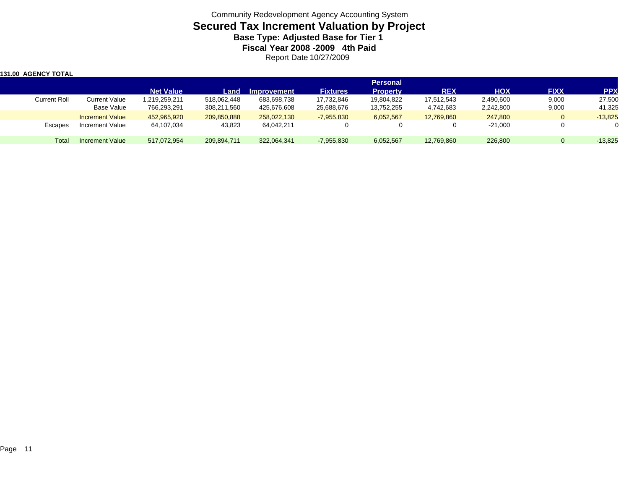Community Redevelopment Agency Accounting System **Secured Tax Increment Valuation by Project Base Type: Adjusted Base for Tier 1 Fiscal Year 2008 -2009 4th Paid** Report Date 10/27/2009

| <b>131.00 AGENCY TOTAL</b> |                        |                  |             |             |                 |                 |            |            |              |            |
|----------------------------|------------------------|------------------|-------------|-------------|-----------------|-----------------|------------|------------|--------------|------------|
|                            |                        |                  |             |             |                 | <b>Personal</b> |            |            |              |            |
|                            |                        | <b>Net Value</b> | Land        | Improvement | <b>Fixtures</b> | <b>Property</b> | <b>REX</b> | <b>HOX</b> | <b>FIXX</b>  | <b>PPX</b> |
| <b>Current Roll</b>        | Current Value          | 219,259,211.     | 518.062.448 | 683,698,738 | 17,732,846      | 19,804,822      | 17.512.543 | 2,490,600  | 9,000        | 27,500     |
|                            | Base Value             | 766,293,291      | 308,211,560 | 425,676,608 | 25,688,676      | 13,752,255      | 4,742,683  | 2,242,800  | 9,000        | 41,325     |
|                            | <b>Increment Value</b> | 452,965,920      | 209,850,888 | 258,022,130 | $-7,955,830$    | 6,052,567       | 12,769,860 | 247,800    | $\mathbf{0}$ | $-13.825$  |
| Escapes                    | Increment Value        | 64,107,034       | 43,823      | 64,042,211  |                 |                 |            | $-21,000$  |              |            |
| Total                      | <b>Increment Value</b> | 517.072.954      | 209,894,711 | 322,064,341 | $-7,955,830$    | 6,052,567       | 12,769,860 | 226,800    | $\Omega$     | $-13,825$  |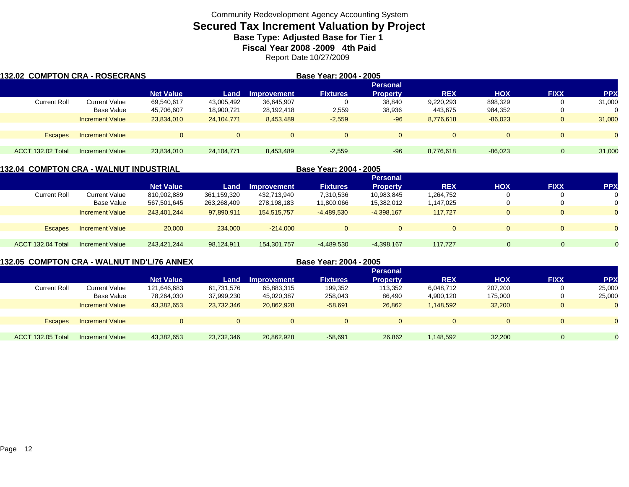# **Secured Tax Increment Valuation by Project**

**Base Type: Adjusted Base for Tier 1** 

**Fiscal Year 2008 -2009 4th Paid**

Report Date 10/27/2009

| 132.02 COMPTON CRA - ROSECRANS |                        |                  |              |                    | Base Year: 2004 - 2005 |                 |              |            |              |                |
|--------------------------------|------------------------|------------------|--------------|--------------------|------------------------|-----------------|--------------|------------|--------------|----------------|
|                                |                        |                  |              |                    |                        | <b>Personal</b> |              |            |              |                |
|                                |                        | <b>Net Value</b> | Land         | <b>Improvement</b> | <b>Fixtures</b>        | <b>Property</b> | <b>REX</b>   | <b>HOX</b> | <b>FIXX</b>  | <b>PPX</b>     |
| <b>Current Roll</b>            | Current Value          | 69,540,617       | 43,005,492   | 36,645,907         | υ                      | 38,840          | 9,220,293    | 898.329    | 0            | 31,000         |
|                                | Base Value             | 45,706,607       | 18,900,721   | 28,192,418         | 2,559                  | 38,936          | 443,675      | 984,352    | 0            |                |
|                                | <b>Increment Value</b> | 23,834,010       | 24.104.771   | 8,453,489          | $-2,559$               | $-96$           | 8,776,618    | $-86.023$  | $\mathbf{0}$ | 31,000         |
| <b>Escapes</b>                 | <b>Increment Value</b> | $\Omega$         | $\mathbf{0}$ | $\overline{0}$     | $\mathbf{0}$           | $\Omega$        | $\mathbf{0}$ | $\Omega$   | $\mathbf{0}$ | $\overline{0}$ |
|                                |                        |                  |              |                    |                        |                 |              |            |              |                |
| <b>ACCT 132.02 Total</b>       | Increment Value        | 23,834,010       | 24,104,771   | 8,453,489          | $-2,559$               | $-96$           | 8,776,618    | $-86,023$  | $\Omega$     | 31,000         |

### **132.04 COMPTON CRA - WALNUT INDUSTRIAL**

| 132.04 COMPTON CRA - WALNUT INDUSTRIAL |                        |                  |             |                    | Base Year: 2004 - 2005 |                 |            |            |             |            |
|----------------------------------------|------------------------|------------------|-------------|--------------------|------------------------|-----------------|------------|------------|-------------|------------|
|                                        |                        |                  |             |                    |                        | <b>Personal</b> |            |            |             |            |
|                                        |                        | <b>Net Value</b> | Land        | <b>Improvement</b> | <b>Fixtures</b>        | <b>Property</b> | <b>REX</b> | <b>HOX</b> | <b>FIXX</b> | <b>PPX</b> |
| <b>Current Roll</b>                    | Current Value          | 810,902,889      | 361,159,320 | 432.713.940        | 7,310,536              | 10,983,845      | 1,264,752  |            | -0          | 0          |
|                                        | <b>Base Value</b>      | 567,501,645      | 263,268,409 | 278,198,183        | 11,800,066             | 15,382,012      | 1,147,025  | $\Omega$   | 0           | 0          |
|                                        | <b>Increment Value</b> | 243.401.244      | 97.890.911  | 154.515.757        | $-4,489,530$           | $-4,398,167$    | 117.727    | $\Omega$   | $\Omega$    | $\Omega$   |
|                                        |                        |                  |             |                    |                        |                 |            |            |             |            |
| <b>Escapes</b>                         | <b>Increment Value</b> | 20,000           | 234,000     | $-214.000$         | $\mathbf{0}$           | $\mathbf{0}$    |            | $\Omega$   | $\Omega$    | $\Omega$   |
| ACCT 132.04 Total                      | <b>Increment Value</b> | 243.421.244      | 98.124.911  | 154,301,757        | $-4,489,530$           | $-4,398,167$    | 117.727    | $\Omega$   | $\Omega$    | $\Omega$   |

### **132.05 COMPTON CRA - WALNUT IND'L/76 ANNEX**

**Base Year: 2004 - 2005**

|                     |                        |                  |            |                    |                 | <b>Personal</b> |            |            |                |              |
|---------------------|------------------------|------------------|------------|--------------------|-----------------|-----------------|------------|------------|----------------|--------------|
|                     |                        | <b>Net Value</b> | Land       | <b>Improvement</b> | <b>Fixtures</b> | <b>Property</b> | <b>REX</b> | <b>HOX</b> | <b>FIXX</b>    | <b>PPX</b>   |
| <b>Current Roll</b> | <b>Current Value</b>   | 121.646.683      | 61,731,576 | 65,883,315         | 199,352         | 113,352         | 6,048,712  | 207,200    | 0              | 25,000       |
|                     | Base Value             | 78,264,030       | 37,999,230 | 45,020,387         | 258,043         | 86,490          | 4,900,120  | 175,000    |                | 25,000       |
|                     | <b>Increment Value</b> | 43,382,653       | 23,732,346 | 20,862,928         | $-58,691$       | 26,862          | 1,148,592  | 32,200     | $\overline{0}$ | $\mathbf{0}$ |
|                     |                        |                  |            |                    |                 |                 |            |            |                |              |
| <b>Escapes</b>      | <b>Increment Value</b> |                  |            |                    |                 | $\Omega$        | $\Omega$   | $\Omega$   |                | $\Omega$     |
|                     |                        |                  |            |                    |                 |                 |            |            |                |              |
| ACCT 132.05 Total   | <b>Increment Value</b> | 43,382,653       | 23,732,346 | 20,862,928         | $-58,691$       | 26,862          | 1,148,592  | 32,200     | $\Omega$       |              |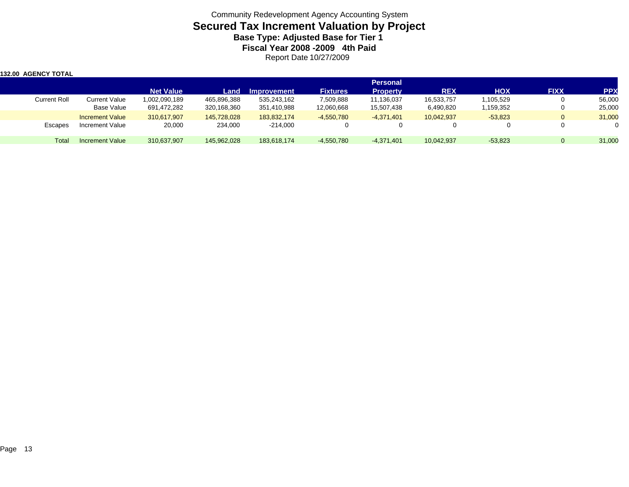Community Redevelopment Agency Accounting System **Secured Tax Increment Valuation by Project Base Type: Adjusted Base for Tier 1 Fiscal Year 2008 -2009 4th Paid** Report Date 10/27/2009

| <b>132.00 AGENCY TOTAL</b> |                        |                  |             |                    |                 |                 |            |            |             |            |
|----------------------------|------------------------|------------------|-------------|--------------------|-----------------|-----------------|------------|------------|-------------|------------|
|                            |                        |                  |             |                    |                 | <b>Personal</b> |            |            |             |            |
|                            |                        | <b>Net Value</b> | Land        | <b>Improvement</b> | <b>Fixtures</b> | <b>Property</b> | <b>REX</b> | <b>HOX</b> | <b>FIXX</b> | <b>PPX</b> |
| Current Roll               | Current Value          | 1,002,090,189    | 465,896,388 | 535,243,162        | 7,509,888       | 11,136,037      | 16,533,757 | 1,105,529  |             | 56,000     |
|                            | <b>Base Value</b>      | 691,472,282      | 320,168,360 | 351,410,988        | 12,060,668      | 15,507,438      | 6,490,820  | 1,159,352  |             | 25,000     |
|                            | <b>Increment Value</b> | 310,617,907      | 145,728,028 | 183.832.174        | $-4,550,780$    | $-4,371,401$    | 10.042.937 | $-53,823$  | 0           | 31,000     |
| Escapes                    | Increment Value        | 20,000           | 234,000     | $-214,000$         |                 |                 |            |            |             |            |
| Total                      | <b>Increment Value</b> | 310,637,907      | 145,962,028 | 183.618.174        | $-4,550,780$    | -4,371,401      | 10,042,937 | $-53,823$  | $\Omega$    | 31,000     |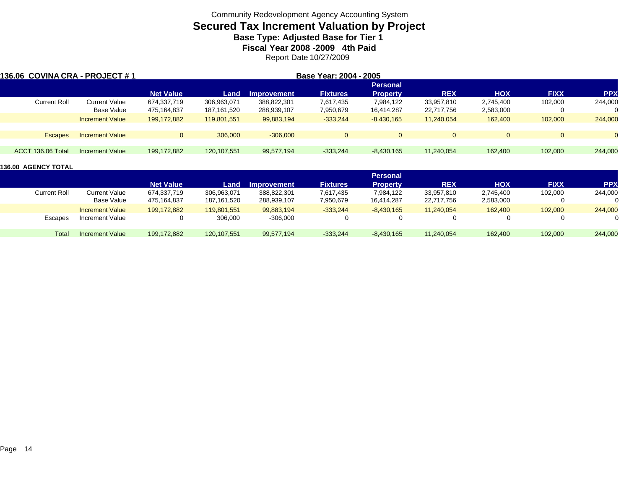# **Secured Tax Increment Valuation by Project**

**Base Type: Adjusted Base for Tier 1** 

**Fiscal Year 2008 -2009 4th Paid**

Report Date 10/27/2009

| 136.06  COVINA CRA - PROJECT # 1 |                        |                  |             |             | Base Year: 2004 - 2005 |                 |            |            |             |            |
|----------------------------------|------------------------|------------------|-------------|-------------|------------------------|-----------------|------------|------------|-------------|------------|
|                                  |                        |                  |             |             |                        | <b>Personal</b> |            |            |             |            |
|                                  |                        | <b>Net Value</b> | Land        | Improvement | <b>Fixtures</b>        | <b>Property</b> | <b>REX</b> | <b>HOX</b> | <b>FIXX</b> | <b>PPX</b> |
| Current Roll                     | <b>Current Value</b>   | 674,337,719      | 306,963,071 | 388,822,301 | 7,617,435              | 7,984,122       | 33,957,810 | 2,745,400  | 102,000     | 244,000    |
|                                  | Base Value             | 475,164,837      | 187,161,520 | 288,939,107 | 7,950,679              | 16,414,287      | 22,717,756 | 2,583,000  |             |            |
|                                  | <b>Increment Value</b> | 199,172,882      | 119,801,551 | 99,883,194  | $-333,244$             | $-8,430,165$    | 11,240,054 | 162,400    | 102,000     | 244,000    |
|                                  |                        |                  |             |             |                        |                 |            |            |             |            |
| <b>Escapes</b>                   | <b>Increment Value</b> | $\Omega$         | 306,000     | $-306,000$  |                        | $\Omega$        |            |            |             |            |
| ACCT 136.06 Total                | Increment Value        | 199,172,882      | 120,107,551 | 99,577,194  | $-333.244$             | $-8,430,165$    | 11,240,054 | 162,400    | 102,000     | 244,000    |

|                     |                        |                  |             |                    |                 | <b>Personal</b> |            |            |             |            |
|---------------------|------------------------|------------------|-------------|--------------------|-----------------|-----------------|------------|------------|-------------|------------|
|                     |                        | <b>Net Value</b> | Land        | <b>Improvement</b> | <b>Fixtures</b> | <b>Property</b> | <b>REX</b> | <b>HOX</b> | <b>FIXX</b> | <b>PPX</b> |
| <b>Current Roll</b> | <b>Current Value</b>   | 674,337,719      | 306,963,071 | 388,822,301        | 7,617,435       | 7,984,122       | 33,957,810 | 2,745,400  | 102,000     | 244,000    |
|                     | Base Value             | 475.164.837      | 187,161,520 | 288,939,107        | 7,950,679       | 16,414,287      | 22,717,756 | 2,583,000  |             |            |
|                     | <b>Increment Value</b> | 199,172,882      | 119.801.551 | 99,883,194         | $-333,244$      | $-8,430,165$    | 11,240,054 | 162,400    | 102,000     | 244,000    |
| Escapes             | Increment Value        |                  | 306,000     | $-306,000$         |                 |                 |            |            |             | $\Omega$   |
| Total               | <b>Increment Value</b> | 199,172,882      | 120,107,551 | 99,577,194         | $-333.244$      | $-8,430,165$    | 11,240,054 | 162,400    | 102,000     | 244,000    |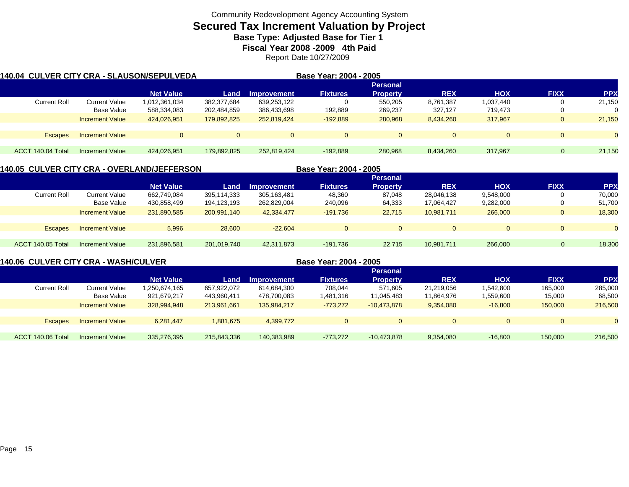# **Secured Tax Increment Valuation by Project**

**Base Type: Adjusted Base for Tier 1** 

**Fiscal Year 2008 -2009 4th Paid**

Report Date 10/27/2009

| 140.04  CULVER CITY CRA - SLAUSON/SEPULVEDA |                        |                  |                 |                    | Base Year: 2004 - 2005 |                 |            |            |             |            |  |  |  |
|---------------------------------------------|------------------------|------------------|-----------------|--------------------|------------------------|-----------------|------------|------------|-------------|------------|--|--|--|
|                                             |                        |                  | <b>Personal</b> |                    |                        |                 |            |            |             |            |  |  |  |
|                                             |                        | <b>Net Value</b> | Land            | <b>Improvement</b> | <b>Fixtures</b>        | <b>Property</b> | <b>REX</b> | <b>HOX</b> | <b>FIXX</b> | <b>PPX</b> |  |  |  |
| <b>Current Roll</b>                         | Current Value          | 1,012,361,034    | 382,377,684     | 639,253,122        | O                      | 550.205         | 8,761,387  | 1,037,440  |             | 21.150     |  |  |  |
|                                             | Base Value             | 588,334,083      | 202,484,859     | 386,433,698        | 192,889                | 269,237         | 327,127    | 719,473    |             |            |  |  |  |
|                                             | <b>Increment Value</b> | 424,026,951      | 179,892,825     | 252,819,424        | $-192.889$             | 280,968         | 8,434,260  | 317.967    | 0           | 21,150     |  |  |  |
| <b>Escapes</b>                              | <b>Increment Value</b> |                  | $\mathbf{0}$    | 0                  | $\Omega$               | $\Omega$        | $\Omega$   |            |             | $\Omega$   |  |  |  |
|                                             |                        |                  |                 |                    |                        |                 |            |            |             |            |  |  |  |
| ACCT 140.04 Total                           | <b>Increment Value</b> | 424.026.951      | 179,892,825     | 252.819.424        | $-192,889$             | 280,968         | 8,434,260  | 317,967    | $\Omega$    | 21,150     |  |  |  |

### **140.05 CULVER CITY CRA - OVERLAND/JEFFERSON**

| 140.05 CULVER CITY CRA - OVERLAND/JEFFERSON |                        |                  |             | Base Year: 2004 - 2005 |                 |                 |            |            |                |            |
|---------------------------------------------|------------------------|------------------|-------------|------------------------|-----------------|-----------------|------------|------------|----------------|------------|
|                                             |                        |                  |             |                        |                 | <b>Personal</b> |            |            |                |            |
|                                             |                        | <b>Net Value</b> | Land        | Improvement            | <b>Fixtures</b> | <b>Property</b> | <b>REX</b> | <b>HOX</b> | <b>FIXX</b>    | <b>PPX</b> |
| <b>Current Roll</b>                         | Current Value          | 662,749,084      | 395.114.333 | 305.163.481            | 48,360          | 87,048          | 28.046.138 | 9,548,000  |                | 70,000     |
|                                             | Base Value             | 430,858,499      | 194,123,193 | 262,829,004            | 240,096         | 64,333          | 17,064,427 | 9,282,000  | U              | 51,700     |
|                                             | <b>Increment Value</b> | 231,890,585      | 200,991,140 | 42,334,477             | $-191.736$      | 22.715          | 10,981,711 | 266,000    | $\mathbf{0}$   | 18,300     |
|                                             |                        |                  |             |                        |                 |                 |            |            |                |            |
| <b>Escapes</b>                              | <b>Increment Value</b> | 5,996            | 28,600      | $-22.604$              | $\mathbf{0}$    | $\mathbf{0}$    |            | $\Omega$   | $\overline{0}$ | $\Omega$   |
|                                             |                        |                  |             |                        |                 |                 |            |            |                |            |
| ACCT 140.05 Total                           | Increment Value        | 231.896.581      | 201,019,740 | 42,311,873             | $-191.736$      | 22.715          | 10.981.711 | 266,000    | $\Omega$       | 18,300     |

### **140.06 CULVER CITY CRA - WASH/CULVER**

**Base Year: 2004 - 2005**

|                        |                  |             |                    |                 | <b>Personal</b> |                |            |             |            |
|------------------------|------------------|-------------|--------------------|-----------------|-----------------|----------------|------------|-------------|------------|
|                        | <b>Net Value</b> | Land        | <b>Improvement</b> | <b>Fixtures</b> | <b>Property</b> | <b>REX</b>     | <b>HOX</b> | <b>FIXX</b> | <b>PPX</b> |
| Current Value          | .250,674,165     | 657,922,072 | 614,684,300        | 708,044         | 571,605         | 21,219,056     | 1,542,800  | 165,000     | 285,000    |
| Base Value             | 921,679,217      | 443,960,411 | 478,700,083        | 1,481,316       | 11,045,483      | 11,864,976     | .559,600   | 15,000      | 68,500     |
| <b>Increment Value</b> | 328,994,948      | 213,961,661 | 135,984,217        | $-773.272$      | $-10,473,878$   | 9,354,080      | $-16,800$  | 150,000     | 216,500    |
|                        |                  |             |                    |                 |                 |                |            |             |            |
| <b>Increment Value</b> | 6,281,447        | 1,881,675   | 4,399,772          |                 | $\overline{0}$  | $\overline{0}$ | $\Omega$   |             | $\Omega$   |
|                        |                  |             |                    |                 |                 |                |            |             |            |
| Increment Value        | 335,276,395      | 215,843,336 | 140,383,989        | $-773,272$      | $-10,473,878$   | 9,354,080      | $-16,800$  | 150,000     | 216,500    |
|                        |                  |             |                    |                 |                 |                |            |             |            |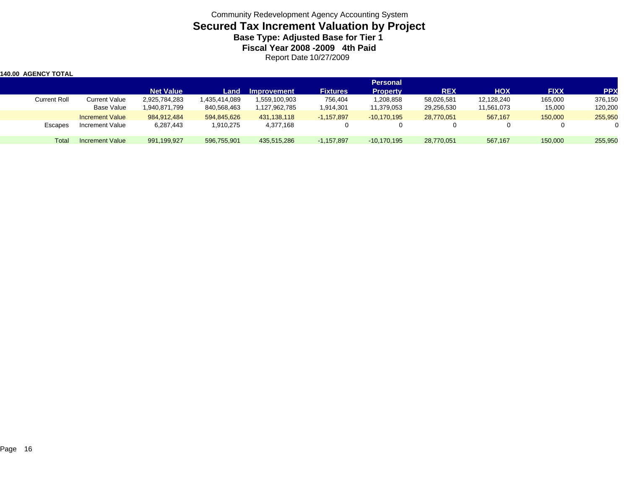Community Redevelopment Agency Accounting System **Secured Tax Increment Valuation by Project Base Type: Adjusted Base for Tier 1 Fiscal Year 2008 -2009 4th Paid** Report Date 10/27/2009

| 140.00 AGENCY TOTAL |                        |                  |               |               |                 |                 |            |            |             |            |
|---------------------|------------------------|------------------|---------------|---------------|-----------------|-----------------|------------|------------|-------------|------------|
|                     |                        |                  |               |               |                 | <b>Personal</b> |            |            |             |            |
|                     |                        | <b>Net Value</b> | Land          | Improvement   | <b>Fixtures</b> | <b>Property</b> | <b>REX</b> | <b>HOX</b> | <b>FIXX</b> | <b>PPX</b> |
| <b>Current Roll</b> | <b>Current Value</b>   | 2,925,784,283    | 1,435,414,089 | 1,559,100,903 | 756,404         | 1,208,858       | 58,026,581 | 12,128,240 | 165,000     | 376,150    |
|                     | Base Value             | 1,940,871,799    | 840,568,463   | 1,127,962,785 | 1,914,301       | 11,379,053      | 29,256,530 | 11,561,073 | 15,000      | 120,200    |
|                     | <b>Increment Value</b> | 984.912.484      | 594.845.626   | 431,138,118   | $-1,157,897$    | $-10.170.195$   | 28,770,051 | 567.167    | 150,000     | 255,950    |
| Escapes             | <b>Increment Value</b> | 6,287,443        | 1,910,275     | 4,377,168     |                 |                 |            |            | 0           |            |
| Total               | Increment Value        | 991,199,927      | 596,755,901   | 435,515,286   | $-1,157,897$    | $-10,170,195$   | 28,770,051 | 567,167    | 150,000     | 255,950    |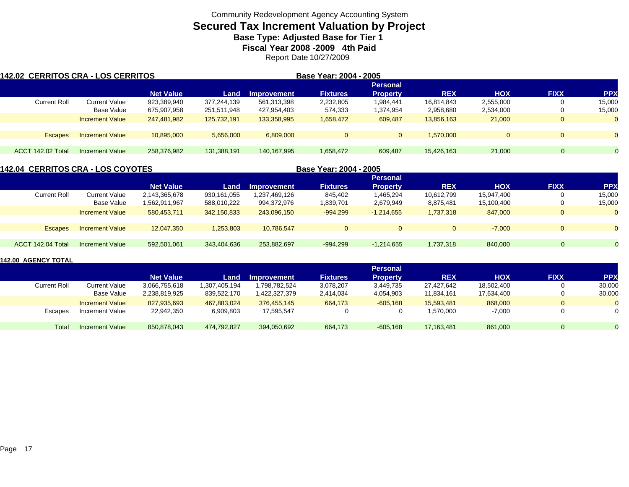# **Secured Tax Increment Valuation by Project**

**Base Type: Adjusted Base for Tier 1** 

**Fiscal Year 2008 -2009 4th Paid**

Report Date 10/27/2009

| <b>142.02 CERRITOS CRA - LOS CERRITOS</b> |                        |                  |             |             | Base Year: 2004 - 2005 |                 |            |            |              |                |
|-------------------------------------------|------------------------|------------------|-------------|-------------|------------------------|-----------------|------------|------------|--------------|----------------|
|                                           |                        |                  |             |             |                        | <b>Personal</b> |            |            |              |                |
|                                           |                        | <b>Net Value</b> | Land        | Improvement | <b>Fixtures</b>        | <b>Property</b> | <b>REX</b> | <b>HOX</b> | <b>FIXX</b>  | <b>PPX</b>     |
| Current Roll                              | Current Value          | 923.389.940      | 377,244,139 | 561,313,398 | 2,232,805              | 1,984,441       | 16.814.843 | 2,555,000  | 0            | 15,000         |
|                                           | Base Value             | 675,907,958      | 251,511,948 | 427,954,403 | 574,333                | 1,374,954       | 2,958,680  | 2,534,000  | 0            | 15,000         |
|                                           | <b>Increment Value</b> | 247,481,982      | 125.732.191 | 133,358,995 | 1,658,472              | 609,487         | 13.856.163 | 21,000     | $\mathbf 0$  | $\overline{0}$ |
|                                           |                        |                  |             |             |                        |                 |            |            |              |                |
| <b>Escapes</b>                            | <b>Increment Value</b> | 10,895,000       | 5,656,000   | 6,809,000   | $\Omega$               | $\mathbf{0}$    | 1.570.000  | $\Omega$   | $\mathbf{0}$ | $\overline{0}$ |
| <b>ACCT 142.02 Total</b>                  | <b>Increment Value</b> | 258,376,982      | 131,388,191 | 140.167.995 | 1,658,472              | 609,487         | 15,426,163 | 21,000     | $\Omega$     |                |

| <b>142.04 CERRITOS CRA - LOS COYOTES</b> |                        |                  |             |                    | Base Year: 2004 - 2005 |                 |            |            |             |            |
|------------------------------------------|------------------------|------------------|-------------|--------------------|------------------------|-----------------|------------|------------|-------------|------------|
|                                          |                        |                  |             |                    |                        | <b>Personal</b> |            |            |             |            |
|                                          |                        | <b>Net Value</b> | Land        | <b>Improvement</b> | <b>Fixtures</b>        | <b>Property</b> | <b>REX</b> | <b>HOX</b> | <b>FIXX</b> | <b>PPX</b> |
| <b>Current Roll</b>                      | Current Value          | 2,143,365,678    | 930,161,055 | 1,237,469,126      | 845,402                | 1,465,294       | 10,612,799 | 15,947,400 |             | 15,000     |
|                                          | Base Value             | 1,562,911,967    | 588,010,222 | 994,372,976        | 1,839,701              | 2,679,949       | 8,875,481  | 15,100,400 |             | 15,000     |
|                                          | <b>Increment Value</b> | 580.453.711      | 342,150,833 | 243,096,150        | $-994,299$             | $-1,214,655$    | 1,737,318  | 847,000    |             |            |
|                                          |                        |                  |             |                    |                        |                 |            |            |             |            |
| <b>Escapes</b>                           | <b>Increment Value</b> | 12,047,350       | 1,253,803   | 10.786.547         | $\Omega$               | $\overline{0}$  |            | $-7.000$   |             |            |
|                                          |                        |                  |             |                    |                        |                 |            |            |             |            |
| ACCT 142.04 Total                        | <b>Increment Value</b> | 592,501,061      | 343,404,636 | 253,882,697        | $-994,299$             | $-1,214,655$    | 1,737,318  | 840,000    |             |            |
|                                          |                        |                  |             |                    |                        |                 |            |            |             |            |

|                     |                        |                  |               |               |                 | <b>Personal</b> |            |            |              |            |
|---------------------|------------------------|------------------|---------------|---------------|-----------------|-----------------|------------|------------|--------------|------------|
|                     |                        | <b>Net Value</b> | Land          | Improvement   | <b>Fixtures</b> | <b>Property</b> | <b>REX</b> | <b>HOX</b> | <b>FIXX</b>  | <b>PPX</b> |
| <b>Current Roll</b> | Current Value          | 3,066,755,618    | 1,307,405,194 | 1,798,782,524 | 3,078,207       | 3,449,735       | 27,427,642 | 18,502,400 | $\mathbf{0}$ | 30,000     |
|                     | Base Value             | 2.238.819.925    | 839,522,170   | 1,422,327,379 | 2,414,034       | 4,054,903       | 11,834,161 | 17,634,400 | $\Omega$     | 30,000     |
|                     | <b>Increment Value</b> | 827,935,693      | 467,883,024   | 376.455.145   | 664.173         | $-605,168$      | 15.593.481 | 868,000    | $\mathbf{0}$ | $\Omega$   |
| Escapes             | Increment Value        | 22,942,350       | 6,909,803     | 17.595.547    |                 | 0               | 1,570,000  | $-7,000$   | 0            | 0          |
| Total               | <b>Increment Value</b> | 850,878,043      | 474,792,827   | 394,050,692   | 664,173         | $-605,168$      | 17,163,481 | 861,000    | $\Omega$     | $\Omega$   |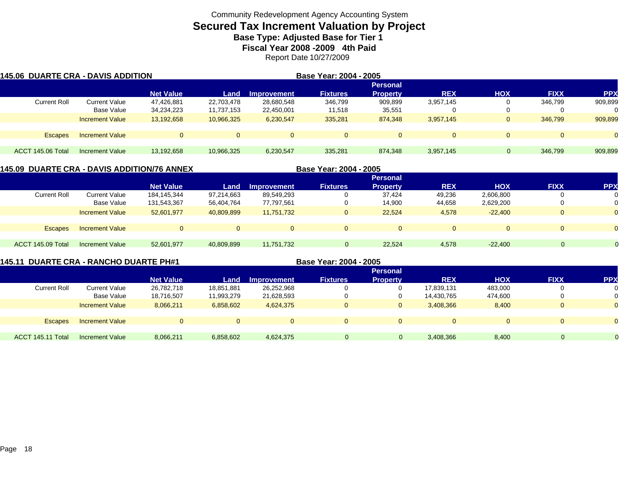# **Secured Tax Increment Valuation by Project**

**Base Type: Adjusted Base for Tier 1** 

**Fiscal Year 2008 -2009 4th Paid**

Report Date 10/27/2009

| <b>145.06 DUARTE CRA - DAVIS ADDITION</b> |                        |                  |              |             | Base Year: 2004 - 2005 |                 |            |            |             |                |
|-------------------------------------------|------------------------|------------------|--------------|-------------|------------------------|-----------------|------------|------------|-------------|----------------|
|                                           |                        |                  |              |             |                        | <b>Personal</b> |            |            |             |                |
|                                           |                        | <b>Net Value</b> | Land         | Improvement | <b>Fixtures</b>        | <b>Property</b> | <b>REX</b> | <b>HOX</b> | <b>FIXX</b> | <b>PPX</b>     |
| <b>Current Roll</b>                       | <b>Current Value</b>   | 47,426,881       | 22,703,478   | 28,680,548  | 346,799                | 909,899         | 3,957,145  |            | 346.799     | 909,899        |
|                                           | Base Value             | 34,234,223       | 11,737,153   | 22,450,001  | 11,518                 | 35,551          |            |            |             |                |
|                                           | <b>Increment Value</b> | 13,192,658       | 10,966,325   | 6,230,547   | 335,281                | 874,348         | 3,957,145  |            | 346,799     | 909,899        |
|                                           |                        |                  |              |             |                        |                 |            |            |             |                |
| Escapes                                   | <b>Increment Value</b> | $\Omega$         | $\mathbf{0}$ | $\Omega$    | $\Omega$               | $\Omega$        |            | $\Omega$   |             | $\overline{0}$ |
|                                           |                        |                  |              |             |                        |                 |            |            |             |                |
| ACCT 145.06 Total                         | Increment Value        | 13,192,658       | 10,966,325   | 6,230,547   | 335,281                | 874,348         | 3,957,145  | $\Omega$   | 346,799     | 909,899        |

### **145.09 DUARTE CRA - DAVIS ADDITION/76 ANNEX**

|                     |                        |                  |            |                    | -------------   | ----            |            |            |             |                |
|---------------------|------------------------|------------------|------------|--------------------|-----------------|-----------------|------------|------------|-------------|----------------|
|                     |                        |                  |            |                    |                 | <b>Personal</b> |            |            |             |                |
|                     |                        | <b>Net Value</b> | Land       | <b>Improvement</b> | <b>Fixtures</b> | <b>Property</b> | <b>REX</b> | <b>HOX</b> | <b>FIXX</b> | <b>PPX</b>     |
| <b>Current Roll</b> | <b>Current Value</b>   | 184,145,344      | 97,214,663 | 89,549,293         | 0               | 37,424          | 49,236     | 2,606,800  | U           | 0              |
|                     | Base Value             | 131,543,367      | 56,404,764 | 77,797,561         | U               | 14,900          | 44,658     | 2,629,200  |             | 0              |
|                     | <b>Increment Value</b> | 52,601,977       | 40,809,899 | 11,751,732         | $\mathbf{0}$    | 22,524          | 4,578      | $-22,400$  | $\Omega$    | $\Omega$       |
|                     |                        |                  |            |                    |                 |                 |            |            |             |                |
| <b>Escapes</b>      | <b>Increment Value</b> |                  | 0          | U                  |                 | $\Omega$        |            | $\Omega$   | 0           | $\overline{0}$ |
|                     |                        |                  |            |                    |                 |                 |            |            |             |                |
| ACCT 145.09 Total   | <b>Increment Value</b> | 52,601,977       | 40,809,899 | 11,751,732         |                 | 22.524          | 4,578      | $-22.400$  |             | $\Omega$       |
|                     |                        |                  |            |                    |                 |                 |            |            |             |                |

**Base Year: 2004 - 2005**

|                     |                        |                  |                                        |             |                 | <b>Personal</b> |                        |            |                |            |
|---------------------|------------------------|------------------|----------------------------------------|-------------|-----------------|-----------------|------------------------|------------|----------------|------------|
|                     |                        | <b>Net Value</b> | Land                                   | Improvement | <b>Fixtures</b> | <b>Property</b> | <b>REX</b>             | <b>XOH</b> | <b>FIXX</b>    | <b>PPX</b> |
| <b>Current Roll</b> | <b>Current Value</b>   | 26,782,718       | 18,851,881                             | 26,252,968  |                 | 0               | 17,839,131             | 483,000    | $\overline{0}$ | 0          |
|                     | Base Value             | 18,716,507       | 11,993,279                             | 21,628,593  |                 | 0               | 14,430,765             | 474,600    | $\mathbf{0}$   | 0          |
|                     | <b>Increment Value</b> | 8,066,211        | 6,858,602                              | 4,624,375   |                 | $\overline{0}$  | 3,408,366              | 8,400      | $\mathbf{0}$   | $\Omega$   |
|                     |                        |                  |                                        |             |                 |                 |                        |            |                |            |
| <b>Escapes</b>      | <b>Increment Value</b> |                  | $\Omega$                               | $\Omega$    |                 | $\mathbf{0}$    |                        | $\Omega$   | $\overline{0}$ | $\Omega$   |
|                     |                        |                  |                                        |             |                 |                 |                        |            |                |            |
| ACCT 145.11 Total   | <b>Increment Value</b> | 8,066,211        | 6,858,602                              | 4,624,375   | $\Omega$        | $\overline{0}$  | 3,408,366              | 8,400      | $\Omega$       |            |
|                     |                        |                  | <b>DUARTE CRA - RANCHO DUARTE PH#1</b> |             |                 |                 | Base Year: 2004 - 2005 |            |                |            |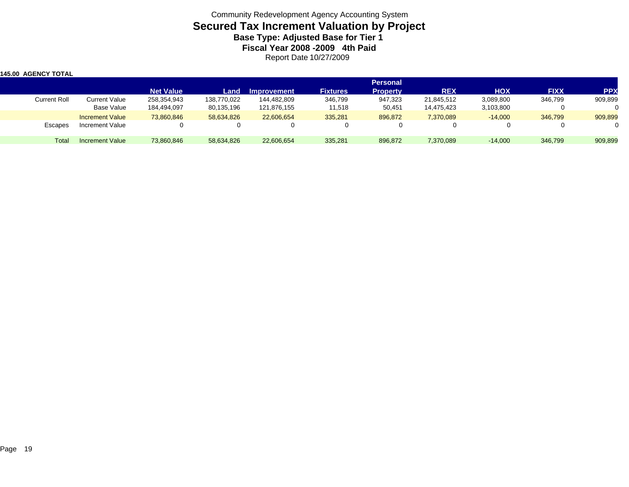Community Redevelopment Agency Accounting System **Secured Tax Increment Valuation by Project Base Type: Adjusted Base for Tier 1 Fiscal Year 2008 -2009 4th Paid** Report Date 10/27/2009

| 145.00 AGENCY TOTAL |                        |                  |             |             |                 |                 |            |            |             |            |
|---------------------|------------------------|------------------|-------------|-------------|-----------------|-----------------|------------|------------|-------------|------------|
|                     |                        |                  |             |             |                 | <b>Personal</b> |            |            |             |            |
|                     |                        | <b>Net Value</b> | Land        | Improvement | <b>Fixtures</b> | <b>Property</b> | <b>REX</b> | <b>HOX</b> | <b>FIXX</b> | <b>PPX</b> |
| Current Roll        | Current Value          | 258,354,943      | 138,770,022 | 144,482,809 | 346,799         | 947,323         | 21,845,512 | 3,089,800  | 346,799     | 909,899    |
|                     | <b>Base Value</b>      | 184,494,097      | 80,135,196  | 121,876,155 | 11,518          | 50,451          | 14,475,423 | 3,103,800  |             |            |
|                     | <b>Increment Value</b> | 73,860,846       | 58,634,826  | 22,606,654  | 335,281         | 896,872         | 7,370,089  | $-14,000$  | 346,799     | 909,899    |
| Escapes             | Increment Value        |                  |             |             | 0               |                 |            |            |             |            |
| Total               | Increment Value        | 73,860,846       | 58,634,826  | 22,606,654  | 335,281         | 896.872         | 7,370,089  | $-14.000$  | 346,799     | 909,899    |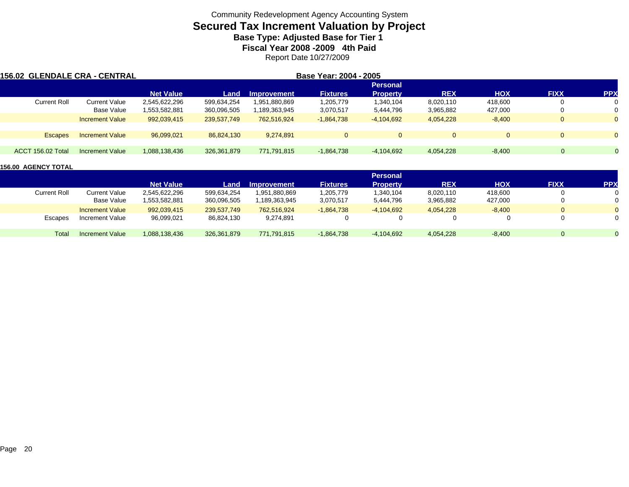# **Secured Tax Increment Valuation by Project**

**Base Type: Adjusted Base for Tier 1** 

**Fiscal Year 2008 -2009 4th Paid**

Report Date 10/27/2009

| 156.02  GLENDALE CRA - CENTRAL |                        |                  |             |                    | Base Year: 2004 - 2005 |                 |              |            |             |            |
|--------------------------------|------------------------|------------------|-------------|--------------------|------------------------|-----------------|--------------|------------|-------------|------------|
|                                |                        |                  |             |                    |                        | <b>Personal</b> |              |            |             |            |
|                                |                        | <b>Net Value</b> | Land        | <b>Improvement</b> | <b>Fixtures</b>        | <b>Property</b> | <b>REX</b>   | <b>HOX</b> | <b>FIXX</b> | <b>PPX</b> |
| <b>Current Roll</b>            | Current Value          | 2,545,622,296    | 599,634,254 | 1,951,880,869      | 1,205,779              | 1,340,104       | 8,020,110    | 418.600    |             |            |
|                                | Base Value             | 1,553,582,881    | 360,096,505 | 189,363,945,       | 3,070,517              | 5,444,796       | 3,965,882    | 427,000    |             |            |
|                                | <b>Increment Value</b> | 992,039,415      | 239,537,749 | 762.516.924        | $-1,864,738$           | $-4,104,692$    | 4,054,228    | $-8,400$   |             |            |
|                                |                        |                  |             |                    |                        |                 |              |            |             |            |
| <b>Escapes</b>                 | <b>Increment Value</b> | 96,099,021       | 86,824,130  | 9.274.891          | $\Omega$               | $\Omega$        | $\mathbf{0}$ |            |             | $\Omega$   |
|                                |                        |                  |             |                    |                        |                 |              |            |             |            |
| ACCT 156.02 Total              | Increment Value        | 1.088.138.436    | 326,361,879 | 771,791,815        | $-1,864,738$           | $-4,104,692$    | 4,054,228    | $-8,400$   | $\Omega$    |            |

|              |                        |                  |             |                    |                 | <b>Personal</b> |            |            |             |            |
|--------------|------------------------|------------------|-------------|--------------------|-----------------|-----------------|------------|------------|-------------|------------|
|              |                        | <b>Net Value</b> | Land        | <b>Improvement</b> | <b>Fixtures</b> | <b>Property</b> | <b>REX</b> | <b>HOX</b> | <b>FIXX</b> | <b>PPX</b> |
| Current Roll | Current Value          | 2,545,622,296    | 599,634,254 | 1,951,880,869      | 1,205,779       | 1,340,104       | 8,020,110  | 418,600    |             |            |
|              | Base Value             | 1,553,582,881    | 360,096,505 | 1,189,363,945      | 3,070,517       | 5,444,796       | 3,965,882  | 427,000    |             | 0          |
|              | <b>Increment Value</b> | 992,039,415      | 239,537,749 | 762.516.924        | $-1.864.738$    | $-4.104.692$    | 4,054,228  | $-8,400$   |             | 0          |
| Escapes      | Increment Value        | 96,099,021       | 86,824,130  | 9,274,891          |                 |                 |            |            |             | 0          |
| Total        | <b>Increment Value</b> | 1.088.138.436    | 326,361,879 | 771,791,815        | $-1.864.738$    | $-4.104.692$    | 4,054,228  | $-8,400$   |             |            |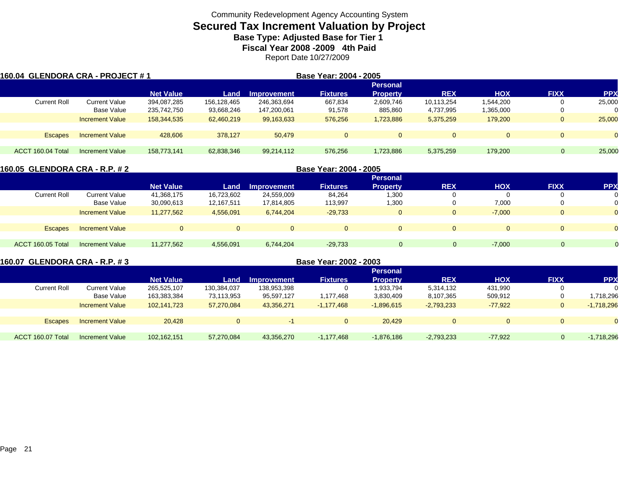# **Secured Tax Increment Valuation by Project**

**Base Type: Adjusted Base for Tier 1** 

**Fiscal Year 2008 -2009 4th Paid**

Report Date 10/27/2009

| 160.04  GLENDORA CRA - PROJECT # 1 |                        |                  |             |             | Base Year: 2004 - 2005 |                 |            |            |                |            |
|------------------------------------|------------------------|------------------|-------------|-------------|------------------------|-----------------|------------|------------|----------------|------------|
|                                    |                        |                  |             |             |                        | <b>Personal</b> |            |            |                |            |
|                                    |                        | <b>Net Value</b> | Land        | Improvement | <b>Fixtures</b>        | <b>Property</b> | <b>REX</b> | <b>HOX</b> | <b>FIXX</b>    | <b>PPX</b> |
| <b>Current Roll</b>                | Current Value          | 394,087,285      | 156.128.465 | 246,363,694 | 667,834                | 2,609,746       | 10,113,254 | 1.544.200  |                | 25,000     |
|                                    | Base Value             | 235,742,750      | 93,668,246  | 147,200,061 | 91,578                 | 885,860         | 4,737,995  | 1,365,000  |                |            |
|                                    | <b>Increment Value</b> | 158,344,535      | 62.460.219  | 99,163,633  | 576,256                | 1,723,886       | 5,375,259  | 179,200    | 0              | 25,000     |
|                                    |                        |                  |             |             |                        |                 |            |            |                |            |
| Escapes                            | <b>Increment Value</b> | 428,606          | 378.127     | 50.479      | $\mathbf{0}$           | $\mathbf{0}$    | $\Omega$   |            |                | $\Omega$   |
|                                    |                        |                  |             |             |                        |                 |            |            |                |            |
| ACCT 160.04 Total                  | Increment Value        | 158.773.141      | 62,838,346  | 99,214,112  | 576,256                | 1,723,886       | 5,375,259  | 179,200    | $\overline{0}$ | 25,000     |

| 160.05  GLENDORA CRA - R.P. # 2 |                        |                  |            |             | Base Year: 2004 - 2005 |                 |            |            |             |            |
|---------------------------------|------------------------|------------------|------------|-------------|------------------------|-----------------|------------|------------|-------------|------------|
|                                 |                        |                  |            |             |                        | <b>Personal</b> |            |            |             |            |
|                                 |                        | <b>Net Value</b> | Land       | Improvement | <b>Fixtures</b>        | <b>Property</b> | <b>REX</b> | <b>HOX</b> | <b>FIXX</b> | <b>PPX</b> |
| <b>Current Roll</b>             | <b>Current Value</b>   | 41,368,175       | 16,723,602 | 24,559,009  | 84,264                 | 1,300           |            | 0          |             |            |
|                                 | Base Value             | 30,090,613       | 12,167,511 | 17,814,805  | 113,997                | 1,300           |            | 7,000      | 0           | $\Omega$   |
|                                 | <b>Increment Value</b> | 11,277,562       | 4,556,091  | 6.744.204   | $-29.733$              | $\mathbf 0$     |            | $-7.000$   | $\Omega$    | $\Omega$   |
|                                 |                        |                  |            |             |                        |                 |            |            |             |            |
| <b>Escapes</b>                  | <b>Increment Value</b> |                  | $\Omega$   | $\Omega$    | $\Omega$               | $\Omega$        |            | $\Omega$   | $\Omega$    | $\Omega$   |
|                                 |                        |                  |            |             |                        |                 |            |            |             |            |
| ACCT 160.05 Total               | <b>Increment Value</b> | 11,277,562       | 4,556,091  | 6,744,204   | $-29,733$              | $\overline{0}$  | $\Omega$   | $-7,000$   |             |            |
|                                 |                        |                  |            |             |                        |                 |            |            |             |            |

|                     | 160.07 GLENDORA CRA - R.P. # 3 | Base Year: 2002 - 2003 |             |                    |                 |                 |              |              |              |              |
|---------------------|--------------------------------|------------------------|-------------|--------------------|-----------------|-----------------|--------------|--------------|--------------|--------------|
|                     |                                |                        |             |                    |                 | <b>Personal</b> |              |              |              |              |
|                     |                                | <b>Net Value</b>       | Land        | <b>Improvement</b> | <b>Fixtures</b> | <b>Property</b> | <b>REX</b>   | <b>HOX</b>   | <b>FIXX</b>  | <b>PPX</b>   |
| <b>Current Roll</b> | <b>Current Value</b>           | 265,525,107            | 130,384,037 | 138,953,398        |                 | 1,933,794       | 5,314,132    | 431,990      |              |              |
|                     | Base Value                     | 163,383,384            | 73,113,953  | 95,597,127         | 1,177,468       | 3,830,409       | 8,107,365    | 509,912      | 0            | 1.718.296    |
|                     | <b>Increment Value</b>         | 102,141,723            | 57.270.084  | 43,356,271         | $-1,177,468$    | $-1,896,615$    | $-2,793,233$ | $-77.922$    | 0            | $-1,718,296$ |
| <b>Escapes</b>      | <b>Increment Value</b>         | 20.428                 |             |                    | $\Omega$        | 20.429          | $\Omega$     | $\mathbf{0}$ | $\mathbf{0}$ |              |
|                     |                                |                        |             |                    |                 |                 |              |              |              |              |
| ACCT 160.07 Total   | Increment Value                | 102,162,151            | 57,270,084  | 43.356.270         | $-1,177,468$    | $-1,876,186$    | $-2,793,233$ | $-77,922$    | $\Omega$     | $-1,718,296$ |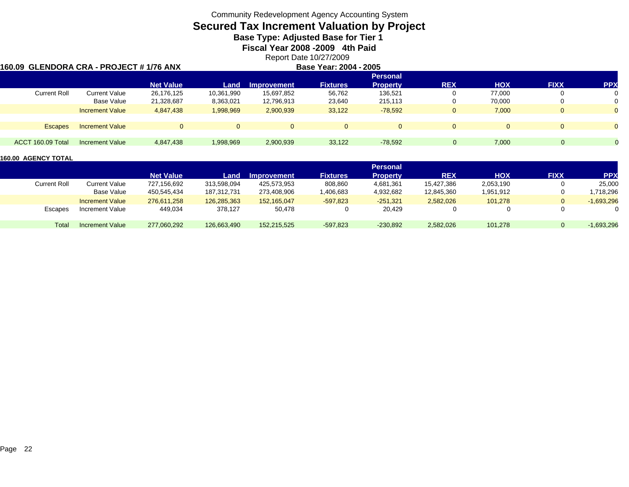# **Secured Tax Increment Valuation by Project**

**Base Type: Adjusted Base for Tier 1** 

**Fiscal Year 2008 -2009 4th Paid**

Report Date 10/27/2009

### **160.09 GLENDORA CRA - PROJECT # 1/76 ANX**

|                     | 0.09  GLENDORA CRA - PROJECT # 1/76 ANX |                  |            |                    | Base Year: 2004 - 2005 |                                    |              |            |             |                |
|---------------------|-----------------------------------------|------------------|------------|--------------------|------------------------|------------------------------------|--------------|------------|-------------|----------------|
|                     |                                         | <b>Net Value</b> | Land       | <b>Improvement</b> | <b>Fixtures</b>        | <b>Personal</b><br><b>Property</b> | <b>REX</b>   | <b>HOX</b> | <b>FIXX</b> | <b>PPX</b>     |
| <b>Current Roll</b> | <b>Current Value</b>                    | 26,176,125       | 10,361,990 | 15,697,852         | 56,762                 | 136,521                            | U            | 77.000     | 0           | 0              |
|                     | <b>Base Value</b>                       | 21,328,687       | 8,363,021  | 12,796,913         | 23,640                 | 215,113                            | 0            | 70.000     | 0           | 0              |
|                     | <b>Increment Value</b>                  | 4.847.438        | 1,998,969  | 2,900,939          | 33,122                 | $-78.592$                          | $\mathbf{0}$ | 7,000      | $\Omega$    | $\overline{0}$ |
| <b>Escapes</b>      | <b>Increment Value</b>                  | $\Omega$         | $\Omega$   | $\Omega$           | O.                     |                                    | $\Omega$     |            | $\Omega$    | $\overline{0}$ |
| ACCT 160.09 Total   | <b>Increment Value</b>                  | 4.847.438        | 1,998,969  | 2,900,939          | 33.122                 | $-78.592$                          | $\Omega$     | 7,000      |             | $\overline{0}$ |

|              |                        |                  |             |                    |                 | Personal        |            |            |             |              |
|--------------|------------------------|------------------|-------------|--------------------|-----------------|-----------------|------------|------------|-------------|--------------|
|              |                        | <b>Net Value</b> | Land        | <b>Improvement</b> | <b>Fixtures</b> | <b>Property</b> | <b>REX</b> | <b>HOX</b> | <b>FIXX</b> | <b>PPX</b>   |
| Current Roll | Current Value          | 727,156,692      | 313.598.094 | 425.573.953        | 808,860         | 4,681,361       | 15.427.386 | 2,053,190  | 0           | 25,000       |
|              | Base Value             | 450.545.434      | 187.312.731 | 273.408.906        | 1,406,683       | 4,932,682       | 12,845,360 | 1,951,912  | 0           | 718,296.     |
|              | <b>Increment Value</b> | 276,611,258      | 126,285,363 | 152.165.047        | $-597.823$      | $-251.321$      | 2,582,026  | 101,278    | 0           | $-1,693,296$ |
| Escapes      | Increment Value        | 449,034          | 378,127     | 50,478             |                 | 20,429          |            | 0          | 0           | 0            |
|              |                        |                  |             |                    |                 |                 |            |            |             |              |
| Total        | Increment Value        | 277,060,292      | 126,663,490 | 152.215.525        | $-597.823$      | $-230.892$      | 2,582,026  | 101,278    | $\Omega$    | $-1,693,296$ |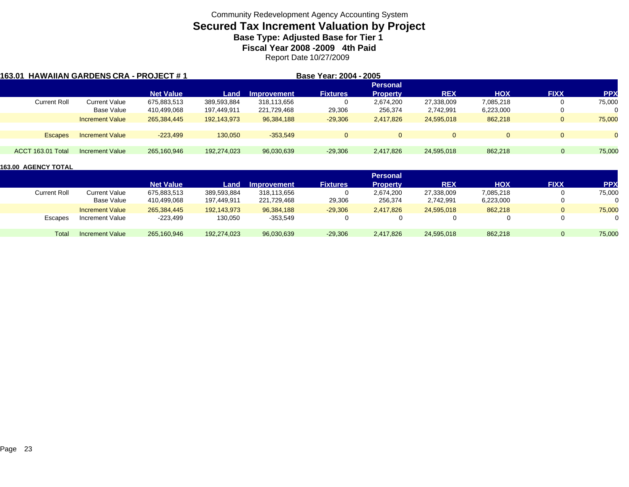### **Secured Tax Increment Valuation by Project**

**Base Type: Adjusted Base for Tier 1** 

**Fiscal Year 2008 -2009 4th Paid**

Report Date 10/27/2009

| 163.01 HAWAIIAN GARDENS CRA - PROJECT # 1 |                        |                  |             |                    | Base Year: 2004 - 2005 |                 |            |            |              |                |
|-------------------------------------------|------------------------|------------------|-------------|--------------------|------------------------|-----------------|------------|------------|--------------|----------------|
|                                           |                        |                  |             |                    |                        | <b>Personal</b> |            |            |              |                |
|                                           |                        | <b>Net Value</b> | Land        | <b>Improvement</b> | <b>Fixtures</b>        | <b>Property</b> | <b>REX</b> | <b>HOX</b> | <b>FIXX</b>  | <b>PPX</b>     |
| Current Roll                              | Current Value          | 675,883,513      | 389,593,884 | 318,113,656        | 0                      | 2,674,200       | 27,338,009 | 7,085,218  | 0            | 75,000         |
|                                           | Base Value             | 410,499,068      | 197,449,911 | 221,729,468        | 29,306                 | 256,374         | 2,742,991  | 6,223,000  | 0            |                |
|                                           | <b>Increment Value</b> | 265,384,445      | 192,143,973 | 96,384,188         | $-29,306$              | 2.417.826       | 24,595,018 | 862,218    | $\mathbf{0}$ | 75,000         |
| <b>Escapes</b>                            | <b>Increment Value</b> | $-223.499$       | 130.050     | $-353.549$         | $\Omega$               | $\mathbf{0}$    | $\Omega$   | $\Omega$   | $\Omega$     | $\overline{0}$ |
|                                           |                        |                  |             |                    |                        |                 |            |            |              |                |
| ACCT 163.01 Total                         | Increment Value        | 265,160,946      | 192,274,023 | 96,030,639         | $-29,306$              | 2,417,826       | 24,595,018 | 862,218    | $\Omega$     | 75,000         |

|                     |                        |                  |             |                    |                 | <b>Personal</b> |            |            |              |            |
|---------------------|------------------------|------------------|-------------|--------------------|-----------------|-----------------|------------|------------|--------------|------------|
|                     |                        | <b>Net Value</b> | Land        | <b>Improvement</b> | <b>Fixtures</b> | <b>Property</b> | <b>REX</b> | <b>HOX</b> | <b>FIXX</b>  | <b>PPX</b> |
| <b>Current Roll</b> | Current Value          | 675,883,513      | 389,593,884 | 318,113,656        |                 | 2.674.200       | 27,338,009 | 7,085,218  | 0            | 75,000     |
|                     | Base Value             | 410,499,068      | 197,449,911 | 221,729,468        | 29,306          | 256,374         | 2,742,991  | 6,223,000  | $\mathbf{0}$ | 0          |
|                     | <b>Increment Value</b> | 265,384,445      | 192,143,973 | 96,384,188         | $-29,306$       | 2,417,826       | 24.595.018 | 862,218    | 0            | 75,000     |
| Escapes             | Increment Value        | -223,499         | 130,050     | $-353,549$         |                 |                 |            |            | $\Omega$     | 0          |
| Total               | <b>Increment Value</b> | 265,160,946      | 192,274,023 | 96,030,639         | $-29,306$       | 2,417,826       | 24,595,018 | 862,218    | 0            | 75,000     |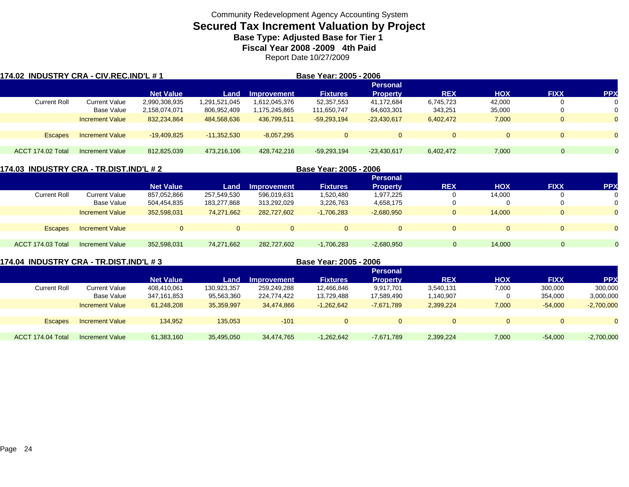### **Secured Tax Increment Valuation by Project**

**Base Type: Adjusted Base for Tier 1** 

**Fiscal Year 2008 -2009 4th Paid**

Report Date 10/27/2009

| 174.02 INDUSTRY CRA - CIV.REC.IND'L # 1 |                        |                  |               |               | Base Year: 2005 - 2006 |                 |            |            |              |                |
|-----------------------------------------|------------------------|------------------|---------------|---------------|------------------------|-----------------|------------|------------|--------------|----------------|
|                                         |                        |                  |               |               |                        | <b>Personal</b> |            |            |              |                |
|                                         |                        | <b>Net Value</b> | Land          | Improvement   | <b>Fixtures</b>        | <b>Property</b> | <b>REX</b> | <b>HOX</b> | <b>FIXX</b>  | <b>PPX</b>     |
| <b>Current Roll</b>                     | Current Value          | 2,990,308,935    | 1,291,521,045 | 1.612.045.376 | 52,357,553             | 41,172,684      | 6,745,723  | 42,000     |              | 0              |
|                                         | Base Value             | 2,158,074,071    | 806,952,409   | 1,175,245,865 | 111,650,747            | 64,603,301      | 343,251    | 35,000     | 0            | 0              |
|                                         | <b>Increment Value</b> | 832,234,864      | 484.568.636   | 436,799,511   | $-59,293,194$          | $-23,430,617$   | 6,402,472  | 7,000      | $\mathbf{0}$ | $\overline{0}$ |
|                                         |                        |                  |               |               |                        |                 |            |            |              |                |
| <b>Escapes</b>                          | <b>Increment Value</b> | $-19,409,825$    | $-11,352,530$ | $-8.057.295$  | $\mathbf{0}$           | 0               | $\Omega$   | $\Omega$   | $\Omega$     | $\mathbf{0}$   |
|                                         |                        |                  |               |               |                        |                 |            |            |              |                |
| ACCT 174.02 Total                       | Increment Value        | 812.825.039      | 473.216.106   | 428.742.216   | $-59,293,194$          | $-23,430,617$   | 6,402,472  | 7,000      | $\Omega$     |                |

| 174.03  INDUSTRY CRA - TR.DIST.IND'L # 2 |                        |                  |                |                    | Base Year: 2005 - 2006 |                 |            |            |              |            |
|------------------------------------------|------------------------|------------------|----------------|--------------------|------------------------|-----------------|------------|------------|--------------|------------|
|                                          |                        |                  |                |                    |                        | <b>Personal</b> |            |            |              |            |
|                                          |                        | <b>Net Value</b> | Land           | <b>Improvement</b> | <b>Fixtures</b>        | <b>Property</b> | <b>REX</b> | <b>HOX</b> | <b>FIXX</b>  | <b>PPX</b> |
| <b>Current Roll</b>                      | Current Value          | 857,052,866      | 257,549,530    | 596.019.631        | 1,520,480              | 1,977,225       |            | 14,000     | 0            |            |
|                                          | Base Value             | 504,454,835      | 183,277,868    | 313,292,029        | 3,226,763              | 4,658,175       |            |            |              |            |
|                                          | <b>Increment Value</b> | 352,598,031      | 74,271,662     | 282.727.602        | $-1,706,283$           | $-2,680,950$    |            | 14,000     | $\mathbf{0}$ |            |
|                                          |                        |                  |                |                    |                        |                 |            |            |              |            |
| <b>Escapes</b>                           | <b>Increment Value</b> | $\Omega$         | $\overline{0}$ | $\Omega$           | $\Omega$               | $\Omega$        |            | 0          | $\mathbf 0$  |            |
|                                          |                        |                  |                |                    |                        |                 |            |            |              |            |
| ACCT 174.03 Total                        | Increment Value        | 352,598,031      | 74,271,662     | 282,727,602        | $-1,706,283$           | $-2,680,950$    | 0          | 14,000     | $\Omega$     |            |
|                                          |                        |                  |                |                    |                        |                 |            |            |              |            |

### **174.04 INDUSTRY CRA - TR.DIST.IND'L # 3 Base Year: 2005 - 2006**

|                     |                        |                  |             |             |                 | <b>Personal</b> |            |            |              |              |
|---------------------|------------------------|------------------|-------------|-------------|-----------------|-----------------|------------|------------|--------------|--------------|
|                     |                        | <b>Net Value</b> | Land        | Improvement | <b>Fixtures</b> | <b>Property</b> | <b>REX</b> | <b>HOX</b> | <b>FIXX</b>  | <b>PPX</b>   |
| <b>Current Roll</b> | Current Value          | 408,410,061      | 130,923,357 | 259,249,288 | 12,466,846      | 9,917,701       | 3,540,131  | 7,000      | 300,000      | 300,000      |
|                     | Base Value             | 347,161,853      | 95,563,360  | 224,774,422 | 13,729,488      | 17,589,490      | 1,140,907  |            | 354,000      | 3,000,000    |
|                     | <b>Increment Value</b> | 61,248,208       | 35,359,997  | 34,474,866  | $-1,262,642$    | $-7,671,789$    | 2.399.224  | 7,000      | $-54.000$    | $-2,700,000$ |
|                     |                        |                  |             |             |                 |                 |            |            |              |              |
| <b>Escapes</b>      | <b>Increment Value</b> | 134,952          | 135,053     | $-101$      |                 | $\overline{0}$  | $\Omega$   | $\Omega$   | $\mathbf{0}$ | $\Omega$     |
|                     |                        |                  |             |             |                 |                 |            |            |              |              |
| ACCT 174.04 Total   | <b>Increment Value</b> | 61,383,160       | 35,495,050  | 34,474,765  | $-1,262,642$    | $-7,671,789$    | 2,399,224  | 7,000      | $-54.000$    | $-2,700,000$ |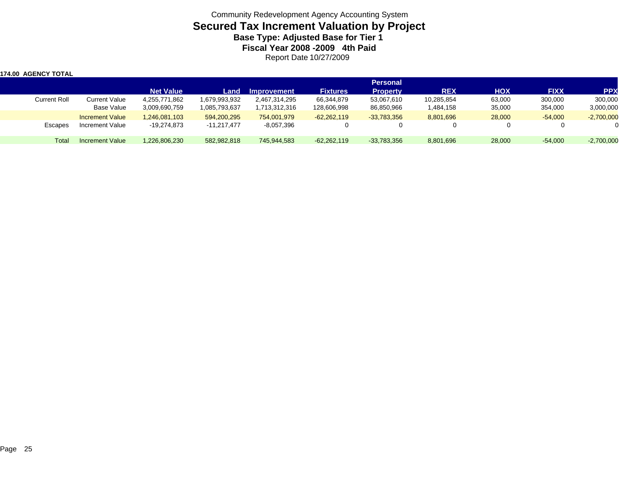Community Redevelopment Agency Accounting System **Secured Tax Increment Valuation by Project Base Type: Adjusted Base for Tier 1 Fiscal Year 2008 -2009 4th Paid** Report Date 10/27/2009

| 174.00 AGENCY TOTAL |                        |                  |               |               |                 |                 |            |            |             |              |
|---------------------|------------------------|------------------|---------------|---------------|-----------------|-----------------|------------|------------|-------------|--------------|
|                     |                        |                  |               |               |                 | <b>Personal</b> |            |            |             |              |
|                     |                        | <b>Net Value</b> | Land          | Improvement   | <b>Fixtures</b> | <b>Property</b> | <b>REX</b> | <b>HOX</b> | <b>FIXX</b> | <b>PPX</b>   |
| <b>Current Roll</b> | <b>Current Value</b>   | 4,255,771,862    | 1,679,993,932 | 2,467,314,295 | 66,344,879      | 53,067,610      | 10,285,854 | 63,000     | 300,000     | 300,000      |
|                     | Base Value             | 3,009,690,759    | 1,085,793,637 | 1,713,312,316 | 128,606,998     | 86,850,966      | 1,484,158  | 35,000     | 354,000     | 3,000,000    |
|                     | <b>Increment Value</b> | 1.246.081.103    | 594,200,295   | 754.001.979   | $-62,262,119$   | $-33,783,356$   | 8,801,696  | 28,000     | $-54,000$   | $-2,700,000$ |
| Escapes             | Increment Value        | -19,274,873      | $-11,217,477$ | -8,057,396    |                 |                 | 0          |            |             | $\Omega$     |
| Total               | Increment Value        | 1,226,806,230    | 582,982,818   | 745.944.583   | $-62,262,119$   | $-33,783,356$   | 8,801,696  | 28,000     | $-54,000$   | $-2,700,000$ |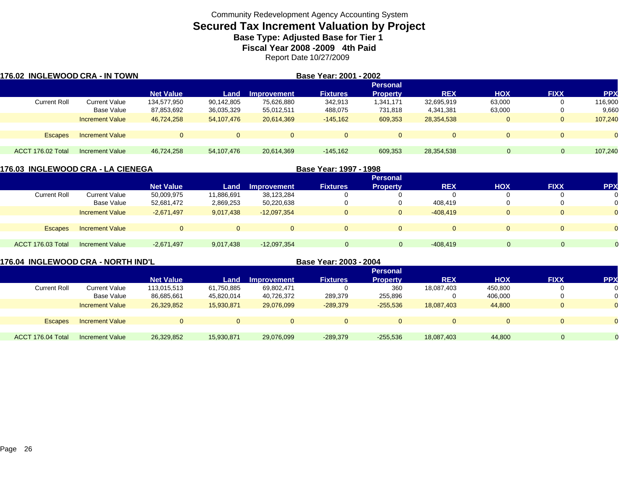# **Secured Tax Increment Valuation by Project**

**Base Type: Adjusted Base for Tier 1** 

**Fiscal Year 2008 -2009 4th Paid**

Report Date 10/27/2009

| 176.02 INGLEWOOD CRA - IN TOWN |                        |                  |              |                    | Base Year: 2001 - 2002 |                 |            |            |             |            |
|--------------------------------|------------------------|------------------|--------------|--------------------|------------------------|-----------------|------------|------------|-------------|------------|
|                                |                        |                  |              |                    |                        | <b>Personal</b> |            |            |             |            |
|                                |                        | <b>Net Value</b> | Land         | <b>Improvement</b> | <b>Fixtures</b>        | <b>Property</b> | <b>REX</b> | <b>HOX</b> | <b>FIXX</b> | <b>PPX</b> |
| <b>Current Roll</b>            | Current Value          | 134,577,950      | 90,142,805   | 75,626,880         | 342,913                | 1,341,171       | 32,695,919 | 63,000     |             | 116,900    |
|                                | Base Value             | 87,853,692       | 36,035,329   | 55,012,511         | 488,075                | 731,818         | 4,341,381  | 63,000     |             | 9,660      |
|                                | <b>Increment Value</b> | 46,724,258       | 54,107,476   | 20,614,369         | $-145.162$             | 609,353         | 28,354,538 | $\Omega$   | $\Omega$    | 107,240    |
| <b>Escapes</b>                 | <b>Increment Value</b> |                  | $\mathbf{0}$ | $\overline{0}$     | $\Omega$               | $\Omega$        | $\Omega$   | $\Omega$   |             | $\Omega$   |
|                                |                        |                  |              |                    |                        |                 |            |            |             |            |
| ACCT 176.02 Total              | <b>Increment Value</b> | 46,724,258       | 54,107,476   | 20,614,369         | $-145,162$             | 609,353         | 28,354,538 |            | $\Omega$    | 107,240    |

| 176.03  INGLEWOOD CRA - LA CIENEGA |                        |                  |              |                    | Base Year: 1997 - 1998 |                 |                |            |             |            |  |
|------------------------------------|------------------------|------------------|--------------|--------------------|------------------------|-----------------|----------------|------------|-------------|------------|--|
|                                    |                        |                  |              |                    |                        | <b>Personal</b> |                |            |             |            |  |
|                                    |                        | <b>Net Value</b> | Land         | <b>Improvement</b> | <b>Fixtures</b>        | <b>Property</b> | <b>REX</b>     | <b>HOX</b> | <b>FIXX</b> | <b>PPX</b> |  |
| <b>Current Roll</b>                | Current Value          | 50,009,975       | 11,886,691   | 38,123,284         |                        |                 |                |            |             | 0          |  |
|                                    | Base Value             | 52,681,472       | 2,869,253    | 50,220,638         |                        |                 | 408.419        |            |             | 0          |  |
|                                    | <b>Increment Value</b> | $-2,671,497$     | 9,017,438    | $-12,097,354$      |                        | $\overline{0}$  | $-408.419$     | $\Omega$   |             | $\Omega$   |  |
|                                    |                        |                  |              |                    |                        |                 |                |            |             |            |  |
| <b>Escapes</b>                     | <b>Increment Value</b> | $\Omega$         | $\mathbf{0}$ | $\Omega$           |                        | $\Omega$        | $\overline{0}$ | $\Omega$   | $\Omega$    | $\Omega$   |  |
|                                    |                        |                  |              |                    |                        |                 |                |            |             |            |  |
| ACCT 176.03 Total                  | Increment Value        | $-2,671,497$     | 9,017,438    | $-12,097,354$      | $\Omega$               | $\mathbf{0}$    | $-408,419$     | $\Omega$   | $\Omega$    | $\Omega$   |  |
|                                    |                        |                  |              |                    |                        |                 |                |            |             |            |  |

| 176.04 INGLEWOOD CRA - NORTH IND'L |                        |                  |            |             | Base Year: 2003 - 2004 |                 |            |            |                |            |
|------------------------------------|------------------------|------------------|------------|-------------|------------------------|-----------------|------------|------------|----------------|------------|
|                                    |                        |                  |            |             |                        | <b>Personal</b> |            |            |                |            |
|                                    |                        | <b>Net Value</b> | Land       | Improvement | <b>Fixtures</b>        | <b>Property</b> | <b>REX</b> | <b>HOX</b> | <b>FIXX</b>    | <b>PPX</b> |
| <b>Current Roll</b>                | Current Value          | 113.015.513      | 61,750,885 | 69,802,471  |                        | 360             | 18,087,403 | 450.800    | 0              |            |
|                                    | Base Value             | 86,685,661       | 45,820,014 | 40,726,372  | 289,379                | 255,896         |            | 406,000    | 0              |            |
|                                    | <b>Increment Value</b> | 26,329,852       | 15,930,871 | 29.076.099  | $-289,379$             | $-255.536$      | 18.087.403 | 44,800     | $\overline{0}$ | $\Omega$   |
|                                    |                        |                  |            |             |                        |                 |            |            |                |            |
| <b>Escapes</b>                     | <b>Increment Value</b> | $\Omega$         |            | $\Omega$    | $\Omega$               | $\mathbf{0}$    | $\Omega$   |            | $\overline{0}$ | $\Omega$   |
|                                    |                        |                  |            |             |                        |                 |            |            |                |            |
| ACCT 176.04 Total                  | Increment Value        | 26,329,852       | 15,930,871 | 29,076,099  | $-289,379$             | $-255,536$      | 18.087.403 | 44.800     | 0              |            |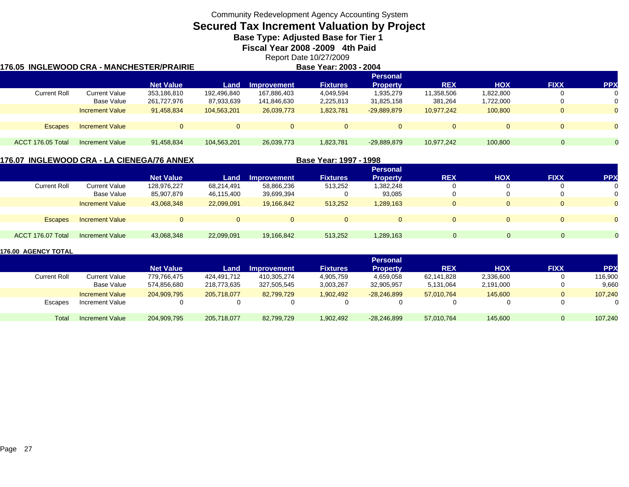# **Secured Tax Increment Valuation by Project**

**Base Type: Adjusted Base for Tier 1** 

**Fiscal Year 2008 -2009 4th Paid**

Report Date 10/27/2009

### **176.05 INGLEWOOD CRA - MANCHESTER/PRAIRIE**

**Base Year: 2003 - 2004**

|                     |                        |                  |             |                    |                 | Personal        |            |            |             |            |
|---------------------|------------------------|------------------|-------------|--------------------|-----------------|-----------------|------------|------------|-------------|------------|
|                     |                        | <b>Net Value</b> | Land        | <b>Improvement</b> | <b>Fixtures</b> | <b>Property</b> | <b>REX</b> | <b>HOX</b> | <b>FIXX</b> | <b>PPX</b> |
| <b>Current Roll</b> | Current Value          | 353.186.810      | 192,496,840 | 167,886,403        | 4,049,594       | 1,935,279       | 11,358,506 | 1,822,800  |             | $\Omega$   |
|                     | <b>Base Value</b>      | 261,727,976      | 87,933,639  | 141,846,630        | 2,225,813       | 31,825,158      | 381,264    | 1,722,000  |             |            |
|                     | <b>Increment Value</b> | 91,458,834       | 104,563,201 | 26,039,773         | 1,823,781       | $-29,889,879$   | 10.977.242 | 100,800    |             | $\Omega$   |
|                     |                        |                  |             |                    |                 |                 |            |            |             |            |
| <b>Escapes</b>      | <b>Increment Value</b> | 0                |             |                    |                 |                 | $\Omega$   |            |             |            |
|                     |                        |                  |             |                    |                 |                 |            |            |             |            |
| ACCT 176.05 Total   | <b>Increment Value</b> | 91,458,834       | 104,563,201 | 26,039,773         | 1,823,781       | $-29,889,879$   | 10.977.242 | 100,800    | 0           |            |
|                     |                        |                  |             |                    |                 |                 |            |            |             |            |

### **176.07 INGLEWOOD CRA - LA CIENEGA/76 ANNEX**

**Base Year: 1997 - 1998**

|                        |                  |            |             |                 | <b>Personal</b> |            |            |             |            |
|------------------------|------------------|------------|-------------|-----------------|-----------------|------------|------------|-------------|------------|
|                        | <b>Net Value</b> | Land       | Improvement | <b>Fixtures</b> | <b>Property</b> | <b>REX</b> | <b>HOX</b> | <b>FIXX</b> | <b>PPX</b> |
| <b>Current Value</b>   | 128,976,227      | 68,214,491 | 58,866,236  | 513,252         | 1,382,248       |            |            |             |            |
| Base Value             | 85,907,879       | 46,115,400 | 39,699,394  |                 | 93,085          |            |            |             |            |
| <b>Increment Value</b> | 43,068,348       | 22,099,091 | 19,166,842  | 513,252         | 1,289,163       |            |            |             |            |
|                        |                  |            |             |                 |                 |            |            |             |            |
| <b>Increment Value</b> | $\Omega$         |            | $\Omega$    |                 | $\Omega$        |            |            |             |            |
|                        |                  |            |             |                 |                 |            |            |             |            |
| <b>Increment Value</b> | 43,068,348       | 22,099,091 | 19,166,842  | 513,252         | 1,289,163       |            |            | $\Omega$    | 0          |
|                        |                  |            |             |                 |                 |            |            |             |            |

|                     |                        |                  |             |             |                 | <b>Personal</b> |            |            |             |            |
|---------------------|------------------------|------------------|-------------|-------------|-----------------|-----------------|------------|------------|-------------|------------|
|                     |                        | <b>Net Value</b> | Land        | Improvement | <b>Fixtures</b> | <b>Property</b> | <b>REX</b> | <b>HOX</b> | <b>FIXX</b> | <b>PPX</b> |
| <b>Current Roll</b> | <b>Current Value</b>   | 779.766.475      | 424,491,712 | 410.305.274 | 4,905,759       | 4,659,058       | 62,141,828 | 2,336,600  |             | 116,900    |
|                     | Base Value             | 574.856.680      | 218,773,635 | 327.505.545 | 3,003,267       | 32,905,957      | 5,131,064  | 2,191,000  |             | 9,660      |
|                     | <b>Increment Value</b> | 204.909.795      | 205.718.077 | 82.799.729  | 1,902,492       | $-28.246.899$   | 57.010.764 | 145,600    |             | 107,240    |
| Escapes             | Increment Value        |                  |             |             |                 | 0               |            |            |             |            |
| Totai               | <b>Increment Value</b> | 204,909,795      | 205,718,077 | 82,799,729  | 1,902,492       | $-28,246,899$   | 57,010,764 | 145,600    |             | 107,240    |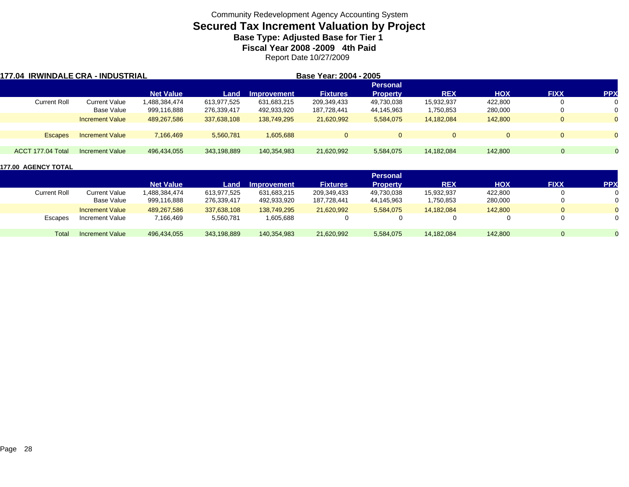# **Secured Tax Increment Valuation by Project**

**Base Type: Adjusted Base for Tier 1** 

**Fiscal Year 2008 -2009 4th Paid**

Report Date 10/27/2009

|                   | 177.04 IRWINDALE CRA - INDUSTRIAL |                  |             |                    | Base Year: 2004 - 2005 |                 |            |            |             |              |
|-------------------|-----------------------------------|------------------|-------------|--------------------|------------------------|-----------------|------------|------------|-------------|--------------|
|                   |                                   |                  |             |                    |                        | <b>Personal</b> |            |            |             |              |
|                   |                                   | <b>Net Value</b> | Land        | <b>Improvement</b> | <b>Fixtures</b>        | <b>Property</b> | <b>REX</b> | <b>HOX</b> | <b>FIXX</b> | <b>PPX</b>   |
| Current Roll      | Current Value                     | 1,488,384,474    | 613,977,525 | 631,683,215        | 209,349,433            | 49,730,038      | 15,932,937 | 422.800    |             | 0            |
|                   | Base Value                        | 999,116,888      | 276,339,417 | 492,933,920        | 187,728,441            | 44,145,963      | 1,750,853  | 280,000    | 0           | 0            |
|                   | <b>Increment Value</b>            | 489,267,586      | 337,638,108 | 138,749,295        | 21,620,992             | 5,584,075       | 14,182,084 | 142,800    | $\Omega$    | $\mathbf{0}$ |
|                   |                                   |                  |             |                    |                        |                 |            |            |             |              |
| <b>Escapes</b>    | <b>Increment Value</b>            | 7,166,469        | 5,560,781   | 1.605.688          | $\Omega$               | $\overline{0}$  |            | $\Omega$   | $\Omega$    | $\mathbf{0}$ |
|                   |                                   |                  |             |                    |                        |                 |            |            |             |              |
| ACCT 177.04 Total | Increment Value                   | 496,434,055      | 343,198,889 | 140,354,983        | 21,620,992             | 5,584,075       | 14,182,084 | 142,800    |             |              |
|                   |                                   |                  |             |                    |                        |                 |            |            |             |              |

|                     |                        |                  |             |                    |                 | <b>Personal</b> |            |            |                |              |
|---------------------|------------------------|------------------|-------------|--------------------|-----------------|-----------------|------------|------------|----------------|--------------|
|                     |                        | <b>Net Value</b> | Land        | <b>Improvement</b> | <b>Fixtures</b> | <b>Property</b> | <b>REX</b> | <b>HOX</b> | <b>FIXX</b>    | <b>PPX</b>   |
| <b>Current Roll</b> | <b>Current Value</b>   | 1,488,384,474    | 613.977.525 | 631,683,215        | 209,349,433     | 49,730,038      | 15,932,937 | 422.800    | $\mathbf{0}$   | $\mathbf{0}$ |
|                     | Base Value             | 999,116,888      | 276,339,417 | 492,933,920        | 187,728,441     | 44,145,963      | 1,750,853  | 280,000    | $\Omega$       | $\Omega$     |
|                     | <b>Increment Value</b> | 489,267,586      | 337,638,108 | 138,749,295        | 21,620,992      | 5,584,075       | 14,182,084 | 142,800    | $\overline{0}$ | $\Omega$     |
| Escapes             | Increment Value        | 7,166,469        | 5,560,781   | 1,605,688          |                 |                 |            |            | 0              | 0            |
| Total               | <b>Increment Value</b> | 496,434,055      | 343,198,889 | 140,354,983        | 21,620,992      | 5,584,075       | 14,182,084 | 142,800    | 0              |              |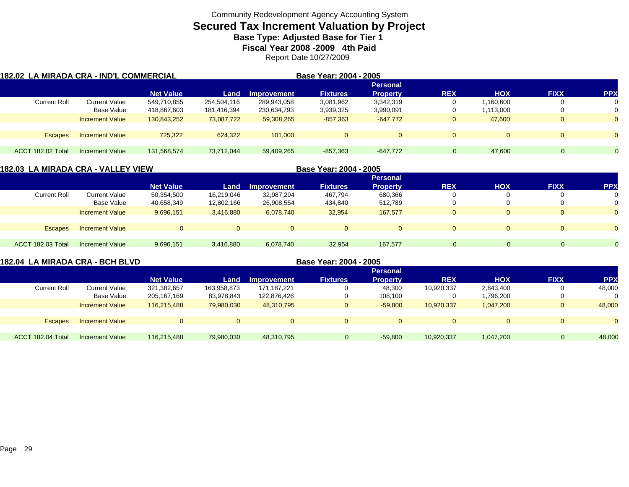# **Secured Tax Increment Valuation by Project**

**Base Type: Adjusted Base for Tier 1** 

**Fiscal Year 2008 -2009 4th Paid**

Report Date 10/27/2009

| 182.02  LA MIRADA CRA - IND'L COMMERCIAL |                        |                  |             |                    | Base Year: 2004 - 2005 |                 |              |            |              |                |
|------------------------------------------|------------------------|------------------|-------------|--------------------|------------------------|-----------------|--------------|------------|--------------|----------------|
|                                          |                        |                  |             |                    |                        | <b>Personal</b> |              |            |              |                |
|                                          |                        | <b>Net Value</b> | Land        | <b>Improvement</b> | <b>Fixtures</b>        | <b>Property</b> | <b>REX</b>   | <b>HOX</b> | <b>FIXX</b>  | <b>PPX</b>     |
| <b>Current Roll</b>                      | Current Value          | 549,710,855      | 254,504,116 | 289,943,058        | 3,081,962              | 3,342,319       |              | .160,600   |              |                |
|                                          | Base Value             | 418,867,603      | 181,416,394 | 230,634,793        | 3,939,325              | 3,990,091       |              | 1,113,000  |              | 0              |
|                                          | <b>Increment Value</b> | 130,843,252      | 73.087.722  | 59,308,265         | $-857,363$             | $-647.772$      | U            | 47,600     |              | $\Omega$       |
| <b>Escapes</b>                           | <b>Increment Value</b> | 725,322          | 624,322     | 101.000            | $\mathbf 0$            |                 | $\Omega$     |            | $\mathbf{0}$ | $\overline{0}$ |
|                                          |                        |                  |             |                    |                        |                 |              |            |              |                |
| ACCT 182.02 Total                        | Increment Value        | 131.568.574      | 73,712,044  | 59,409,265         | $-857,363$             | $-647,772$      | $\mathbf{0}$ | 47.600     | $\mathbf{0}$ |                |

| 182.03  LA MIRADA CRA - VALLEY VIEW |                        |                  |            |             | Base Year: 2004 - 2005 |                 |            |            |             |            |
|-------------------------------------|------------------------|------------------|------------|-------------|------------------------|-----------------|------------|------------|-------------|------------|
|                                     |                        |                  |            |             |                        | <b>Personal</b> |            |            |             |            |
|                                     |                        | <b>Net Value</b> | Land       | Improvement | <b>Fixtures</b>        | <b>Property</b> | <b>REX</b> | <b>XOH</b> | <b>FIXX</b> | <b>PPX</b> |
| <b>Current Roll</b>                 | Current Value          | 50,354,500       | 16,219,046 | 32,987,294  | 467.794                | 680,366         |            |            | 0           | 0          |
|                                     | Base Value             | 40,658,349       | 12,802,166 | 26,908,554  | 434,840                | 512,789         |            |            | 0           | 0          |
|                                     | <b>Increment Value</b> | 9,696,151        | 3,416,880  | 6,078,740   | 32,954                 | 167,577         |            | $\Omega$   | $\Omega$    | $\Omega$   |
|                                     |                        |                  |            |             |                        |                 |            |            |             |            |
| Escapes                             | <b>Increment Value</b> |                  | $\Omega$   | $\Omega$    |                        | $\mathbf{0}$    |            | $\Omega$   | $\Omega$    | $\Omega$   |
|                                     |                        |                  |            |             |                        |                 |            |            |             |            |
| ACCT 182.03 Total                   | Increment Value        | 9,696,151        | 3,416,880  | 6,078,740   | 32,954                 | 167.577         | $\Omega$   | $\Omega$   | $\Omega$    |            |
|                                     |                        |                  |            |             |                        |                 |            |            |             |            |

|                   | 182.04 LA MIRADA CRA - BCH BLVD |                  |             |                    | Base Year: 2004 - 2005 |                 |            |              |              |            |
|-------------------|---------------------------------|------------------|-------------|--------------------|------------------------|-----------------|------------|--------------|--------------|------------|
|                   |                                 |                  |             |                    |                        | <b>Personal</b> |            |              |              |            |
|                   |                                 | <b>Net Value</b> | Land        | <b>Improvement</b> | <b>Fixtures</b>        | <b>Property</b> | <b>REX</b> | <b>HOX</b>   | <b>FIXX</b>  | <b>PPX</b> |
| Current Roll      | Current Value                   | 321,382,657      | 163,958,873 | 171,187,221        |                        | 48,300          | 10,920,337 | 2,843,400    | 0            | 48,000     |
|                   | Base Value                      | 205, 167, 169    | 83,978,843  | 122,876,426        |                        | 108.100         |            | 1,796,200    | 0            | 0          |
|                   | <b>Increment Value</b>          | 116.215.488      | 79.980.030  | 48.310.795         | 0                      | $-59.800$       | 10,920,337 | 1.047.200    | 0            | 48,000     |
|                   |                                 |                  |             |                    |                        |                 |            |              |              |            |
| <b>Escapes</b>    | <b>Increment Value</b>          |                  | $\Omega$    | $\Omega$           | $\Omega$               |                 | 0          | $\mathbf{0}$ | $\mathbf{0}$ |            |
|                   |                                 |                  |             |                    |                        |                 |            |              |              |            |
| ACCT 182.04 Total | Increment Value                 | 116,215,488      | 79,980,030  | 48,310,795         | 0                      | $-59,800$       | 10,920,337 | 1,047,200    | $\Omega$     | 48,000     |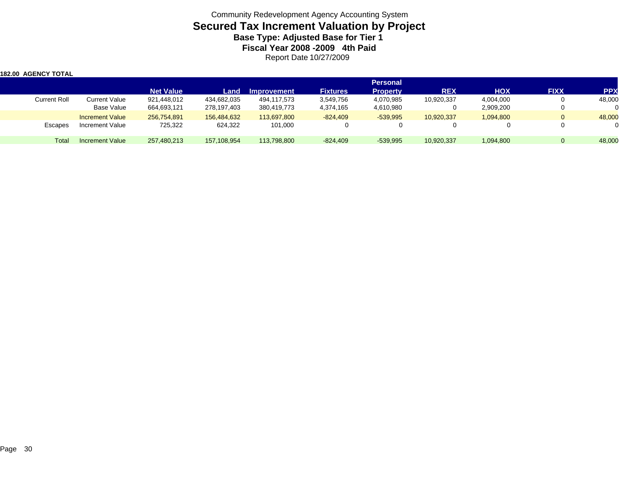Community Redevelopment Agency Accounting System **Secured Tax Increment Valuation by Project Base Type: Adjusted Base for Tier 1 Fiscal Year 2008 -2009 4th Paid** Report Date 10/27/2009

| <b>182.00 AGENCY TOTAL</b> |                        |                  |             |                    |                 |                 |            |            |              |        |
|----------------------------|------------------------|------------------|-------------|--------------------|-----------------|-----------------|------------|------------|--------------|--------|
|                            |                        |                  |             |                    |                 | <b>Personal</b> |            |            |              |        |
|                            |                        | <b>Net Value</b> | Land        | <b>Improvement</b> | <b>Fixtures</b> | <b>Property</b> | <b>REX</b> | <b>HOX</b> | <b>FIXX</b>  | PP)    |
| <b>Current Roll</b>        | <b>Current Value</b>   | 921,448,012      | 434,682,035 | 494,117,573        | 3,549,756       | 4,070,985       | 10,920,337 | 4,004,000  | 0            | 48,000 |
|                            | Base Value             | 664,693,121      | 278,197,403 | 380,419,773        | 4,374,165       | 4,610,980       |            | 2,909,200  | $\mathbf{0}$ |        |
|                            | <b>Increment Value</b> | 256.754.891      | 156.484.632 | 113.697.800        | $-824.409$      | $-539.995$      | 10,920,337 | 1,094,800  | $\mathbf{0}$ | 48,000 |
| Escapes                    | Increment Value        | 725,322          | 624,322     | 101,000            |                 |                 |            |            | 0            |        |
| Total                      | <b>Increment Value</b> | 257,480,213      | 157,108,954 | 113,798,800        | $-824,409$      | $-539,995$      | 10,920,337 | 1,094,800  | $\Omega$     | 48,000 |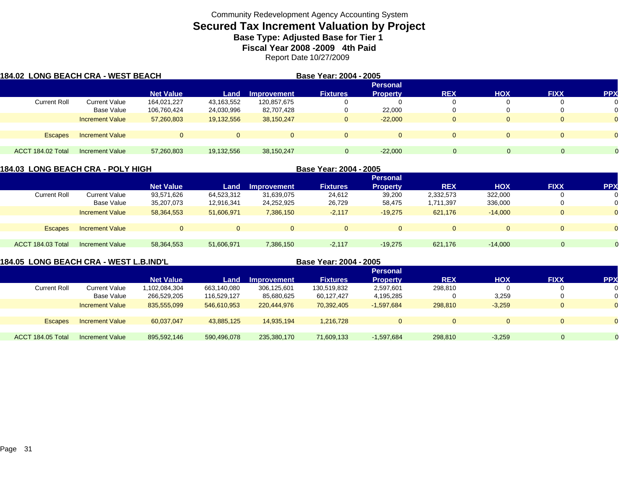# **Secured Tax Increment Valuation by Project**

**Base Type: Adjusted Base for Tier 1** 

**Fiscal Year 2008 -2009 4th Paid**

Report Date 10/27/2009

| 184.02  LONG BEACH CRA - WEST BEACH |                        |                  |            |                    | Base Year: 2004 - 2005 |                 |              |            |              |            |
|-------------------------------------|------------------------|------------------|------------|--------------------|------------------------|-----------------|--------------|------------|--------------|------------|
|                                     |                        |                  |            |                    |                        | <b>Personal</b> |              |            |              |            |
|                                     |                        | <b>Net Value</b> | Land       | <b>Improvement</b> | <b>Fixtures</b>        | <b>Property</b> | <b>REX</b>   | <b>HOX</b> | <b>FIXX</b>  | <b>PPX</b> |
| <b>Current Roll</b>                 | Current Value          | 164,021,227      | 43,163,552 | 120.857.675        |                        |                 |              |            |              | 0          |
|                                     | Base Value             | 106,760,424      | 24,030,996 | 82,707,428         |                        | 22,000          |              |            |              | 0          |
|                                     | <b>Increment Value</b> | 57,260,803       | 19,132,556 | 38,150,247         | $\overline{0}$         | $-22.000$       | $\mathbf{0}$ |            | $\mathbf{0}$ | $\Omega$   |
| Escapes                             | <b>Increment Value</b> |                  | 0          | $\Omega$           | $\Omega$               | $\Omega$        | $\Omega$     |            | $\Omega$     | $\Omega$   |
|                                     |                        |                  |            |                    |                        |                 |              |            |              |            |
| ACCT 184.02 Total                   | <b>Increment Value</b> | 57,260,803       | 19,132,556 | 38,150,247         | $\Omega$               | $-22,000$       | $\Omega$     |            | $\Omega$     |            |

| 184.03  LONG BEACH CRA - POLY HIGH |                        |                  |            |                    | Base Year: 2004 - 2005 |                 |                |            |                |            |  |
|------------------------------------|------------------------|------------------|------------|--------------------|------------------------|-----------------|----------------|------------|----------------|------------|--|
|                                    |                        |                  |            |                    |                        | <b>Personal</b> |                |            |                |            |  |
|                                    |                        | <b>Net Value</b> | Land       | <b>Improvement</b> | <b>Fixtures</b>        | <b>Property</b> | <b>REX</b>     | <b>HOX</b> | <b>FIXX</b>    | <b>PPX</b> |  |
| <b>Current Roll</b>                | Current Value          | 93,571,626       | 64,523,312 | 31,639,075         | 24,612                 | 39,200          | 2,332,573      | 322,000    |                | 0          |  |
|                                    | Base Value             | 35,207,073       | 12,916,341 | 24,252,925         | 26,729                 | 58,475          | 1,711,397      | 336,000    |                | 0          |  |
|                                    | <b>Increment Value</b> | 58,364,553       | 51,606,971 | 7,386,150          | $-2,117$               | $-19,275$       | 621,176        | $-14.000$  | $\overline{0}$ | $\Omega$   |  |
|                                    |                        |                  |            |                    |                        |                 |                |            |                |            |  |
| Escapes                            | <b>Increment Value</b> | $\Omega$         | $\Omega$   |                    |                        | $\Omega$        | $\overline{0}$ | $\Omega$   | $\Omega$       | $\Omega$   |  |
|                                    |                        |                  |            |                    |                        |                 |                |            |                |            |  |
| ACCT 184.03 Total                  | Increment Value        | 58,364,553       | 51,606,971 | 7,386,150          | $-2,117$               | $-19.275$       | 621,176        | $-14.000$  | $\Omega$       |            |  |
|                                    |                        |                  |            |                    |                        |                 |                |            |                |            |  |

**184.05 LONG BEACH CRA - WEST L.B.IND'L**

**Base Year: 2004 - 2005**

|                     |                        |                  |             |                    |                 | <b>Personal</b> |            |              |              |                |
|---------------------|------------------------|------------------|-------------|--------------------|-----------------|-----------------|------------|--------------|--------------|----------------|
|                     |                        | <b>Net Value</b> | Land        | <b>Improvement</b> | <b>Fixtures</b> | <b>Property</b> | <b>REX</b> | <b>HOX</b>   | <b>FIXX</b>  | <b>PPX</b>     |
| <b>Current Roll</b> | Current Value          | 1,102,084,304    | 663,140,080 | 306,125,601        | 130,519,832     | 2,597,601       | 298,810    |              | <sup>0</sup> | 0              |
|                     | <b>Base Value</b>      | 266,529,205      | 116,529,127 | 85,680,625         | 60,127,427      | 4,195,285       |            | 3,259        |              | 0              |
|                     | <b>Increment Value</b> | 835,555,099      | 546,610,953 | 220.444.976        | 70,392,405      | $-1.597.684$    | 298,810    | $-3,259$     | 0            | $\overline{0}$ |
|                     |                        |                  |             |                    |                 |                 |            |              |              |                |
| <b>Escapes</b>      | <b>Increment Value</b> | 60,037,047       | 43,885,125  | 14,935,194         | 1,216,728       | 0               |            | $\mathbf{0}$ | U            | $\overline{0}$ |
|                     |                        |                  |             |                    |                 |                 |            |              |              |                |
| ACCT 184.05 Total   | <b>Increment Value</b> | 895,592,146      | 590,496,078 | 235,380,170        | 71,609,133      | $-1,597,684$    | 298,810    | $-3,259$     | $\Omega$     | $\Omega$       |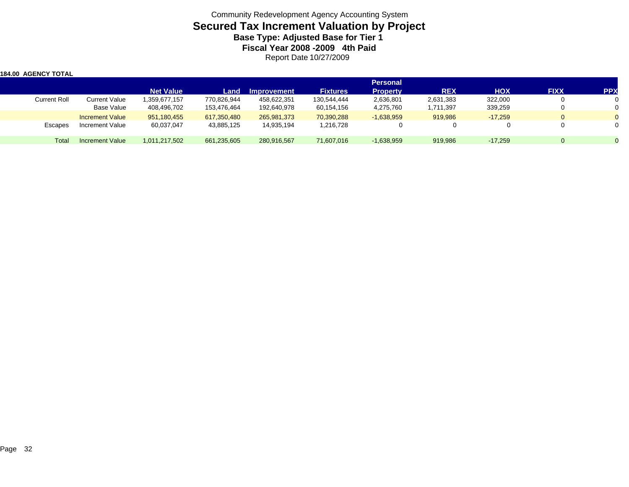Community Redevelopment Agency Accounting System **Secured Tax Increment Valuation by Project Base Type: Adjusted Base for Tier 1 Fiscal Year 2008 -2009 4th Paid** Report Date 10/27/2009

| <b>184.00 AGENCY TOTAL</b> |                        |                  |             |                    |                 |                 |            |            |                |            |
|----------------------------|------------------------|------------------|-------------|--------------------|-----------------|-----------------|------------|------------|----------------|------------|
|                            |                        |                  |             |                    |                 | <b>Personal</b> |            |            |                |            |
|                            |                        | <b>Net Value</b> | Land        | <b>Improvement</b> | <b>Fixtures</b> | <b>Property</b> | <b>REX</b> | <b>HOX</b> | <b>FIXX</b>    | <b>PPX</b> |
| Current Roll               | Current Value          | 1,359,677,157    | 770,826,944 | 458,622,351        | 130,544,444     | 2,636,801       | 2,631,383  | 322,000    | 0              |            |
|                            | Base Value             | 408,496,702      | 153,476,464 | 192,640,978        | 60,154,156      | 4,275,760       | 1,711,397  | 339,259    | 0              |            |
|                            | <b>Increment Value</b> | 951,180,455      | 617,350,480 | 265,981,373        | 70,390,288      | $-1,638,959$    | 919,986    | $-17.259$  | $\overline{0}$ |            |
| Escapes                    | Increment Value        | 60,037,047       | 43,885,125  | 14,935,194         | 1,216,728       |                 |            |            | 0              |            |
| Total                      | Increment Value        | 1,011,217,502    | 661,235,605 | 280,916,567        | 71,607,016      | $-1,638,959$    | 919,986    | $-17.259$  | $\Omega$       |            |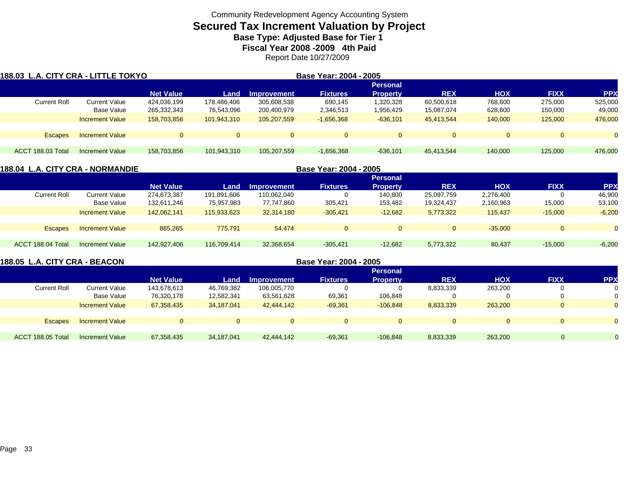### **Secured Tax Increment Valuation by Project**

**Base Type: Adjusted Base for Tier 1** 

**Fiscal Year 2008 -2009 4th Paid**

Report Date 10/27/2009

| 188.03 L.A. CITY CRA - LITTLE TOKYO |                        |                  |                 |             | Base Year: 2004 - 2005 |                 |            |            |             |            |  |  |
|-------------------------------------|------------------------|------------------|-----------------|-------------|------------------------|-----------------|------------|------------|-------------|------------|--|--|
|                                     |                        |                  | <b>Personal</b> |             |                        |                 |            |            |             |            |  |  |
|                                     |                        | <b>Net Value</b> | Land            | Improvement | <b>Fixtures</b>        | <b>Property</b> | <b>REX</b> | <b>HOX</b> | <b>FIXX</b> | <b>PPX</b> |  |  |
| <b>Current Roll</b>                 | Current Value          | 424,036,199      | 178.486.406     | 305,608,538 | 690.145                | 1,320,328       | 60,500,618 | 768.600    | 275,000     | 525,000    |  |  |
|                                     | Base Value             | 265,332,343      | 76,543,096      | 200,400,979 | 2,346,513              | 1,956,429       | 15,087,074 | 628,600    | 150,000     | 49,000     |  |  |
|                                     | <b>Increment Value</b> | 158,703,856      | 101,943,310     | 105.207.559 | $-1,656,368$           | $-636.101$      | 45.413.544 | 140,000    | 125,000     | 476,000    |  |  |
| <b>Escapes</b>                      | <b>Increment Value</b> | $\Omega$         | 0               | $\Omega$    | $\Omega$               | $\Omega$        |            |            |             |            |  |  |
|                                     |                        |                  |                 |             |                        |                 |            |            |             |            |  |  |
| ACCT 188.03 Total                   | Increment Value        | 158,703,856      | 101,943,310     | 105,207,559 | $-1,656,368$           | $-636.101$      | 45.413.544 | 140.000    | 125,000     | 476,000    |  |  |

| 188.04 L.A. CITY CRA - NORMANDIE |                        |                  |                 | Base Year: 2004 - 2005 |                 |                 |            |            |             |            |  |  |  |  |
|----------------------------------|------------------------|------------------|-----------------|------------------------|-----------------|-----------------|------------|------------|-------------|------------|--|--|--|--|
|                                  |                        |                  | <b>Personal</b> |                        |                 |                 |            |            |             |            |  |  |  |  |
|                                  |                        | <b>Net Value</b> | Land            | Improvement            | <b>Fixtures</b> | <b>Property</b> | <b>REX</b> | <b>HOX</b> | <b>FIXX</b> | <b>PPX</b> |  |  |  |  |
| <b>Current Roll</b>              | Current Value          | 274,673,387      | 191.891.606     | 110,062,040            |                 | 140.800         | 25,097,759 | 2,276,400  |             | 46,900     |  |  |  |  |
|                                  | Base Value             | 132,611,246      | 75,957,983      | 77,747,860             | 305,421         | 153,482         | 19,324,437 | 2,160,963  | 15,000      | 53,100     |  |  |  |  |
|                                  | <b>Increment Value</b> | 142.062.141      | 115,933,623     | 32,314,180             | $-305,421$      | $-12,682$       | 5,773,322  | 115,437    | $-15,000$   | $-6,200$   |  |  |  |  |
|                                  |                        |                  |                 |                        |                 |                 |            |            |             |            |  |  |  |  |
| <b>Escapes</b>                   | <b>Increment Value</b> | 865.265          | 775.791         | 54.474                 | $\Omega$        | $\mathbf{0}$    | $\Omega$   | $-35.000$  | $\Omega$    |            |  |  |  |  |
|                                  |                        |                  |                 |                        |                 |                 |            |            |             |            |  |  |  |  |
| ACCT 188.04 Total                | Increment Value        | 142,927,406      | 116.709.414     | 32,368,654             | $-305,421$      | $-12,682$       | 5,773,322  | 80,437     | $-15,000$   | $-6,200$   |  |  |  |  |
|                                  |                        |                  |                 |                        |                 |                 |            |            |             |            |  |  |  |  |

|                     | 188.05 L.A. CITY CRA - BEACON |                  |            |                    | Base Year: 2004 - 2005 |                 |            |            |                |            |  |  |  |
|---------------------|-------------------------------|------------------|------------|--------------------|------------------------|-----------------|------------|------------|----------------|------------|--|--|--|
|                     |                               | <b>Personal</b>  |            |                    |                        |                 |            |            |                |            |  |  |  |
|                     |                               | <b>Net Value</b> | /Land      | <b>Improvement</b> | <b>Fixtures</b>        | <b>Property</b> | <b>REX</b> | <b>HOX</b> | <b>FIXX</b>    | <b>PPX</b> |  |  |  |
| <b>Current Roll</b> | Current Value                 | 143,678,613      | 46,769,382 | 106,005,770        |                        |                 | 8,833,339  | 263,200    |                |            |  |  |  |
|                     | Base Value                    | 76,320,178       | 12,582,341 | 63,561,628         | 69,361                 | 106,848         |            |            |                |            |  |  |  |
|                     | <b>Increment Value</b>        | 67,358,435       | 34,187,041 | 42,444,142         | $-69,361$              | $-106,848$      | 8,833,339  | 263,200    | $\mathbf{0}$   |            |  |  |  |
|                     |                               |                  |            |                    |                        |                 |            |            |                |            |  |  |  |
| <b>Escapes</b>      | <b>Increment Value</b>        |                  | $\Omega$   | $\Omega$           | $\Omega$               |                 |            |            | $\overline{0}$ |            |  |  |  |
|                     |                               |                  |            |                    |                        |                 |            |            |                |            |  |  |  |
| ACCT 188.05 Total   | <b>Increment Value</b>        | 67,358,435       | 34,187,041 | 42.444.142         | $-69,361$              | $-106.848$      | 8,833,339  | 263,200    | $\mathbf 0$    |            |  |  |  |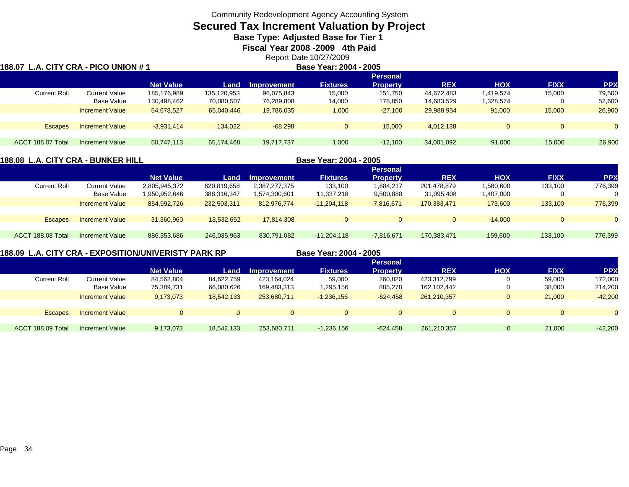# **Secured Tax Increment Valuation by Project**

**Base Type: Adjusted Base for Tier 1** 

**Fiscal Year 2008 -2009 4th Paid**

Report Date 10/27/2009<br>**Base Year: 2004 - 2005** 

#### **188.07 L.A. CITY CRA - PICO UNION # 1 Base Year: 2004 - 2005 Personal Net Value Land Improvement Fixtures Property REX HOX FIXX PPX** Current Roll Current Value 185,176,989 135,120,953 96,075,843 15,000 151,750 44,672,483 1,419,574 15,000 79,500 Base Value 130,498,462 70,080,507 76,289,808 14,000 178,850 14,683,529 1,328,574 0 52,600 Increment Value 54,678,527 65,040,446 19,786,035 1,000 -27,100 29,988,954 91,000 15,000 26,900 Escapes Increment Value -3,931,414 134,022 -68,298 0 15,000 4,012,138 0 0 ACCT 188.07 TotalIncrement Value 50,747,113 65,174,468 19,717,737 1,000 -12,100 34,001,092 91,000 15,000 26,900

### **188.08 L.A. CITY CRA - BUNKER HILL**

**Base Year: 2004 - 2005**

|                   |                        |                  |             |                    |                 | <b>Personal</b> |             |            |              |            |
|-------------------|------------------------|------------------|-------------|--------------------|-----------------|-----------------|-------------|------------|--------------|------------|
|                   |                        | <b>Net Value</b> | Land        | <b>Improvement</b> | <b>Fixtures</b> | <b>Property</b> | <b>REX</b>  | <b>HOX</b> | <b>FIXX</b>  | <b>PPX</b> |
| Current Roll      | Current Value          | 2,805,945,372    | 620,819,658 | 2,387,277,375      | 133,100         | 1,684,217       | 201,478,879 | .580,600   | 133,100      | 776,399    |
|                   | <b>Base Value</b>      | 950,952,646.     | 388,316,347 | 1,574,300,601      | 11,337,218      | 9,500,888       | 31,095,408  | 1,407,000  | $\mathbf{0}$ |            |
|                   | <b>Increment Value</b> | 854,992,726      | 232,503,311 | 812.976.774        | $-11,204,118$   | $-7,816,671$    | 170.383.471 | 173,600    | 133,100      | 776,399    |
|                   |                        |                  |             |                    |                 |                 |             |            |              |            |
| <b>Escapes</b>    | <b>Increment Value</b> | 31,360,960       | 13,532,652  | 17.814.308         | $\Omega$        | $\Omega$        |             | $-14.000$  | $\Omega$     | $\Omega$   |
|                   |                        |                  |             |                    |                 |                 |             |            |              |            |
| ACCT 188.08 Total | <b>Increment Value</b> | 886,353,686      | 246,035,963 | 830,791,082        | $-11,204,118$   | $-7,816,671$    | 170,383,471 | 159,600    | 133,100      | 776,399    |
|                   |                        |                  |             |                    |                 |                 |             |            |              |            |

**188.09 L.A. CITY CRA - EXPOSITION/UNIVERISTY PARK RP**

**Base Year: 2004 - 2005**

|                     |                        |                  |            |             | _ _ _ _ . _ _ . _ _ . | ----            |             |              |             |            |
|---------------------|------------------------|------------------|------------|-------------|-----------------------|-----------------|-------------|--------------|-------------|------------|
|                     |                        |                  |            |             |                       | <b>Personal</b> |             |              |             |            |
|                     |                        | <b>Net Value</b> | Land       | Improvement | <b>Fixtures</b>       | <b>Property</b> | <b>REX</b>  | <b>HOX</b>   | <b>FIXX</b> | <b>PPX</b> |
| <b>Current Roll</b> | Current Value          | 84,562,804       | 84,622,759 | 423,164,024 | 59,000                | 260,820         | 423,312,799 | $\Omega$     | 59,000      | 172,000    |
|                     | Base Value             | 75,389,731       | 66,080,626 | 169,483,313 | 1,295,156             | 885,278         | 162,102,442 | 0            | 38,000      | 214,200    |
|                     | Increment Value        | 9,173,073        | 18,542,133 | 253.680.711 | $-1,236,156$          | $-624.458$      | 261,210,357 | $\mathbf{0}$ | 21,000      | $-42,200$  |
|                     |                        |                  |            |             |                       |                 |             |              |             |            |
| <b>Escapes</b>      | <b>Increment Value</b> |                  |            | $\Omega$    | 0.                    | $\mathbf{0}$    |             | $\Omega$     | 0           |            |
|                     |                        |                  |            |             |                       |                 |             |              |             |            |
| ACCT 188.09 Total   | Increment Value        | 9,173,073        | 18,542,133 | 253,680,711 | $-1,236,156$          | $-624,458$      | 261,210,357 | $\Omega$     | 21,000      | $-42,200$  |
|                     |                        |                  |            |             |                       |                 |             |              |             |            |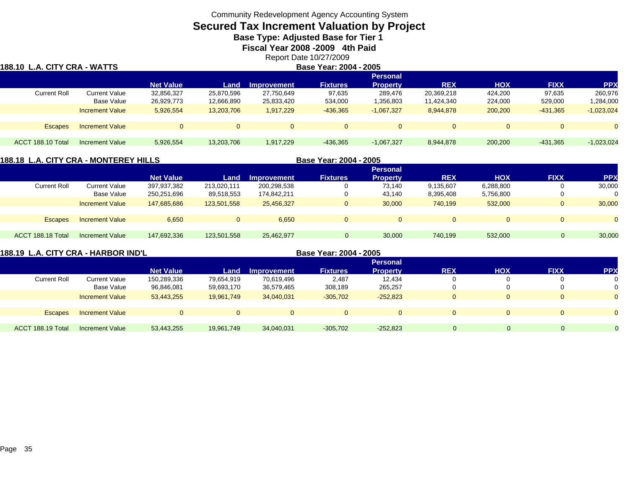# **Secured Tax Increment Valuation by Project**

**Base Type: Adjusted Base for Tier 1** 

**Fiscal Year 2008 -2009 4th Paid**

Report Date 10/27/2009

| 188.10 L.A. CITY CRA - WATTS |                                    |                          | Base Year: 2004 - 2005   |                          |                   |                                    |                          |                    |                   |                     |  |  |
|------------------------------|------------------------------------|--------------------------|--------------------------|--------------------------|-------------------|------------------------------------|--------------------------|--------------------|-------------------|---------------------|--|--|
|                              |                                    | <b>Net Value</b>         | <b>Land</b>              | <b>Improvement</b>       | <b>Fixtures</b>   | <b>Personal</b><br><b>Property</b> | <b>REX</b>               | <b>HOX</b>         | <b>FIXX</b>       | <b>PPX</b>          |  |  |
| <b>Current Roll</b>          | <b>Current Value</b><br>Base Value | 32,856,327<br>26,929,773 | 25,870,596<br>12,666,890 | 27,750,649<br>25,833,420 | 97,635<br>534,000 | 289.476<br>1,356,803               | 20,369,218<br>11,424,340 | 424.200<br>224,000 | 97,635<br>529,000 | 260,976<br>284,000, |  |  |
|                              | <b>Increment Value</b>             | 5.926.554                | 13.203.706               | 1,917,229                | $-436,365$        | $-1.067.327$                       | 8.944.878                | 200,200            | $-431,365$        | $-1,023,024$        |  |  |
| <b>Escapes</b>               | <b>Increment Value</b>             | 0                        | $\Omega$                 | $\Omega$                 | $\Omega$          | $\Omega$                           |                          | $\Omega$           | $\overline{0}$    |                     |  |  |
| ACCT 188.10 Total            | Increment Value                    | 5,926,554                | 13,203,706               | 1,917,229                | $-436,365$        | $-1,067,327$                       | 8,944,878                | 200,200            | $-431,365$        | $-1,023,024$        |  |  |

### **188.18 L.A. CITY CRA - MONTEREY HILLS**

**Base Year: 2004 - 2005**

|                   |                        |                  |             |                    |                 | <b>Personal</b> |            |            |             |            |
|-------------------|------------------------|------------------|-------------|--------------------|-----------------|-----------------|------------|------------|-------------|------------|
|                   |                        | <b>Net Value</b> | Land        | <b>Improvement</b> | <b>Fixtures</b> | <b>Property</b> | <b>REX</b> | <b>HOX</b> | <b>FIXX</b> | <b>PPX</b> |
| Current Roll      | <b>Current Value</b>   | 397,937,382      | 213,020,111 | 200,298,538        | 0               | 73.140          | 9,135,607  | 6,288,800  |             | 30,000     |
|                   | Base Value             | 250,251,696      | 89,518,553  | 174,842,211        | 0               | 43,140          | 8,395,408  | 5,756,800  |             | 0          |
|                   | <b>Increment Value</b> | 147,685,686      | 123,501,558 | 25.456.327         | $\Omega$        | 30,000          | 740.199    | 532,000    |             | 30,000     |
|                   |                        |                  |             |                    |                 |                 |            |            |             |            |
| <b>Escapes</b>    | <b>Increment Value</b> | 6.650            | $\Omega$    | 6,650              | $\overline{0}$  | $\mathbf{0}$    |            | $\Omega$   |             | $\Omega$   |
|                   |                        |                  |             |                    |                 |                 |            |            |             |            |
| ACCT 188.18 Total | Increment Value        | 147,692,336      | 123,501,558 | 25,462,977         |                 | 30,000          | 740,199    | 532,000    | 0           | 30,000     |
|                   |                        |                  |             |                    |                 |                 |            |            |             |            |

|  |  | 188.19  L.A. CITY CRA - HARBOR IND'L |  |
|--|--|--------------------------------------|--|
|  |  |                                      |  |

**Base Year: 2004 - 2005**

|                     |                        |                  |            |                    |                 | <b>Personal</b> |            |            |              |            |
|---------------------|------------------------|------------------|------------|--------------------|-----------------|-----------------|------------|------------|--------------|------------|
|                     |                        | <b>Net Value</b> | Land       | <b>Improvement</b> | <b>Fixtures</b> | <b>Property</b> | <b>REX</b> | <b>HOX</b> | <b>FIXX</b>  | <b>PPX</b> |
| <b>Current Roll</b> | <b>Current Value</b>   | 150,289,336      | 79,654,919 | 70,619,496         | 2,487           | 12,434          |            |            |              |            |
|                     | Base Value             | 96,846,081       | 59,693,170 | 36,579,465         | 308,189         | 265,257         |            |            |              |            |
|                     | <b>Increment Value</b> | 53,443,255       | 19,961,749 | 34,040,031         | $-305,702$      | $-252,823$      |            |            | $\mathbf 0$  |            |
|                     |                        |                  |            |                    |                 |                 |            |            |              |            |
| <b>Escapes</b>      | <b>Increment Value</b> | 0                |            |                    | $\Omega$        |                 |            |            | $\mathbf{0}$ |            |
|                     |                        |                  |            |                    |                 |                 |            |            |              |            |
| ACCT 188.19 Total   | <b>Increment Value</b> | 53,443,255       | 19,961,749 | 34,040,031         | $-305,702$      | $-252,823$      |            |            | $\Omega$     |            |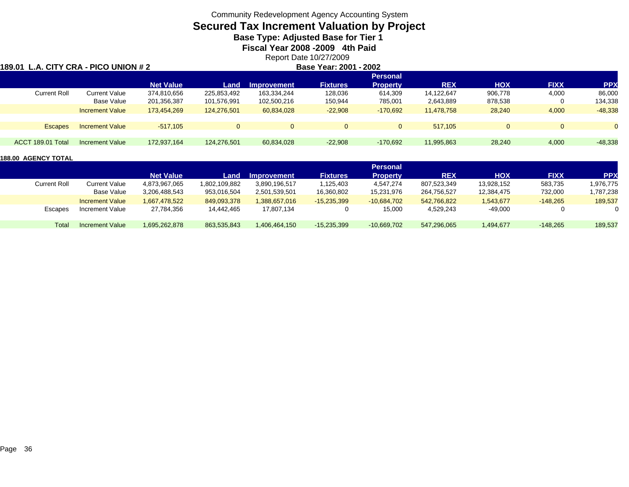### **Secured Tax Increment Valuation by Project**

**Base Type: Adjusted Base for Tier 1** 

**Fiscal Year 2008 -2009 4th Paid**

### Report Date 10/27/2009<br>Base Year: 2001 - 2002 **189.01 L.A. CITY CRA - PICO UNION # 2 Base Year: 2001 - 2002 Personal Net Value Land Improvement Fixtures Property REX HOX FIXX PPX** Current Roll Current Value 374,810,656 225,853,492 163,334,244 128,036 614,309 14,122,647 906,778 4,000 86,000 Base Value 201,356,387 101,576,991 102,500,216 150,944 785,001 2,643,889 878,538 0 134,338 Increment Value 173,454,269 124,276,501 60,834,028 -22,908 -170,692 11,478,758 28,240 4,000 -48,338 Escapes Increment Value -517,105 0 0 517,105 0 0 ACCT 189.01 TotalIncrement Value 172,937,164 124,276,501 60,834,028 -22,908 -170,692 11,995,863 28,240 4,000 -48,338

|              |                        |                  |               |                    |                 | <b>Personal</b> |             |            |             |            |
|--------------|------------------------|------------------|---------------|--------------------|-----------------|-----------------|-------------|------------|-------------|------------|
|              |                        | <b>Net Value</b> | Land.         | <b>Improvement</b> | <b>Fixtures</b> | <b>Property</b> | <b>REX</b>  | <b>HOX</b> | <b>FIXX</b> | <b>PPX</b> |
| Current Roll | <b>Current Value</b>   | 4,873,967,065    | 1,802,109,882 | 3.890.196.517      | 1,125,403       | 4.547.274       | 807,523,349 | 13,928,152 | 583,735     | 1,976,775  |
|              | Base Value             | 3.206.488.543    | 953.016.504   | 2.501.539.501      | 16,360,802      | 15.231.976      | 264,756,527 | 12,384,475 | 732,000     | 1,787,238  |
|              | <b>Increment Value</b> | 1.667.478.522    | 849,093,378   | 1,388,657,016      | $-15,235,399$   | $-10.684.702$   | 542,766,822 | 543,677    | $-148.265$  | 189,537    |
| Escapes      | Increment Value        | 27,784,356       | 14,442,465    | 17,807,134         |                 | 15,000          | 4,529,243   | $-49,000$  |             |            |
|              |                        |                  |               |                    |                 |                 |             |            |             |            |
| Total        | Increment Value        | 1.695.262.878    | 863.535.843   | 1,406,464,150      | $-15,235,399$   | $-10,669,702$   | 547,296,065 | 494,677. ا | $-148.265$  | 189,537    |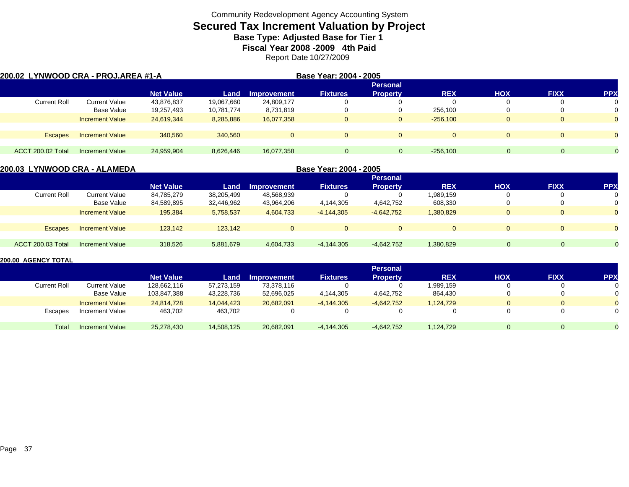# **Secured Tax Increment Valuation by Project**

**Base Type: Adjusted Base for Tier 1** 

**Fiscal Year 2008 -2009 4th Paid**

Report Date 10/27/2009

| 200.02 LYNWOOD CRA - PROJ.AREA #1-A |                        |                  |            |                    | Base Year: 2004 - 2005 |                 |              |            |              |            |  |  |  |
|-------------------------------------|------------------------|------------------|------------|--------------------|------------------------|-----------------|--------------|------------|--------------|------------|--|--|--|
|                                     |                        |                  |            | <b>Personal</b>    |                        |                 |              |            |              |            |  |  |  |
|                                     |                        | <b>Net Value</b> | Land       | <b>Improvement</b> | <b>Fixtures</b>        | <b>Property</b> | <b>REX</b>   | <b>HOX</b> | <b>FIXX</b>  | <b>PPX</b> |  |  |  |
| <b>Current Roll</b>                 | <b>Current Value</b>   | 43,876,837       | 19,067,660 | 24,809,177         |                        |                 |              |            |              | 0          |  |  |  |
|                                     | Base Value             | 19,257,493       | 10,781,774 | 8,731,819          |                        |                 | 256,100      |            |              |            |  |  |  |
|                                     | <b>Increment Value</b> | 24,619,344       | 8,285,886  | 16,077,358         | 0                      | 0               | $-256.100$   | O.         | 0            | $\Omega$   |  |  |  |
|                                     |                        |                  |            |                    |                        |                 |              |            |              |            |  |  |  |
| <b>Escapes</b>                      | <b>Increment Value</b> | 340.560          | 340.560    | 0                  | $\mathbf{0}$           | $\Omega$        | $\mathbf{0}$ | $\Omega$   | $\mathbf{0}$ | $\Omega$   |  |  |  |
|                                     |                        |                  |            |                    |                        |                 |              |            |              |            |  |  |  |
| <b>ACCT 200.02 Total</b>            | Increment Value        | 24,959,904       | 8,626,446  | 16,077,358         | $\Omega$               | $\mathbf{0}$    | $-256,100$   | 0          | $\Omega$     |            |  |  |  |

| 200.03 LYNWOOD CRA - ALAMEDA |                        | Base Year: 2004 - 2005 |            |             |                 |                 |                |            |             |            |  |  |  |
|------------------------------|------------------------|------------------------|------------|-------------|-----------------|-----------------|----------------|------------|-------------|------------|--|--|--|
|                              |                        | <b>Personal</b>        |            |             |                 |                 |                |            |             |            |  |  |  |
|                              |                        | <b>Net Value</b>       | Land       | Improvement | <b>Fixtures</b> | <b>Property</b> | <b>REX</b>     | <b>HOX</b> | <b>FIXX</b> | <b>PPX</b> |  |  |  |
| <b>Current Roll</b>          | Current Value          | 84,785,279             | 38,205,499 | 48,568,939  |                 |                 | 1,989,159      |            |             | 0          |  |  |  |
|                              | Base Value             | 84,589,895             | 32,446,962 | 43,964,206  | 4,144,305       | 4,642,752       | 608,330        |            |             | 0          |  |  |  |
|                              | <b>Increment Value</b> | 195,384                | 5,758,537  | 4,604,733   | $-4,144,305$    | $-4,642,752$    | 1,380,829      | $\Omega$   |             | $\Omega$   |  |  |  |
|                              |                        |                        |            |             |                 |                 |                |            |             |            |  |  |  |
| <b>Escapes</b>               | <b>Increment Value</b> | 123.142                | 123.142    |             |                 | $\Omega$        | $\overline{0}$ | $\Omega$   | $\Omega$    | $\Omega$   |  |  |  |
|                              |                        |                        |            |             |                 |                 |                |            |             |            |  |  |  |
| ACCT 200.03 Total            | Increment Value        | 318,526                | 5,881,679  | 4,604,733   | $-4,144,305$    | $-4,642,752$    | 1,380,829      | $\Omega$   | $\Omega$    | $\Omega$   |  |  |  |
|                              |                        |                        |            |             |                 |                 |                |            |             |            |  |  |  |

|                     |                        |                  |            |                    |                 | <b>Personal</b> |            |            |             |                |
|---------------------|------------------------|------------------|------------|--------------------|-----------------|-----------------|------------|------------|-------------|----------------|
|                     |                        | <b>Net Value</b> | Land       | <b>Improvement</b> | <b>Fixtures</b> | <b>Property</b> | <b>REX</b> | <b>HOX</b> | <b>FIXX</b> | <b>PPX</b>     |
| <b>Current Roll</b> | Current Value          | 128,662,116      | 57,273,159 | 73,378,116         |                 |                 | 1,989,159  |            |             |                |
|                     | Base Value             | 103,847,388      | 43,228,736 | 52,696,025         | 4,144,305       | 4,642,752       | 864,430    |            |             | 0              |
|                     | <b>Increment Value</b> | 24.814.728       | 14.044.423 | 20,682,091         | $-4.144.305$    | $-4.642.752$    | 1,124,729  |            |             | $\overline{0}$ |
| Escapes             | Increment Value        | 463,702          | 463,702    |                    |                 |                 |            |            |             | 0              |
| Total               | <b>Increment Value</b> | 25.278.430       | 14,508,125 | 20,682,091         | $-4,144,305$    | $-4.642.752$    | 1,124,729  |            |             |                |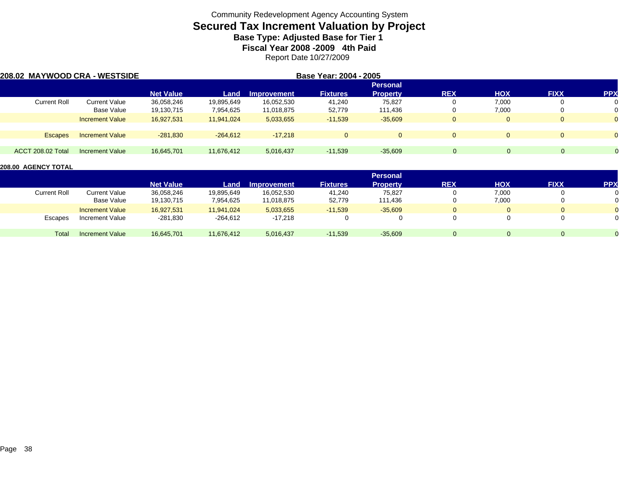# **Secured Tax Increment Valuation by Project**

**Base Type: Adjusted Base for Tier 1** 

**Fiscal Year 2008 -2009 4th Paid**

Report Date 10/27/2009

| 208.02 MAYWOOD CRA - WESTSIDE |                        |                  |            |                    | Base Year: 2004 - 2005 |                 |            |            |             |                |
|-------------------------------|------------------------|------------------|------------|--------------------|------------------------|-----------------|------------|------------|-------------|----------------|
|                               |                        |                  |            |                    |                        | <b>Personal</b> |            |            |             |                |
|                               |                        | <b>Net Value</b> | Land       | <b>Improvement</b> | <b>Fixtures</b>        | <b>Property</b> | <b>REX</b> | <b>HOX</b> | <b>FIXX</b> | <b>PPX</b>     |
| Current Roll                  | <b>Current Value</b>   | 36,058,246       | 19,895,649 | 16,052,530         | 41,240                 | 75,827          |            | 7,000      |             | 0              |
|                               | Base Value             | 19,130,715       | 7,954,625  | 11,018,875         | 52,779                 | 111.436         |            | 7,000      | 0           | 0              |
|                               | <b>Increment Value</b> | 16,927,531       | 11,941,024 | 5,033,655          | $-11,539$              | $-35,609$       |            |            | $\Omega$    | $\mathbf{0}$   |
|                               |                        |                  |            |                    |                        |                 |            |            |             |                |
| <b>Escapes</b>                | <b>Increment Value</b> | $-281,830$       | $-264,612$ | $-17.218$          | $\Omega$               |                 | $\Omega$   |            | $\Omega$    | $\overline{0}$ |
| <b>ACCT 208.02 Total</b>      | <b>Increment Value</b> | 16,645,701       | 11.676.412 | 5,016,437          | $-11,539$              | $-35,609$       | $\Omega$   |            | $\Omega$    |                |
|                               |                        |                  |            |                    |                        |                 |            |            |             |                |

|                     |                        |                  |            |                    |                 | <b>Personal</b> |            |            |              |                |
|---------------------|------------------------|------------------|------------|--------------------|-----------------|-----------------|------------|------------|--------------|----------------|
|                     |                        | <b>Net Value</b> | Land       | <b>Improvement</b> | <b>Fixtures</b> | <b>Property</b> | <b>REX</b> | <b>HOX</b> | <b>FIXX</b>  | <b>PPX</b>     |
| <b>Current Roll</b> | <b>Current Value</b>   | 36,058,246       | 19,895,649 | 16,052,530         | 41,240          | 75,827          |            | 7,000      | $\mathbf{0}$ | 0              |
|                     | Base Value             | 19,130,715       | 7,954,625  | 11,018,875         | 52,779          | 111.436         |            | 7,000      | $\Omega$     | 0              |
|                     | <b>Increment Value</b> | 16,927,531       | 11,941,024 | 5,033,655          | $-11,539$       | $-35,609$       |            | 0          | $\mathbf{0}$ | $\overline{0}$ |
| Escapes             | Increment Value        | $-281,830$       | $-264,612$ | $-17.218$          |                 |                 |            |            | $\Omega$     | 0              |
| Total               | <b>Increment Value</b> | 16,645,701       | 11,676,412 | 5,016,437          | $-11,539$       | $-35,609$       |            | 0          | 0            | $\Omega$       |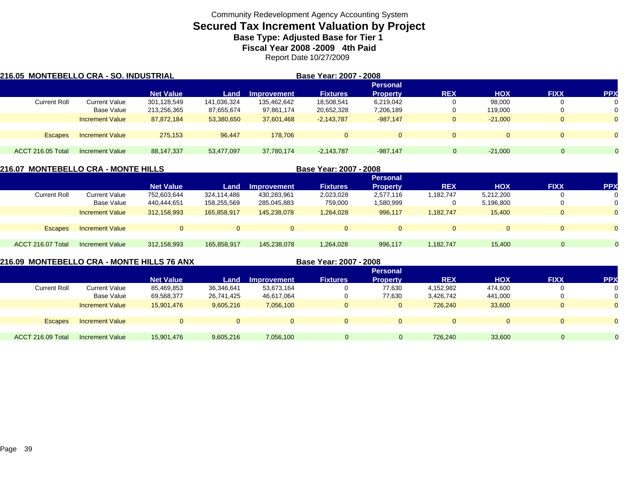# **Secured Tax Increment Valuation by Project**

**Base Type: Adjusted Base for Tier 1** 

**Fiscal Year 2008 -2009 4th Paid**

Report Date 10/27/2009

| 216.05 MONTEBELLO CRA - SO. INDUSTRIAL |                        |                  |             |                    | Base Year: 2007 - 2008 |                 |              |            |             |            |
|----------------------------------------|------------------------|------------------|-------------|--------------------|------------------------|-----------------|--------------|------------|-------------|------------|
|                                        |                        |                  |             |                    |                        | <b>Personal</b> |              |            |             |            |
|                                        |                        | <b>Net Value</b> | Land        | <b>Improvement</b> | <b>Fixtures</b>        | <b>Property</b> | <b>REX</b>   | <b>HOX</b> | <b>FIXX</b> | <b>PPX</b> |
| <b>Current Roll</b>                    | Current Value          | 301,128,549      | 141,036,324 | 135,462,642        | 18,508,541             | 6,219,042       |              | 98.000     |             | 0          |
|                                        | Base Value             | 213,256,365      | 87,655,674  | 97,861,174         | 20,652,328             | 7,206,189       |              | 119,000    |             |            |
|                                        | <b>Increment Value</b> | 87.872.184       | 53,380,650  | 37,601,468         | $-2,143,787$           | $-987.147$      | U            | $-21.000$  | O           | $\Omega$   |
|                                        |                        |                  |             |                    |                        |                 |              |            |             |            |
| Escapes                                | <b>Increment Value</b> | 275.153          | 96.447      | 178,706            | $\Omega$               | $\Omega$        | $\mathbf{0}$ | $\Omega$   | $\Omega$    | $\Omega$   |
|                                        |                        |                  |             |                    |                        |                 |              |            |             |            |
| ACCT 216.05 Total                      | <b>Increment Value</b> | 88,147,337       | 53,477,097  | 37,780,174         | $-2,143,787$           | $-987,147$      | $\mathbf 0$  | $-21.000$  | $\Omega$    |            |

| 216.07 MONTEBELLO CRA - MONTE HILLS |                        |                  |                |                    | Base Year: 2007 - 2008 |                 |            |              |              |            |
|-------------------------------------|------------------------|------------------|----------------|--------------------|------------------------|-----------------|------------|--------------|--------------|------------|
|                                     |                        |                  |                |                    |                        | <b>Personal</b> |            |              |              |            |
|                                     |                        | <b>Net Value</b> | Land           | <b>Improvement</b> | <b>Fixtures</b>        | <b>Property</b> | <b>REX</b> | <b>HOX</b>   | <b>FIXX</b>  | <b>PPX</b> |
| <b>Current Roll</b>                 | <b>Current Value</b>   | 752,603,644      | 324,114,486    | 430,283,961        | 2,023,028              | 2,577,116       | 1,182,747  | 5,212,200    |              |            |
|                                     | Base Value             | 440,444,651      | 158,255,569    | 285,045,883        | 759,000                | 1,580,999       |            | 5,196,800    | 0            |            |
|                                     | <b>Increment Value</b> | 312,158,993      | 165,858,917    | 145.238.078        | 1,264,028              | 996,117         | 1,182,747  | 15,400       | 0            |            |
|                                     |                        |                  |                |                    |                        |                 |            |              |              |            |
| <b>Escapes</b>                      | <b>Increment Value</b> | $\Omega$         | $\overline{0}$ | $\Omega$           | $\Omega$               | $\mathbf{0}$    |            | $\mathbf{0}$ | 0            |            |
|                                     |                        |                  |                |                    |                        |                 |            |              |              |            |
| ACCT 216.07 Total                   | Increment Value        | 312,158,993      | 165,858,917    | 145,238,078        | 1,264,028              | 996,117         | 1,182,747  | 15,400       | $\mathbf{0}$ |            |
|                                     |                        |                  |                |                    |                        |                 |            |              |              |            |

### **216.09 MONTEBELLO CRA - MONTE HILLS 76 ANX**

 **Base Year: 2007 - 2008 Personal Net Value Land Improvement Fixtures Property REX HOX FIXX PPX** Current Rolll Current Value 85,469,853 36,346,641 53,673,164 0 77,630 4,152,982 474,600 0 0 Base Value 69,568,377 26,741,425 46,617,064 0 77,630 3,426,742 441,000 0 0 Increment Value 15,901,476 9,605,216 7,056,100 0 0 726,240 33,600 0 0 Escapes Increment Value 0 0 0 0 0 0 0 0 0 ACCT 216.09 TotalIncrement Value 15,901,476 9,605,216 7,056,100 0 0 726,240 33,600 0 0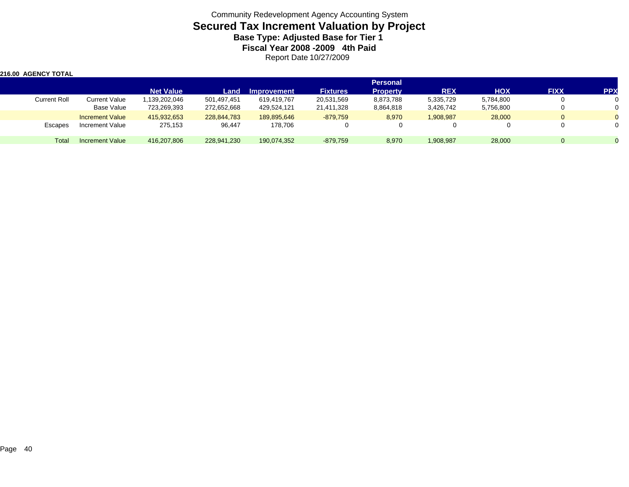Community Redevelopment Agency Accounting System **Secured Tax Increment Valuation by Project Base Type: Adjusted Base for Tier 1 Fiscal Year 2008 -2009 4th Paid** Report Date 10/27/2009

| <b>216.00 AGENCY TOTAL</b> |                        |                  |             |                    |                 |                 |            |            |             |            |
|----------------------------|------------------------|------------------|-------------|--------------------|-----------------|-----------------|------------|------------|-------------|------------|
|                            |                        |                  |             |                    |                 | <b>Personal</b> |            |            |             |            |
|                            |                        | <b>Net Value</b> | Land        | <b>Improvement</b> | <b>Fixtures</b> | <b>Property</b> | <b>REX</b> | <b>HOX</b> | <b>FIXX</b> | <b>PPX</b> |
| <b>Current Roll</b>        | <b>Current Value</b>   | 139,202,046      | 501.497.451 | 619.419.767        | 20,531,569      | 8,873,788       | 5,335,729  | 5,784,800  | v           |            |
|                            | Base Value             | 723,269,393      | 272,652,668 | 429,524,121        | 21,411,328      | 8,864,818       | 3,426,742  | 5,756,800  |             |            |
|                            | <b>Increment Value</b> | 415,932,653      | 228.844.783 | 189.895.646        | $-879,759$      | 8,970           | 1,908,987  | 28,000     | $\Omega$    |            |
| Escapes                    | Increment Value        | 275,153          | 96,447      | 178,706            |                 |                 |            |            |             |            |
| Total                      | <b>Increment Value</b> | 416,207,806      | 228,941,230 | 190,074,352        | $-879.759$      | 8,970           | 1,908,987  | 28,000     | $\Omega$    |            |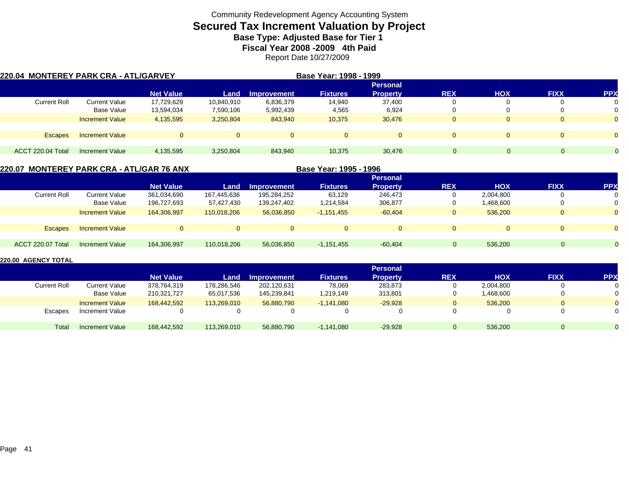# **Secured Tax Increment Valuation by Project**

**Base Type: Adjusted Base for Tier 1** 

**Fiscal Year 2008 -2009 4th Paid**

Report Date 10/27/2009

| 220.04 MONTEREY PARK CRA - ATL/GARVEY |                        |                  |                |                    | Base Year: 1998 - 1999 |                 |             |            |              |                |
|---------------------------------------|------------------------|------------------|----------------|--------------------|------------------------|-----------------|-------------|------------|--------------|----------------|
|                                       |                        |                  |                |                    |                        | <b>Personal</b> |             |            |              |                |
|                                       |                        | <b>Net Value</b> | Land           | <b>Improvement</b> | <b>Fixtures</b>        | <b>Property</b> | <b>REX</b>  | <b>HOX</b> | <b>FIXX</b>  | <b>PPX</b>     |
| <b>Current Roll</b>                   | Current Value          | 17,729,629       | 10,840,910     | 6,836,379          | 14.940                 | 37.400          | υ           |            | O            | 0              |
|                                       | Base Value             | 13,594,034       | 7,590,106      | 5,992,439          | 4,565                  | 6,924           | υ           |            | 0            | 0              |
|                                       | <b>Increment Value</b> | 4,135,595        | 3,250,804      | 843,940            | 10,375                 | 30,476          | $\mathbf 0$ | $\Omega$   | $\mathbf{0}$ | $\overline{0}$ |
| Escapes                               | <b>Increment Value</b> |                  | $\overline{0}$ | $\overline{0}$     | $\Omega$               | $\Omega$        | $\Omega$    | $\Omega$   | $\Omega$     | $\overline{0}$ |
|                                       |                        |                  |                |                    |                        |                 |             |            |              |                |
| ACCT 220.04 Total                     | <b>Increment Value</b> | 4,135,595        | 3,250,804      | 843,940            | 10,375                 | 30,476          | $\Omega$    |            | $\Omega$     |                |

### **220.07 MONTEREY PARK CRA - ATL/GAR 76 ANX**

|                     |                        |                  |             |             | <b>PUOU I VUI I I VUU</b> |                 |             |            |             |            |
|---------------------|------------------------|------------------|-------------|-------------|---------------------------|-----------------|-------------|------------|-------------|------------|
|                     |                        |                  |             |             |                           | <b>Personal</b> |             |            |             |            |
|                     |                        | <b>Net Value</b> | Land        | Improvement | <b>Fixtures</b>           | <b>Property</b> | <b>REX</b>  | <b>HOX</b> | <b>FIXX</b> | <b>PPX</b> |
| <b>Current Roll</b> | <b>Current Value</b>   | 361,034,690      | 167,445,636 | 195,284,252 | 63,129                    | 246,473         |             | 2,004,800  | υ           |            |
|                     | <b>Base Value</b>      | 196,727,693      | 57,427,430  | 139,247,402 | 1,214,584                 | 306,877         |             | 1,468,600  | υ           |            |
|                     | <b>Increment Value</b> | 164.306.997      | 110.018.206 | 56.036.850  | $-1,151,455$              | $-60.404$       | $\mathbf 0$ | 536,200    | $\Omega$    |            |
|                     |                        |                  |             |             |                           |                 |             |            |             |            |
| <b>Escapes</b>      | <b>Increment Value</b> |                  | 0           |             | $\overline{0}$            | $\Omega$        |             | $\Omega$   | $\mathbf 0$ |            |
|                     |                        |                  |             |             |                           |                 |             |            |             |            |
| ACCT 220.07 Total   | Increment Value        | 164,306,997      | 110.018.206 | 56,036,850  | $-1,151,455$              | $-60,404$       |             | 536,200    | $\Omega$    | $\Omega$   |
|                     |                        |                  |             |             |                           |                 |             |            |             |            |

**Base Year: 1995 - 1996**

|                     |                        |                  |             |                    |                 | <b>Personal</b> |            |            |             |            |
|---------------------|------------------------|------------------|-------------|--------------------|-----------------|-----------------|------------|------------|-------------|------------|
|                     |                        | <b>Net Value</b> | Land        | <b>Improvement</b> | <b>Fixtures</b> | <b>Property</b> | <b>REX</b> | <b>HOX</b> | <b>FIXX</b> | <b>PPX</b> |
| <b>Current Roll</b> | Current Value          | 378,764,319      | 178,286,546 | 202,120,631        | 78,069          | 283,873         |            | 2,004,800  | 0           |            |
|                     | Base Value             | 210,321,727      | 65,017,536  | 145,239,841        | 1,219,149       | 313,801         |            | 1,468,600  | 0           |            |
|                     | <b>Increment Value</b> | 168.442.592      | 113.269.010 | 56.880.790         | $-1.141.080$    | $-29.928$       |            | 536,200    | $\Omega$    |            |
| Escapes             | Increment Value        |                  |             |                    |                 | 0               |            |            | 0           |            |
| Total               | <b>Increment Value</b> | 168,442,592      | 113,269,010 | 56,880,790         | $-1,141,080$    | $-29,928$       |            | 536.200    | 0           |            |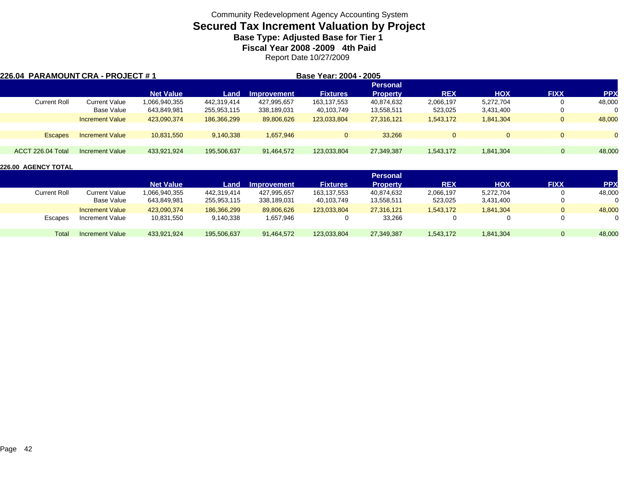# **Secured Tax Increment Valuation by Project**

**Base Type: Adjusted Base for Tier 1** 

**Fiscal Year 2008 -2009 4th Paid**

Report Date 10/27/2009

|                   | 226.04 PARAMOUNT CRA - PROJECT # 1 |                  |             |             | Base Year: 2004 - 2005 |                 |            |            |              |            |
|-------------------|------------------------------------|------------------|-------------|-------------|------------------------|-----------------|------------|------------|--------------|------------|
|                   |                                    |                  |             |             |                        | <b>Personal</b> |            |            |              |            |
|                   |                                    | <b>Net Value</b> | Land        | Improvement | <b>Fixtures</b>        | <b>Property</b> | <b>REX</b> | <b>HOX</b> | <b>FIXX</b>  | <b>PPX</b> |
| Current Roll      | Current Value                      | 1,066,940,355    | 442,319,414 | 427,995,657 | 163,137,553            | 40,874,632      | 2,066,197  | 5,272,704  | U            | 48,000     |
|                   | Base Value                         | 643,849,981      | 255,953,115 | 338,189,031 | 40,103,749             | 13,558,511      | 523,025    | 3,431,400  | U            |            |
|                   | <b>Increment Value</b>             | 423,090,374      | 186,366,299 | 89,806,626  | 123,033,804            | 27,316,121      | 1,543,172  | 1,841,304  | $\mathbf{0}$ | 48,000     |
| <b>Escapes</b>    | <b>Increment Value</b>             | 10,831,550       | 9,140,338   | 1,657,946   | $\mathbf{0}$           | 33.266          | $\Omega$   | $\Omega$   | $\mathbf{0}$ | $\Omega$   |
|                   |                                    |                  |             |             |                        |                 |            |            |              |            |
| ACCT 226.04 Total | Increment Value                    | 433,921,924      | 195,506,637 | 91,464,572  | 123.033.804            | 27,349,387      | 1,543,172  | 1,841,304  | $\mathbf 0$  | 48,000     |

|                     |                        |                  |             |                    |                 | <b>Personal</b> |            |            |             |            |
|---------------------|------------------------|------------------|-------------|--------------------|-----------------|-----------------|------------|------------|-------------|------------|
|                     |                        | <b>Net Value</b> | Land        | <b>Improvement</b> | <b>Fixtures</b> | <b>Property</b> | <b>REX</b> | <b>HOX</b> | <b>FIXX</b> | <b>PPX</b> |
| <b>Current Roll</b> | Current Value          | 1,066,940,355    | 442.319.414 | 427,995,657        | 163,137,553     | 40,874,632      | 2,066,197  | 5,272,704  | 0           | 48,000     |
|                     | Base Value             | 643,849,981      | 255,953,115 | 338,189,031        | 40,103,749      | 13,558,511      | 523,025    | 3,431,400  | 0           | 0          |
|                     | <b>Increment Value</b> | 423,090,374      | 186,366,299 | 89,806,626         | 123.033.804     | 27.316.121      | 1,543,172  | 1,841,304  | 0           | 48,000     |
| Escapes             | Increment Value        | 10,831,550       | 9,140,338   | 1,657,946          |                 | 33,266          |            |            | $\Omega$    | 0          |
| Total               | Increment Value        | 433,921,924      | 195,506,637 | 91,464,572         | 123.033.804     | 27,349,387      | 1,543,172  | 1,841,304  | 0           | 48,000     |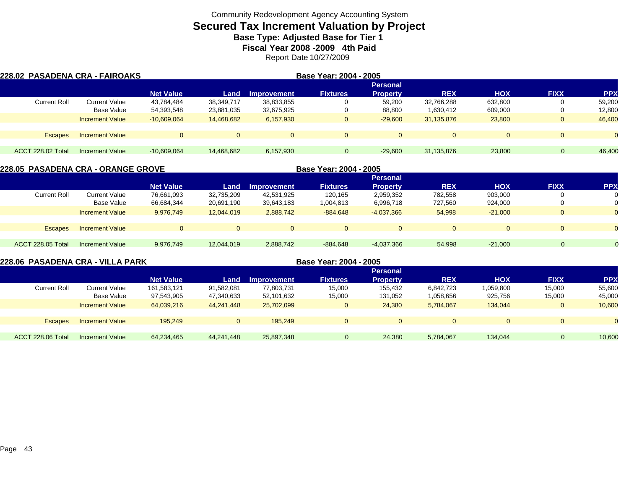# **Secured Tax Increment Valuation by Project**

**Base Type: Adjusted Base for Tier 1** 

**Fiscal Year 2008 -2009 4th Paid**

Report Date 10/27/2009

| 228.02 PASADENA CRA - FAIROAKS |                        |                  |              |                | Base Year: 2004 - 2005 |                 |              |            |              |                |
|--------------------------------|------------------------|------------------|--------------|----------------|------------------------|-----------------|--------------|------------|--------------|----------------|
|                                |                        |                  |              |                |                        | <b>Personal</b> |              |            |              |                |
|                                |                        | <b>Net Value</b> | Land         | Improvement    | <b>Fixtures</b>        | <b>Property</b> | <b>REX</b>   | <b>HOX</b> | <b>FIXX</b>  | <b>PPX</b>     |
| <b>Current Roll</b>            | Current Value          | 43,784,484       | 38,349,717   | 38,833,855     |                        | 59,200          | 32,766,288   | 632.800    | O            | 59,200         |
|                                | Base Value             | 54,393,548       | 23,881,035   | 32,675,925     |                        | 88,800          | 1,630,412    | 609,000    | O            | 12,800         |
|                                | <b>Increment Value</b> | $-10,609,064$    | 14,468,682   | 6,157,930      | $\mathbf{0}$           | $-29,600$       | 31,135,876   | 23,800     | $\mathbf{0}$ | 46,400         |
| Escapes                        | <b>Increment Value</b> |                  | $\mathbf{0}$ | $\overline{0}$ | $\Omega$               | $\Omega$        | $\mathbf{0}$ | $\Omega$   | $\Omega$     | $\overline{0}$ |
| <b>ACCT 228.02 Total</b>       | <b>Increment Value</b> | $-10,609,064$    | 14.468.682   | 6,157,930      | $\Omega$               | $-29,600$       | 31,135,876   | 23,800     | $\Omega$     | 46,400         |

|                          | 228.05  PASADENA CRA - ORANGE GROVE |                  |            |                    | Base Year: 2004 - 2005 |                 |            |            |             |            |
|--------------------------|-------------------------------------|------------------|------------|--------------------|------------------------|-----------------|------------|------------|-------------|------------|
|                          |                                     |                  |            |                    |                        | <b>Personal</b> |            |            |             |            |
|                          |                                     | <b>Net Value</b> | Land       | <b>Improvement</b> | <b>Fixtures</b>        | <b>Property</b> | <b>REX</b> | <b>HOX</b> | <b>FIXX</b> | <b>PPX</b> |
| <b>Current Roll</b>      | <b>Current Value</b>                | 76,661,093       | 32,735,209 | 42,531,925         | 120.165                | 2,959,352       | 782,558    | 903,000    |             |            |
|                          | Base Value                          | 66,684,344       | 20,691,190 | 39,643,183         | 1,004,813              | 6,996,718       | 727.560    | 924,000    | 0           |            |
|                          | <b>Increment Value</b>              | 9,976,749        | 12,044,019 | 2,888,742          | $-884,648$             | $-4,037,366$    | 54,998     | $-21.000$  | $\Omega$    | $\Omega$   |
|                          |                                     |                  |            |                    |                        |                 |            |            |             |            |
| <b>Escapes</b>           | <b>Increment Value</b>              | $\overline{0}$   | $\Omega$   | $\Omega$           | $\Omega$               | $\mathbf{0}$    |            |            | $\Omega$    | $\Omega$   |
|                          |                                     |                  |            |                    |                        |                 |            |            |             |            |
| <b>ACCT 228.05 Total</b> | Increment Value                     | 9,976,749        | 12,044,019 | 2,888,742          | $-884,648$             | $-4,037,366$    | 54,998     | $-21,000$  | 0           |            |
|                          |                                     |                  |            |                    |                        |                 |            |            |             |            |

| 228.06  PASADENA CRA - VILLA PARK |                        |                  |              |                    | Base Year: 2004 - 2005 |                 |            |              |              |            |
|-----------------------------------|------------------------|------------------|--------------|--------------------|------------------------|-----------------|------------|--------------|--------------|------------|
|                                   |                        |                  |              |                    |                        | <b>Personal</b> |            |              |              |            |
|                                   |                        | <b>Net Value</b> | Land         | <b>Improvement</b> | <b>Fixtures</b>        | <b>Property</b> | <b>REX</b> | <b>HOX</b>   | <b>FIXX</b>  | <b>PPX</b> |
| <b>Current Roll</b>               | <b>Current Value</b>   | 161,583,121      | 91,582,081   | 77,803,731         | 15,000                 | 155,432         | 6,842,723  | 1,059,800    | 15,000       | 55,600     |
|                                   | Base Value             | 97,543,905       | 47,340,633   | 52,101,632         | 15,000                 | 131,052         | 1,058,656  | 925,756      | 15,000       | 45,000     |
|                                   | <b>Increment Value</b> | 64,039,216       | 44.241.448   | 25,702,099         | 0                      | 24,380          | 5.784.067  | 134.044      | 0            | 10.600     |
|                                   |                        |                  |              |                    |                        |                 |            |              |              |            |
| <b>Escapes</b>                    | <b>Increment Value</b> | 195.249          | $\mathbf{0}$ | 195.249            | $\Omega$               | $\overline{0}$  | $\Omega$   | $\mathbf{0}$ | $\mathbf{0}$ | $\Omega$   |
|                                   |                        |                  |              |                    |                        |                 |            |              |              |            |
| ACCT 228.06 Total                 | Increment Value        | 64.234.465       | 44.241.448   | 25,897,348         | 0                      | 24.380          | 5,784,067  | 134.044      | $\mathbf{0}$ | 10,600     |
|                                   |                        |                  |              |                    |                        |                 |            |              |              |            |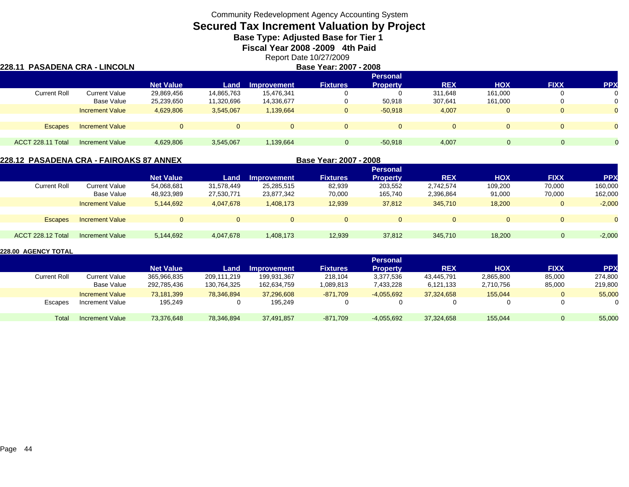# **Secured Tax Increment Valuation by Project**

**Base Type: Adjusted Base for Tier 1** 

**Fiscal Year 2008 -2009 4th Paid**

Report Date 10/27/2009

#### **228.11 PASADENA CRA - LINCOLN Base Year: 2007 - 2008 Personal Net Value Land Improvement Fixtures Property REX HOX FIXX PPX** Current Rolll Current Value 29,869,456 14,865,763 15,476,341 0 0 311,648 161,000 0 0 Base Value 25,239,650 11,320,696 14,336,677 0 50,918 307,641 161,000 0 0 Increment Value 4,629,806 3,545,067 1,139,664 0 -50,918 4,007 0 0 0 Escapes Increment Value 0 0 0 0 0 0 0 0 0 ACCT 228.11 Totall Increment Value 4,629,806 3,545,067 1,139,664 0 -50,918 4,007 0 0

### **228.12 PASADENA CRA - FAIROAKS 87 ANNEX**

**Base Year: 2007 - 2008**

|                     |                        |                  |            |                    |                 | <b>Personal</b> |            |              |             |            |
|---------------------|------------------------|------------------|------------|--------------------|-----------------|-----------------|------------|--------------|-------------|------------|
|                     |                        | <b>Net Value</b> | Land       | <b>Improvement</b> | <b>Fixtures</b> | <b>Property</b> | <b>REX</b> | <b>HOX</b>   | <b>FIXX</b> | <b>PPX</b> |
| <b>Current Roll</b> | <b>Current Value</b>   | 54,068,681       | 31,578,449 | 25,285,515         | 82,939          | 203,552         | 2,742,574  | 109,200      | 70,000      | 160,000    |
|                     | Base Value             | 48,923,989       | 27,530,771 | 23,877,342         | 70,000          | 165,740         | 2,396,864  | 91,000       | 70,000      | 162,000    |
|                     | <b>Increment Value</b> | 5,144,692        | 4,047,678  | 1,408,173          | 12,939          | 37,812          | 345,710    | 18,200       | $\Omega$    | $-2,000$   |
|                     |                        |                  |            |                    |                 |                 |            |              |             |            |
| <b>Escapes</b>      | <b>Increment Value</b> | $\Omega$         | $\Omega$   | $\mathbf{0}$       |                 | $\overline{0}$  |            | $\mathbf{0}$ | $\Omega$    | $\Omega$   |
|                     |                        |                  |            |                    |                 |                 |            |              |             |            |
| ACCT 228.12 Total   | Increment Value        | 5,144,692        | 4,047,678  | 1,408,173          | 12,939          | 37,812          | 345,710    | 18,200       |             | $-2,000$   |
|                     |                        |                  |            |                    |                 |                 |            |              |             |            |

|                     |                        |                  |             |             |                 | <b>Personal</b> |            |            |             |            |
|---------------------|------------------------|------------------|-------------|-------------|-----------------|-----------------|------------|------------|-------------|------------|
|                     |                        | <b>Net Value</b> | Land        | Improvement | <b>Fixtures</b> | <b>Property</b> | <b>REX</b> | <b>HOX</b> | <b>FIXX</b> | <b>PPX</b> |
| <b>Current Roll</b> | <b>Current Value</b>   | 365,966,835      | 209.111.219 | 199,931,367 | 218.104         | 3,377,536       | 43,445,791 | 2,865,800  | 85,000      | 274,800    |
|                     | Base Value             | 292,785,436      | 130,764,325 | 162,634,759 | 1,089,813       | 7,433,228       | 6,121,133  | 2,710,756  | 85,000      | 219,800    |
|                     | <b>Increment Value</b> | 73.181.399       | 78.346.894  | 37.296.608  | $-871.709$      | $-4,055,692$    | 37.324.658 | 155.044    | 0           | 55,000     |
| Escapes             | Increment Value        | 195,249          |             | 195,249     |                 | 0               |            |            |             |            |
| Total               | <b>Increment Value</b> | 73,376,648       | 78,346,894  | 37,491,857  | $-871,709$      | $-4,055,692$    | 37,324,658 | 155,044    |             | 55,000     |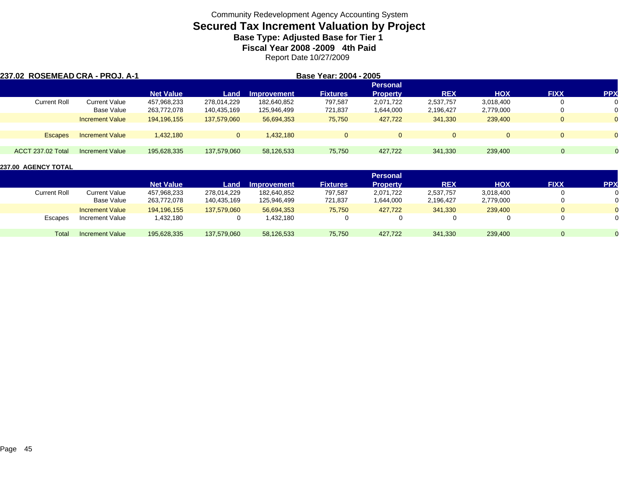# **Secured Tax Increment Valuation by Project**

**Base Type: Adjusted Base for Tier 1** 

**Fiscal Year 2008 -2009 4th Paid**

Report Date 10/27/2009

| 237.02 ROSEMEAD CRA - PROJ. A-1 |                        |                  |                |                    | Base Year: 2004 - 2005 |                 |            |            |             |              |
|---------------------------------|------------------------|------------------|----------------|--------------------|------------------------|-----------------|------------|------------|-------------|--------------|
|                                 |                        |                  |                |                    |                        | <b>Personal</b> |            |            |             |              |
|                                 |                        | <b>Net Value</b> | Land           | <b>Improvement</b> | <b>Fixtures</b>        | <b>Property</b> | <b>REX</b> | <b>HOX</b> | <b>FIXX</b> | <b>PPX</b>   |
| <b>Current Roll</b>             | <b>Current Value</b>   | 457,968,233      | 278.014.229    | 182.640.852        | 797.587                | 2.071.722       | 2,537,757  | 3,018,400  |             | 0            |
|                                 | Base Value             | 263,772,078      | 140,435,169    | 125,946,499        | 721,837                | 1,644,000       | 2,196,427  | 2,779,000  | 0           | 0            |
|                                 | <b>Increment Value</b> | 194,196,155      | 137,579,060    | 56,694,353         | 75,750                 | 427,722         | 341,330    | 239,400    | $\Omega$    | $\mathbf{0}$ |
|                                 |                        |                  |                |                    |                        |                 |            |            |             |              |
| <b>Escapes</b>                  | <b>Increment Value</b> | 1.432.180        | $\overline{0}$ | 1.432.180          | $\Omega$               |                 |            |            | $\Omega$    | $\Omega$     |
|                                 |                        |                  |                |                    |                        |                 |            |            |             |              |
| <b>ACCT 237.02 Total</b>        | Increment Value        | 195,628,335      | 137,579,060    | 58,126,533         | 75,750                 | 427.722         | 341.330    | 239,400    |             |              |

|              |                        |                  |             |             |                 | <b>Personal</b> |            |            |             |            |
|--------------|------------------------|------------------|-------------|-------------|-----------------|-----------------|------------|------------|-------------|------------|
|              |                        | <b>Net Value</b> | Land        | Improvement | <b>Fixtures</b> | <b>Property</b> | <b>REX</b> | <b>HOX</b> | <b>FIXX</b> | <b>PPX</b> |
| Current Roll | <b>Current Value</b>   | 457,968,233      | 278.014.229 | 182,640,852 | 797,587         | 2,071,722       | 2,537,757  | 3,018,400  | 0           |            |
|              | Base Value             | 263,772,078      | 140,435,169 | 125,946,499 | 721,837         | 1,644,000       | 2,196,427  | 2,779,000  |             | 0          |
|              | <b>Increment Value</b> | 194,196,155      | 137.579.060 | 56,694,353  | 75,750          | 427,722         | 341,330    | 239,400    | $\Omega$    | $\Omega$   |
| Escapes      | Increment Value        | .432,180         | $\Omega$    | ,432,180    | 0               | 0               |            |            |             | 0          |
| Total        | Increment Value        | 195,628,335      | 137,579,060 | 58,126,533  | 75,750          | 427,722         | 341,330    | 239,400    | $\Omega$    |            |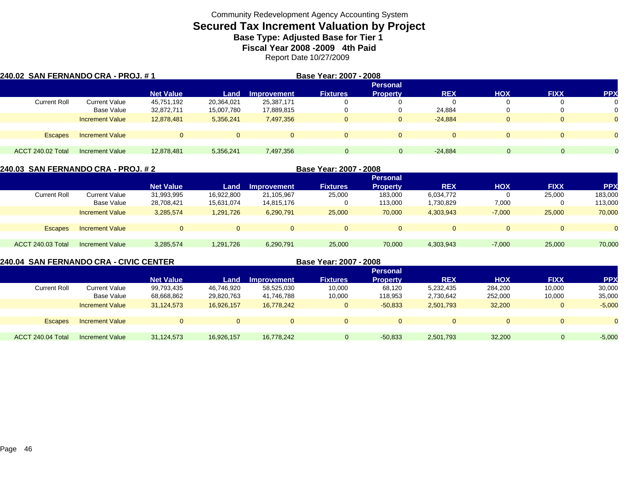# **Secured Tax Increment Valuation by Project**

**Base Type: Adjusted Base for Tier 1** 

**Fiscal Year 2008 -2009 4th Paid**

Report Date 10/27/2009

| 240.02 SAN FERNANDO CRA - PROJ. # 1 |                        |                  |                |                    | Base Year: 2007 - 2008 |                 |            |            |              |                |
|-------------------------------------|------------------------|------------------|----------------|--------------------|------------------------|-----------------|------------|------------|--------------|----------------|
|                                     |                        |                  |                |                    |                        | <b>Personal</b> |            |            |              |                |
|                                     |                        | <b>Net Value</b> | Land           | <b>Improvement</b> | <b>Fixtures</b>        | <b>Property</b> | <b>REX</b> | <b>HOX</b> | <b>FIXX</b>  | <b>PPX</b>     |
| <b>Current Roll</b>                 | Current Value          | 45,751,192       | 20,364,021     | 25,387,171         |                        |                 | 0          |            | O            | 0              |
|                                     | Base Value             | 32,872,711       | 15,007,780     | 17,889,815         |                        |                 | 24,884     |            | O            | 0              |
|                                     | <b>Increment Value</b> | 12,878,481       | 5,356,241      | 7,497,356          | $\mathbf{0}$           | 0               | $-24.884$  | 0          | $\mathbf{0}$ | $\overline{0}$ |
| Escapes                             | <b>Increment Value</b> |                  | $\overline{0}$ | $\Omega$           | $\Omega$               | $\Omega$        | $\Omega$   | $\Omega$   | $\Omega$     | $\overline{0}$ |
|                                     |                        |                  |                |                    |                        |                 |            |            |              |                |
| ACCT 240.02 Total                   | <b>Increment Value</b> | 12,878,481       | 5,356,241      | 7,497,356          | $\Omega$               | $\mathbf{0}$    | $-24.884$  |            | $\Omega$     |                |

| 240.03 SAN FERNANDO CRA - PROJ. # 2 |                        |                  |            |             |                 |                 |            |            |             |            |
|-------------------------------------|------------------------|------------------|------------|-------------|-----------------|-----------------|------------|------------|-------------|------------|
|                                     |                        |                  |            |             |                 | <b>Personal</b> |            |            |             |            |
|                                     |                        | <b>Net Value</b> | Land       | Improvement | <b>Fixtures</b> | <b>Property</b> | <b>REX</b> | <b>HOX</b> | <b>FIXX</b> | <b>PPX</b> |
| <b>Current Roll</b>                 | <b>Current Value</b>   | 31,993,995       | 16,922,800 | 21,105,967  | 25,000          | 183,000         | 6,034,772  |            | 25,000      | 183,000    |
|                                     | Base Value             | 28,708,421       | 15,631,074 | 14,815,176  |                 | 113,000         | 1,730,829  | 7,000      |             | 113,000    |
|                                     | <b>Increment Value</b> | 3,285,574        | 1,291,726  | 6,290,791   | 25,000          | 70,000          | 4,303,943  | $-7,000$   | 25,000      | 70,000     |
|                                     |                        |                  |            |             |                 |                 |            |            |             |            |
| <b>Escapes</b>                      | <b>Increment Value</b> | $\Omega$         |            | $\Omega$    | $\Omega$        | $\Omega$        | $\Omega$   | $\Omega$   |             |            |
|                                     |                        |                  |            |             |                 |                 |            |            |             |            |
| ACCT 240.03 Total                   | Increment Value        | 3,285,574        | 1,291,726  | 6,290,791   | 25,000          | 70,000          | 4,303,943  | $-7,000$   | 25,000      | 70,000     |

**240.04 SAN FERNANDO CRA - CIVIC CENTER**

**Base Year: 2007 - 2008**

|                     |                        |                  |            |                    |                 | <b>Personal</b> |            |            |                |            |
|---------------------|------------------------|------------------|------------|--------------------|-----------------|-----------------|------------|------------|----------------|------------|
|                     |                        | <b>Net Value</b> | Land       | <b>Improvement</b> | <b>Fixtures</b> | <b>Property</b> | <b>REX</b> | <b>XOH</b> | <b>FIXX</b>    | <b>PPX</b> |
| <b>Current Roll</b> | <b>Current Value</b>   | 99,793,435       | 46,746,920 | 58,525,030         | 10,000          | 68,120          | 5,232,435  | 284,200    | 10,000         | 30,000     |
|                     | Base Value             | 68,668,862       | 29,820,763 | 41.746.788         | 10,000          | 118,953         | 2,730,642  | 252,000    | 10,000         | 35,000     |
|                     | <b>Increment Value</b> | 31,124,573       | 16,926,157 | 16,778,242         | $\Omega$        | $-50,833$       | 2,501,793  | 32,200     | $\mathbf{0}$   | $-5,000$   |
|                     |                        |                  |            |                    |                 |                 |            |            |                |            |
| <b>Escapes</b>      | <b>Increment Value</b> |                  | $\Omega$   |                    |                 | $\mathbf{0}$    |            | $\Omega$   | $\overline{0}$ | $\Omega$   |
|                     |                        |                  |            |                    |                 |                 |            |            |                |            |
| ACCT 240.04 Total   | Increment Value        | 31,124,573       | 16.926.157 | 16.778.242         | $\Omega$        | $-50,833$       | 2,501,793  | 32,200     |                | $-5,000$   |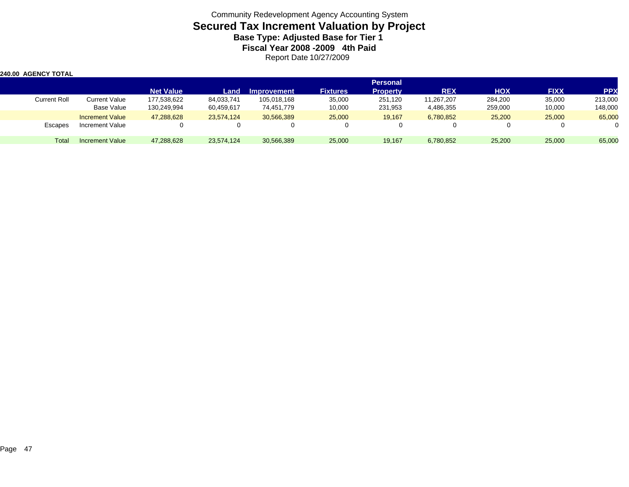Community Redevelopment Agency Accounting System **Secured Tax Increment Valuation by Project Base Type: Adjusted Base for Tier 1 Fiscal Year 2008 -2009 4th Paid** Report Date 10/27/2009

| <b>240.00 AGENCY TOTAL</b> |                        |                  |            |                    |                 |                 |            |            |             |            |
|----------------------------|------------------------|------------------|------------|--------------------|-----------------|-----------------|------------|------------|-------------|------------|
|                            |                        |                  |            |                    |                 | <b>Personal</b> |            |            |             |            |
|                            |                        | <b>Net Value</b> | Land       | <b>Improvement</b> | <b>Fixtures</b> | <b>Property</b> | <b>REX</b> | <b>HOX</b> | <b>FIXX</b> | <b>PPX</b> |
| Current Roll               | Current Value          | 177,538,622      | 84,033,741 | 105.018.168        | 35,000          | 251.120         | 11,267,207 | 284,200    | 35,000      | 213,000    |
|                            | <b>Base Value</b>      | 130,249,994      | 60,459,617 | 74,451,779         | 10,000          | 231,953         | 4,486,355  | 259,000    | 10,000      | 148,000    |
|                            | <b>Increment Value</b> | 47,288,628       | 23,574,124 | 30,566,389         | 25,000          | 19,167          | 6,780,852  | 25,200     | 25,000      | 65,000     |
| Escapes                    | Increment Value        |                  |            |                    |                 |                 |            |            |             |            |
| Total                      | <b>Increment Value</b> | 47,288,628       | 23,574,124 | 30,566,389         | 25,000          | 19,167          | 6,780,852  | 25,200     | 25,000      | 65,000     |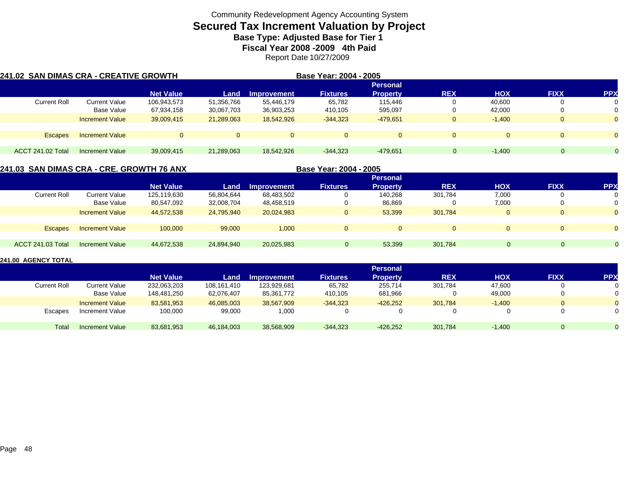# **Secured Tax Increment Valuation by Project**

**Base Type: Adjusted Base for Tier 1** 

**Fiscal Year 2008 -2009 4th Paid**

Report Date 10/27/2009

| 241.02  SAN DIMAS CRA - CREATIVE GROWTH |                        |                  |              |                    | Base Year: 2004 - 2005 |                 |             |            |             |            |
|-----------------------------------------|------------------------|------------------|--------------|--------------------|------------------------|-----------------|-------------|------------|-------------|------------|
|                                         |                        |                  |              |                    |                        | <b>Personal</b> |             |            |             |            |
|                                         |                        | <b>Net Value</b> | Land         | <b>Improvement</b> | <b>Fixtures</b>        | <b>Property</b> | <b>REX</b>  | <b>HOX</b> | <b>FIXX</b> | <b>PPX</b> |
| <b>Current Roll</b>                     | Current Value          | 106,943,573      | 51,356,766   | 55,446,179         | 65,782                 | 115.446         |             | 40.600     |             | 0          |
|                                         | Base Value             | 67,934,158       | 30,067,703   | 36,903,253         | 410,105                | 595,097         |             | 42,000     |             |            |
|                                         | <b>Increment Value</b> | 39,009,415       | 21.289.063   | 18.542.926         | $-344,323$             | $-479.651$      | U           | $-1.400$   | O           | $\Omega$   |
| Escapes                                 | <b>Increment Value</b> |                  | $\mathbf{0}$ | $\Omega$           | $\Omega$               | $\Omega$        | $\Omega$    |            | $\Omega$    | $\Omega$   |
|                                         |                        |                  |              |                    |                        |                 |             |            |             |            |
| ACCT 241.02 Total                       | <b>Increment Value</b> | 39,009,415       | 21,289,063   | 18,542,926         | $-344,323$             | $-479,651$      | $\mathbf 0$ | $-1.400$   | $\Omega$    |            |

### **241.03 SAN DIMAS CRA - CRE. GROWTH 76 ANX**

**Base Year: 2004 - 2005**

|                     |                        |                  |            |             |                 | <b>Personal</b> |             |            |             |                |
|---------------------|------------------------|------------------|------------|-------------|-----------------|-----------------|-------------|------------|-------------|----------------|
|                     |                        | <b>Net Value</b> | Land       | Improvement | <b>Fixtures</b> | <b>Property</b> | <b>REX</b>  | <b>HOX</b> | <b>FIXX</b> | <b>PPX</b>     |
| <b>Current Roll</b> | Current Value          | 125,119,630      | 56,804,644 | 68,483,502  |                 | 140.268         | 301,784     | 7,000      | 0           | 0              |
|                     | Base Value             | 80,547,092       | 32,008,704 | 48,458,519  | υ               | 86,869          | υ           | 7,000      | 0           | 0              |
|                     | <b>Increment Value</b> | 44,572,538       | 24,795,940 | 20,024,983  | 0               | 53,399          | 301,784     | $\Omega$   | $\Omega$    | $\Omega$       |
|                     |                        |                  |            |             |                 |                 |             |            |             |                |
| <b>Escapes</b>      | <b>Increment Value</b> | 100,000          | 99,000     | 1,000       | $\mathbf{0}$    | $\mathbf 0$     | $\mathbf 0$ | $\Omega$   | $\mathbf 0$ | $\overline{0}$ |
|                     |                        |                  |            |             |                 |                 |             |            |             |                |
| ACCT 241.03 Total   | <b>Increment Value</b> | 44,672,538       | 24,894,940 | 20,025,983  | $\Omega$        | 53,399          | 301,784     |            |             |                |

|                     |                        |                  |             |                    |                 | <b>Personal</b> |            |            |                |                |
|---------------------|------------------------|------------------|-------------|--------------------|-----------------|-----------------|------------|------------|----------------|----------------|
|                     |                        | <b>Net Value</b> | Land        | <b>Improvement</b> | <b>Fixtures</b> | <b>Property</b> | <b>REX</b> | <b>HOX</b> | <b>FIXX</b>    | <b>PPX</b>     |
| <b>Current Roll</b> | Current Value          | 232,063,203      | 108,161,410 | 123,929,681        | 65,782          | 255,714         | 301,784    | 47,600     | $\mathbf{0}$   | 0              |
|                     | Base Value             | 148,481,250      | 62,076,407  | 85,361,772         | 410,105         | 681,966         |            | 49,000     | $\Omega$       | 0              |
|                     | <b>Increment Value</b> | 83,581,953       | 46,085,003  | 38,567,909         | $-344.323$      | $-426,252$      | 301,784    | $-1.400$   | $\overline{0}$ | $\overline{0}$ |
| <b>Escapes</b>      | Increment Value        | 100,000          | 99,000      | 1,000              |                 |                 |            |            | 0              | 0              |
| Total               | Increment Value        | 83,681,953       | 46,184,003  | 38,568,909         | $-344.323$      | $-426.252$      | 301,784    | $-1.400$   | $\Omega$       |                |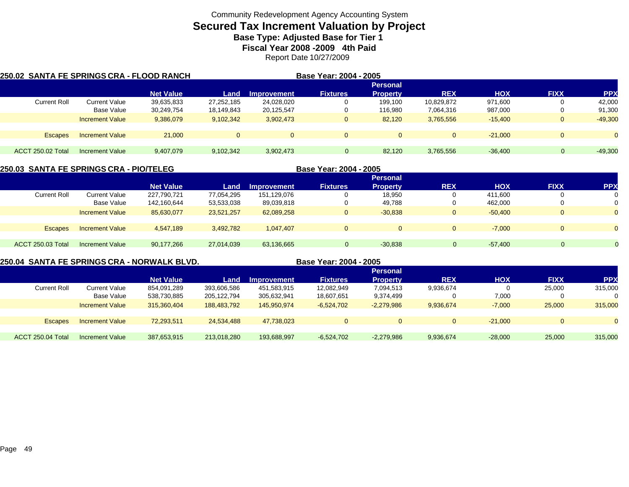# **Secured Tax Increment Valuation by Project**

**Base Type: Adjusted Base for Tier 1** 

**Fiscal Year 2008 -2009 4th Paid**

Report Date 10/27/2009

| 250.02 SANTA FE SPRINGS CRA - FLOOD RANCH |                        |                  | Base Year: 2004 - 2005 |             |                 |                 |             |            |             |                |
|-------------------------------------------|------------------------|------------------|------------------------|-------------|-----------------|-----------------|-------------|------------|-------------|----------------|
|                                           |                        |                  |                        |             |                 | <b>Personal</b> |             |            |             |                |
|                                           |                        | <b>Net Value</b> | Land                   | Improvement | <b>Fixtures</b> | <b>Property</b> | <b>REX</b>  | <b>HOX</b> | <b>FIXX</b> | <b>PPX</b>     |
| <b>Current Roll</b>                       | <b>Current Value</b>   | 39,635,833       | 27,252,185             | 24,028,020  | 0               | 199.100         | 10,829,872  | 971,600    |             | 42,000         |
|                                           | Base Value             | 30,249,754       | 18,149,843             | 20,125,547  | 0               | 116,980         | 7,064,316   | 987,000    |             | 91,300         |
|                                           | <b>Increment Value</b> | 9,386,079        | 9,102,342              | 3,902,473   | 0               | 82,120          | 3,765,556   | $-15.400$  | 0           | $-49,300$      |
|                                           |                        |                  |                        |             |                 |                 |             |            |             |                |
| Escapes                                   | <b>Increment Value</b> | 21,000           | $\mathbf{0}$           | $\Omega$    | $\mathbf{0}$    | $\mathbf{0}$    | $\mathbf 0$ | $-21.000$  | $\Omega$    | $\overline{0}$ |
| ACCT 250.02 Total                         | Increment Value        | 9.407.079        | 9,102,342              | 3,902,473   | $\Omega$        | 82,120          | 3,765,556   | $-36.400$  | $\Omega$    | $-49,300$      |

### **250.03 SANTA FE SPRINGS CRA - PIO/TELEG**

| 250.03  SANTA FE SPRINGS CRA - PIO/TELEG |                        |                  |            |                    | Base Year: 2004 - 2005 |                 |            |            |                |            |
|------------------------------------------|------------------------|------------------|------------|--------------------|------------------------|-----------------|------------|------------|----------------|------------|
|                                          |                        |                  |            |                    |                        |                 |            |            |                |            |
|                                          |                        | <b>Net Value</b> | Land       | <b>Improvement</b> | <b>Fixtures</b>        | <b>Property</b> | <b>REX</b> | <b>HOX</b> | <b>FIXX</b>    | <b>PPX</b> |
| <b>Current Roll</b>                      | Current Value          | 227,790,721      | 77.054.295 | 151.129.076        |                        | 18,950          |            | 411.600    |                | 0          |
|                                          | Base Value             | 142,160,644      | 53,533,038 | 89,039,818         | O                      | 49,788          |            | 462.000    | $\left($       | 0          |
|                                          | <b>Increment Value</b> | 85,630,077       | 23.521.257 | 62,089,258         | $\mathbf{0}$           | $-30,838$       |            | $-50.400$  | $\Omega$       | $\Omega$   |
|                                          |                        |                  |            |                    |                        |                 |            |            |                |            |
| <b>Escapes</b>                           | <b>Increment Value</b> | 4.547.189        | 3,492,782  | 1.047.407          | $\mathbf{0}$           | $\Omega$        |            | $-7.000$   | $\overline{0}$ | $\Omega$   |
|                                          |                        |                  |            |                    |                        |                 |            |            |                |            |
| <b>ACCT 250.03 Total</b>                 | <b>Increment Value</b> | 90,177,266       | 27,014,039 | 63,136,665         | $\Omega$               | $-30,838$       | $\Omega$   | $-57.400$  | $\Omega$       | $\Omega$   |

### **250.04 SANTA FE SPRINGS CRA - NORWALK BLVD. Base Year: 2004 - 2005**

|                     |                        |                  |             |             |                 | <b>Personal</b> |            |            |              |           |
|---------------------|------------------------|------------------|-------------|-------------|-----------------|-----------------|------------|------------|--------------|-----------|
|                     |                        | <b>Net Value</b> | Land        | Improvement | <b>Fixtures</b> | <b>Property</b> | <b>REX</b> | <b>HOX</b> | <b>FIXX</b>  | <b>PP</b> |
| <b>Current Roll</b> | Current Value          | 854,091,289      | 393,606,586 | 451,583,915 | 12,082,949      | 7,094,513       | 9,936,674  |            | 25,000       | 315,000   |
|                     | Base Value             | 538,730,885      | 205,122,794 | 305,632,941 | 18,607,651      | 9,374,499       |            | 7,000      | 0            |           |
|                     | <b>Increment Value</b> | 315.360.404      | 188.483.792 | 145.950.974 | $-6,524,702$    | $-2,279,986$    | 9,936,674  | $-7,000$   | 25,000       | 315,000   |
|                     |                        |                  |             |             |                 |                 |            |            |              |           |
| <b>Escapes</b>      | <b>Increment Value</b> | 72,293,511       | 24.534.488  | 47.738.023  |                 | $\mathbf{0}$    |            | $-21.000$  | $\mathbf{0}$ |           |
|                     |                        |                  |             |             |                 |                 |            |            |              |           |
| ACCT 250.04 Total   | <b>Increment Value</b> | 387,653,915      | 213,018,280 | 193,688,997 | $-6,524,702$    | $-2,279,986$    | 9,936,674  | $-28,000$  | 25,000       | 315,000   |
|                     |                        |                  |             |             |                 |                 |            |            |              |           |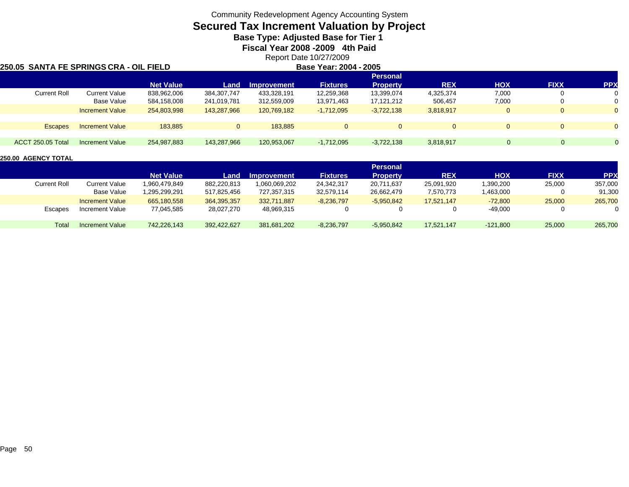### **Secured Tax Increment Valuation by Project**

**Base Type: Adjusted Base for Tier 1** 

**Fiscal Year 2008 -2009 4th Paid**

Report Date 10/27/2009

### **250.05 SANTA FE SPRINGS CRA - OIL FIELD**

| D |  | <b>Base Year: 2004 - 2005</b> |
|---|--|-------------------------------|
|   |  |                               |

|                          |                        |                  |              |                    |                 | <b>Personal</b> |            |            |             |            |
|--------------------------|------------------------|------------------|--------------|--------------------|-----------------|-----------------|------------|------------|-------------|------------|
|                          |                        | <b>Net Value</b> | Land         | <b>Improvement</b> | <b>Fixtures</b> | <b>Property</b> | <b>REX</b> | <b>HOX</b> | <b>FIXX</b> | <b>PPX</b> |
| <b>Current Roll</b>      | <b>Current Value</b>   | 838,962,006      | 384.307.747  | 433,328,191        | 12,259,368      | 13.399.074      | 4,325,374  | 7,000      |             | $\Omega$   |
|                          | Base Value             | 584,158,008      | 241,019,781  | 312,559,009        | 13,971,463      | 17.121.212      | 506,457    | 7,000      |             |            |
|                          | <b>Increment Value</b> | 254,803,998      | 143,287,966  | 120,769,182        | $-1,712,095$    | $-3,722,138$    | 3,818,917  |            |             |            |
|                          |                        |                  |              |                    |                 |                 |            |            |             |            |
| <b>Escapes</b>           | <b>Increment Value</b> | 183.885          | $\mathbf{0}$ | 183.885            |                 |                 |            |            |             |            |
|                          |                        |                  |              |                    |                 |                 |            |            |             |            |
| <b>ACCT 250.05 Total</b> | <b>Increment Value</b> | 254,987,883      | 143,287,966  | 120,953,067        | $-1,712,095$    | $-3,722,138$    | 3,818,917  |            | 0           |            |
|                          |                        |                  |              |                    |                 |                 |            |            |             |            |

|              |                        |                  |             |                    |                 | Personal        |            |            |             |            |
|--------------|------------------------|------------------|-------------|--------------------|-----------------|-----------------|------------|------------|-------------|------------|
|              |                        | <b>Net Value</b> | Land        | <b>Improvement</b> | <b>Fixtures</b> | <b>Property</b> | <b>REX</b> | <b>HOX</b> | <b>FIXX</b> | <b>PPX</b> |
| Current Roll | Current Value          | 1.960.479.849    | 882,220,813 | 1,060,069,202      | 24,342,317      | 20,711,637      | 25,091,920 | 1,390,200  | 25,000      | 357,000    |
|              | Base Value             | 1.295.299.291    | 517.825.456 | 727,357,315        | 32.579.114      | 26,662,479      | 7,570,773  | 1,463,000  |             | 91,300     |
|              | <b>Increment Value</b> | 665,180,558      | 364,395,357 | 332,711,887        | $-8,236,797$    | $-5,950,842$    | 17.521.147 | $-72,800$  | 25,000      | 265,700    |
| Escapes      | Increment Value        | 77,045,585       | 28,027,270  | 48,969,315         |                 |                 |            | -49,000    | 0           | $\Omega$   |
|              |                        |                  |             |                    |                 |                 |            |            |             |            |
| Total        | Increment Value        | 742,226,143      | 392.422.627 | 381,681,202        | $-8,236,797$    | $-5,950,842$    | 17,521,147 | $-121,800$ | 25,000      | 265,700    |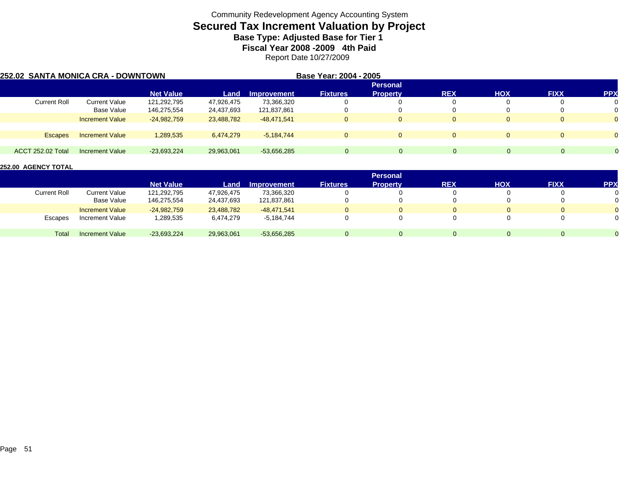# **Secured Tax Increment Valuation by Project**

**Base Type: Adjusted Base for Tier 1** 

**Fiscal Year 2008 -2009 4th Paid**

Report Date 10/27/2009

| 252.02 SANTA MONICA CRA - DOWNTOWN |                        |                  |            |               | Base Year: 2004 - 2005 |                 |            |            |             |            |
|------------------------------------|------------------------|------------------|------------|---------------|------------------------|-----------------|------------|------------|-------------|------------|
|                                    |                        |                  |            |               |                        |                 |            |            |             |            |
|                                    |                        | <b>Net Value</b> | Land       | Improvement   | <b>Fixtures</b>        | <b>Property</b> | <b>REX</b> | <b>HOX</b> | <b>FIXX</b> | <b>PPX</b> |
| <b>Current Roll</b>                | <b>Current Value</b>   | 121,292,795      | 47,926,475 | 73,366,320    |                        |                 | 0          |            |             | 0          |
|                                    | Base Value             | 146,275,554      | 24,437,693 | 121,837,861   |                        |                 | 0          |            |             |            |
|                                    | <b>Increment Value</b> | $-24,982,759$    | 23,488,782 | $-48.471.541$ | $\mathbf{0}$           |                 | $\Omega$   |            |             |            |
|                                    |                        |                  |            |               |                        |                 |            |            |             |            |
| <b>Escapes</b>                     | <b>Increment Value</b> | 1,289,535        | 6,474,279  | $-5.184.744$  | $\Omega$               |                 | $\Omega$   | $\Omega$   |             |            |
|                                    |                        |                  |            |               |                        |                 |            |            |             |            |
| ACCT 252.02 Total                  | <b>Increment Value</b> | $-23,693,224$    | 29,963,061 | $-53,656,285$ | $\Omega$               | 0               | $\Omega$   | O.         | 0           |            |

|              |                        |                  |            |                    |                 | <b>Personal</b> |            |            |             |                |
|--------------|------------------------|------------------|------------|--------------------|-----------------|-----------------|------------|------------|-------------|----------------|
|              |                        | <b>Net Value</b> | Land       | <b>Improvement</b> | <b>Fixtures</b> | <b>Property</b> | <b>REX</b> | <b>HOX</b> | <b>FIXX</b> | <b>PPX</b>     |
| Current Roll | Current Value          | 121,292,795      | 47,926,475 | 73,366,320         |                 |                 |            |            | $\Omega$    | 0              |
|              | <b>Base Value</b>      | 146,275,554      | 24,437,693 | 121,837,861        |                 |                 |            |            |             | 0              |
|              | <b>Increment Value</b> | $-24,982,759$    | 23.488.782 | $-48.471.541$      |                 | $\mathbf{0}$    |            | 0          | 0           | $\overline{0}$ |
| Escapes      | Increment Value        | 1,289,535        | 6,474,279  | $-5,184,744$       |                 |                 |            |            | 0           | 0              |
| Total        | <b>Increment Value</b> | $-23,693,224$    | 29,963,061 | $-53,656,285$      |                 | 0               |            | $\Omega$   | $\Omega$    | $\Omega$       |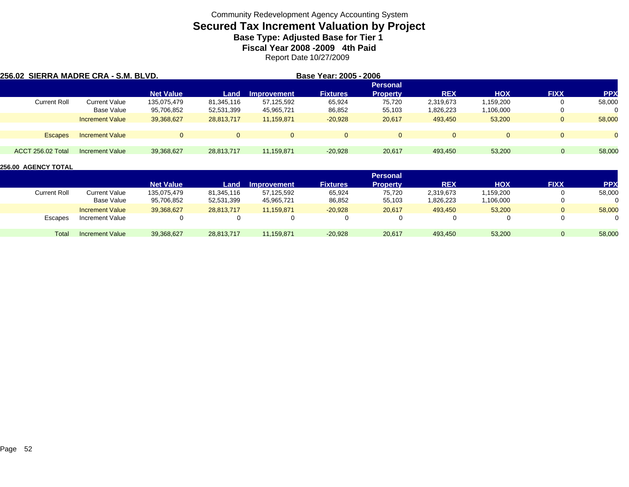# **Secured Tax Increment Valuation by Project**

**Base Type: Adjusted Base for Tier 1** 

**Fiscal Year 2008 -2009 4th Paid**

Report Date 10/27/2009

| 256.02 SIERRA MADRE CRA - S.M. BLVD. |                        |                  |              |                    | Base Year: 2005 - 2006 |                 |            |            |              |            |
|--------------------------------------|------------------------|------------------|--------------|--------------------|------------------------|-----------------|------------|------------|--------------|------------|
|                                      |                        |                  |              |                    |                        |                 |            |            |              |            |
|                                      |                        | <b>Net Value</b> | Land         | <b>Improvement</b> | <b>Fixtures</b>        | <b>Property</b> | <b>REX</b> | <b>HOX</b> | <b>FIXX</b>  | <b>PPX</b> |
| Current Roll                         | Current Value          | 135,075,479      | 81,345,116   | 57,125,592         | 65,924                 | 75,720          | 2,319,673  | 1,159,200  | υ            | 58,000     |
|                                      | Base Value             | 95,706,852       | 52,531,399   | 45,965,721         | 86,852                 | 55,103          | 1,826,223  | 1,106,000  | υ            |            |
|                                      | <b>Increment Value</b> | 39,368,627       | 28,813,717   | 11,159,871         | $-20,928$              | 20,617          | 493,450    | 53,200     | $\mathbf{0}$ | 58,000     |
|                                      |                        |                  |              |                    |                        |                 |            |            |              |            |
| <b>Escapes</b>                       | <b>Increment Value</b> | $\Omega$         | $\mathbf{0}$ | $\Omega$           | $\Omega$               | $\Omega$        | $\Omega$   | $\Omega$   | $\Omega$     | $\Omega$   |
|                                      |                        |                  |              |                    |                        |                 |            |            |              |            |
| ACCT 256.02 Total                    | Increment Value        | 39,368,627       | 28.813.717   | 11.159.871         | $-20,928$              | 20,617          | 493,450    | 53,200     | $\Omega$     | 58,000     |

|              |                        |                  |            |                    |                 | <b>Personal</b> |            |            |                |            |
|--------------|------------------------|------------------|------------|--------------------|-----------------|-----------------|------------|------------|----------------|------------|
|              |                        | <b>Net Value</b> | Land       | <b>Improvement</b> | <b>Fixtures</b> | <b>Property</b> | <b>REX</b> | <b>HOX</b> | <b>FIXX</b>    | <b>PPX</b> |
| Current Roll | Current Value          | 135,075,479      | 81,345,116 | 57,125,592         | 65,924          | 75.720          | 2,319,673  | 1,159,200  | 0              | 58,000     |
|              | <b>Base Value</b>      | 95,706,852       | 52,531,399 | 45,965,721         | 86,852          | 55,103          | 1,826,223  | 106,000.   | $\mathbf{0}$   | 0          |
|              | <b>Increment Value</b> | 39,368,627       | 28,813,717 | 11.159.871         | $-20,928$       | 20,617          | 493.450    | 53,200     | $\overline{0}$ | 58,000     |
| Escapes      | Increment Value        |                  | $\Omega$   |                    |                 |                 |            |            | 0              | 0          |
| Total        | <b>Increment Value</b> | 39,368,627       | 28,813,717 | 11,159,871         | $-20,928$       | 20,617          | 493,450    | 53,200     | 0              | 58,000     |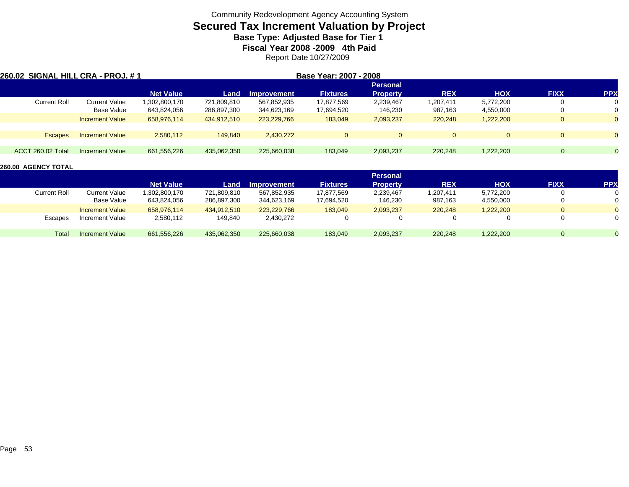# **Secured Tax Increment Valuation by Project**

**Base Type: Adjusted Base for Tier 1** 

**Fiscal Year 2008 -2009 4th Paid**

Report Date 10/27/2009

| 260.02 SIGNAL HILL CRA - PROJ. # 1 |                        |                  |                 | Base Year: 2007 - 2008 |                 |                 |            |            |             |              |
|------------------------------------|------------------------|------------------|-----------------|------------------------|-----------------|-----------------|------------|------------|-------------|--------------|
|                                    |                        |                  | <b>Personal</b> |                        |                 |                 |            |            |             |              |
|                                    |                        | <b>Net Value</b> | Land            | <b>Improvement</b>     | <b>Fixtures</b> | <b>Property</b> | <b>REX</b> | <b>HOX</b> | <b>FIXX</b> | <b>PPX</b>   |
| <b>Current Roll</b>                | <b>Current Value</b>   | ,302,800,170     | 721,809,810     | 567,852,935            | 17,877,569      | 2,239,467       | 1,207,411  | 5,772,200  |             | $\mathbf{0}$ |
|                                    | Base Value             | 643,824,056      | 286,897,300     | 344,623,169            | 17,694,520      | 146,230         | 987,163    | 4,550,000  |             | 0            |
|                                    | <b>Increment Value</b> | 658,976,114      | 434.912.510     | 223.229.766            | 183,049         | 2,093,237       | 220,248    | 1,222,200  | $\Omega$    | $\mathbf{0}$ |
|                                    |                        |                  |                 |                        |                 |                 |            |            |             |              |
| Escapes                            | <b>Increment Value</b> | 2,580,112        | 149,840         | 2,430,272              | $\Omega$        |                 | $\Omega$   | $\Omega$   | $\Omega$    | $\mathbf{0}$ |
|                                    |                        |                  |                 |                        |                 |                 |            |            |             |              |
| ACCT 260.02 Total                  | Increment Value        | 661,556,226      | 435,062,350     | 225,660,038            | 183,049         | 2,093,237       | 220,248    | 1,222,200  |             |              |

|                     |                        |                  |             |                    |                 | <b>Personal</b> |            |            |             |            |
|---------------------|------------------------|------------------|-------------|--------------------|-----------------|-----------------|------------|------------|-------------|------------|
|                     |                        | <b>Net Value</b> | Land        | <b>Improvement</b> | <b>Fixtures</b> | <b>Property</b> | <b>REX</b> | <b>HOX</b> | <b>FIXX</b> | <b>PPX</b> |
| <b>Current Roll</b> | Current Value          | ,302,800,170     | 721,809,810 | 567,852,935        | 17.877.569      | 2,239,467       | 1,207,411  | 5,772,200  | 0           |            |
|                     | Base Value             | 643,824,056      | 286,897,300 | 344,623,169        | 17,694,520      | 146,230         | 987,163    | 4,550,000  |             | 0          |
|                     | <b>Increment Value</b> | 658.976.114      | 434.912.510 | 223.229.766        | 183,049         | 2,093,237       | 220,248    | 1,222,200  | $\Omega$    | $\Omega$   |
| Escapes             | Increment Value        | 2,580,112        | 149,840     | 2,430,272          | $\Omega$        | 0               |            |            |             | 0          |
| Total               | <b>Increment Value</b> | 661,556,226      | 435,062,350 | 225,660,038        | 183,049         | 2,093,237       | 220,248    | 1,222,200  | $\Omega$    |            |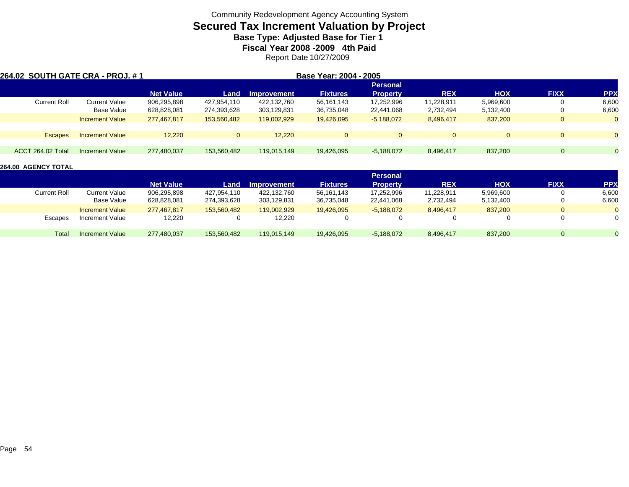# **Secured Tax Increment Valuation by Project**

**Base Type: Adjusted Base for Tier 1** 

**Fiscal Year 2008 -2009 4th Paid**

Report Date 10/27/2009

| <b>264.02 SOUTH GATE CRA - PROJ. # 1</b> |                        |                  |              | Base Year: 2004 - 2005 |                 |                 |            |            |             |              |
|------------------------------------------|------------------------|------------------|--------------|------------------------|-----------------|-----------------|------------|------------|-------------|--------------|
|                                          |                        |                  |              |                        |                 | <b>Personal</b> |            |            |             |              |
|                                          |                        | <b>Net Value</b> | Land         | <b>Improvement</b>     | <b>Fixtures</b> | <b>Property</b> | <b>REX</b> | <b>HOX</b> | <b>FIXX</b> | <b>PPX</b>   |
| Current Roll                             | <b>Current Value</b>   | 906,295,898      | 427,954,110  | 422.132.760            | 56,161,143      | 17,252,996      | 11.228.911 | 5,969,600  |             | 6,600        |
|                                          | Base Value             | 628,828,081      | 274,393,628  | 303,129,831            | 36,735,048      | 22,441,068      | 2,732,494  | 5,132,400  |             | 6,600        |
|                                          | <b>Increment Value</b> | 277.467.817      | 153.560.482  | 119.002.929            | 19,426,095      | $-5,188,072$    | 8,496,417  | 837,200    | $\Omega$    | $\mathbf{0}$ |
|                                          |                        |                  |              |                        |                 |                 |            |            |             |              |
| <b>Escapes</b>                           | <b>Increment Value</b> | 12.220           | $\mathbf{0}$ | 12.220                 | $\Omega$        | $\Omega$        |            |            | $\Omega$    |              |
|                                          |                        |                  |              |                        |                 |                 |            |            |             |              |
| ACCT 264.02 Total                        | Increment Value        | 277,480,037      | 153,560,482  | 119.015.149            | 19,426,095      | $-5,188,072$    | 8,496,417  | 837,200    | $\Omega$    |              |

|                     |                        |                  |             |             |                 | <b>Personal</b> |            |            |              |                |
|---------------------|------------------------|------------------|-------------|-------------|-----------------|-----------------|------------|------------|--------------|----------------|
|                     |                        | <b>Net Value</b> | Land        | Improvement | <b>Fixtures</b> | <b>Property</b> | <b>REX</b> | <b>HOX</b> | <b>FIXX</b>  | <b>PPX</b>     |
| <b>Current Roll</b> | Current Value          | 906,295,898      | 427,954,110 | 422,132,760 | 56,161,143      | 17,252,996      | 11,228,911 | 5,969,600  | 0            | 6,600          |
|                     | Base Value             | 628,828,081      | 274,393,628 | 303,129,831 | 36,735,048      | 22,441,068      | 2,732,494  | 5,132,400  |              | 6,600          |
|                     | <b>Increment Value</b> | 277,467,817      | 153,560,482 | 119,002,929 | 19,426,095      | $-5,188,072$    | 8,496,417  | 837,200    | $\mathbf{0}$ | $\Omega$       |
| Escapes             | Increment Value        | 12,220           | 0           | 12,220      |                 |                 |            |            |              | 0              |
| Total               | <b>Increment Value</b> | 277,480,037      | 153,560,482 | 119,015,149 | 19,426,095      | $-5,188,072$    | 8,496,417  | 837.200    | $\Omega$     | $\overline{0}$ |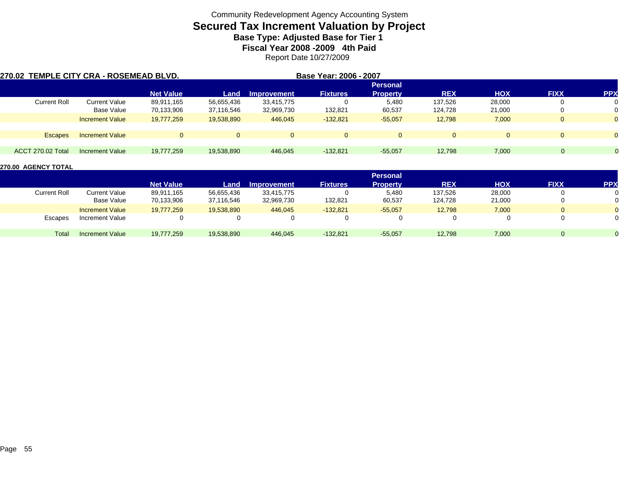# **Secured Tax Increment Valuation by Project**

**Base Type: Adjusted Base for Tier 1** 

**Fiscal Year 2008 -2009 4th Paid**

Report Date 10/27/2009

| 270.02  TEMPLE CITY CRA - ROSEMEAD BLVD. |                        |                  |              |             | Base Year: 2006 - 2007 |                 |            |            |             |              |
|------------------------------------------|------------------------|------------------|--------------|-------------|------------------------|-----------------|------------|------------|-------------|--------------|
|                                          |                        |                  |              |             |                        | <b>Personal</b> |            |            |             |              |
|                                          |                        | <b>Net Value</b> | Land         | Improvement | <b>Fixtures</b>        | <b>Property</b> | <b>REX</b> | <b>HOX</b> | <b>FIXX</b> | <b>PPX</b>   |
| <b>Current Roll</b>                      | Current Value          | 89,911,165       | 56,655,436   | 33,415,775  |                        | 5,480           | 137,526    | 28,000     |             |              |
|                                          | Base Value             | 70,133,906       | 37,116,546   | 32,969,730  | 132,821                | 60,537          | 124,728    | 21,000     |             |              |
|                                          | <b>Increment Value</b> | 19,777,259       | 19,538,890   | 446.045     | $-132,821$             | $-55.057$       | 12,798     | 7,000      | $\Omega$    | $\mathbf{0}$ |
|                                          |                        |                  |              |             |                        |                 |            |            |             |              |
| <b>Escapes</b>                           | <b>Increment Value</b> |                  | $\mathbf{0}$ | $\Omega$    |                        |                 | $\Omega$   |            | $\Omega$    | $\Omega$     |
|                                          |                        |                  |              |             |                        |                 |            |            |             |              |
| <b>ACCT 270.02 Total</b>                 | Increment Value        | 19,777,259       | 19.538.890   | 446,045     | $-132,821$             | $-55.057$       | 12,798     | 7,000      |             |              |

|              |                        |                  |            |                    |                 | <b>Personal</b> |            |            |             |                |
|--------------|------------------------|------------------|------------|--------------------|-----------------|-----------------|------------|------------|-------------|----------------|
|              |                        | <b>Net Value</b> | Land       | <b>Improvement</b> | <b>Fixtures</b> | <b>Property</b> | <b>REX</b> | <b>HOX</b> | <b>FIXX</b> | <b>PPX</b>     |
| Current Roll | <b>Current Value</b>   | 89,911,165       | 56,655,436 | 33,415,775         |                 | 5,480           | 137,526    | 28,000     |             | 0              |
|              | Base Value             | 70,133,906       | 37,116,546 | 32,969,730         | 132,821         | 60,537          | 124,728    | 21,000     |             | 0              |
|              | <b>Increment Value</b> | 19,777,259       | 19,538,890 | 446,045            | $-132,821$      | $-55,057$       | 12,798     | 7,000      |             | $\overline{0}$ |
| Escapes      | Increment Value        |                  |            |                    |                 |                 |            |            |             | ∩              |
| Total        | <b>Increment Value</b> | 19,777,259       | 19,538,890 | 446,045            | $-132,821$      | $-55,057$       | 12,798     | 7,000      |             |                |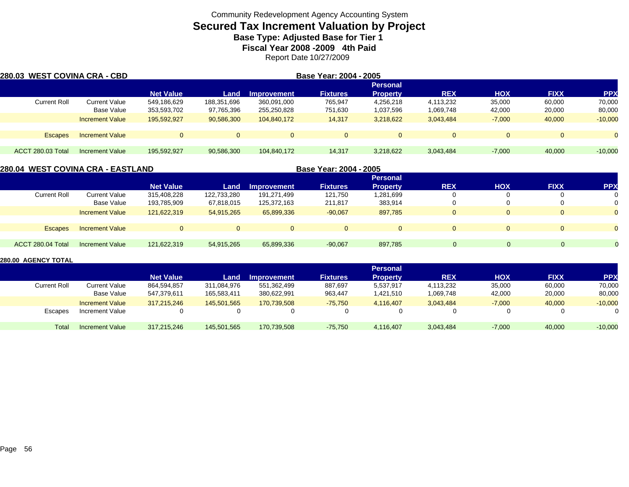# **Secured Tax Increment Valuation by Project**

**Base Type: Adjusted Base for Tier 1** 

**Fiscal Year 2008 -2009 4th Paid**

Report Date 10/27/2009

| 280.03 WEST COVINA CRA - CBD |                        | Base Year: 2004 - 2005 |              |                    |                 |                 |            |            |             |            |  |
|------------------------------|------------------------|------------------------|--------------|--------------------|-----------------|-----------------|------------|------------|-------------|------------|--|
|                              |                        | <b>Personal</b>        |              |                    |                 |                 |            |            |             |            |  |
|                              |                        | <b>Net Value</b>       | Land         | <b>Improvement</b> | <b>Fixtures</b> | <b>Property</b> | <b>REX</b> | <b>HOX</b> | <b>FIXX</b> | <b>PPX</b> |  |
| <b>Current Roll</b>          | Current Value          | 549,186,629            | 188,351,696  | 360,091,000        | 765,947         | 4,256,218       | 4,113,232  | 35,000     | 60,000      | 70,000     |  |
|                              | Base Value             | 353,593,702            | 97,765,396   | 255,250,828        | 751,630         | 1,037,596       | 1,069,748  | 42,000     | 20,000      | 80,000     |  |
|                              | <b>Increment Value</b> | 195,592,927            | 90,586,300   | 104,840,172        | 14,317          | 3,218,622       | 3,043,484  | $-7,000$   | 40,000      | $-10,000$  |  |
| <b>Escapes</b>               | <b>Increment Value</b> | $\Omega$               | $\mathbf{0}$ | 0                  | $\Omega$        | $\Omega$        | $\Omega$   | $\Omega$   | $\Omega$    | $\Omega$   |  |
| <b>ACCT 280.03 Total</b>     | Increment Value        | 195,592,927            | 90,586,300   | 104,840,172        | 14,317          | 3,218,622       | 3,043,484  | $-7,000$   | 40,000      | $-10,000$  |  |

|                     | 280.04  WEST COVINA CRA - EASTLAND |                  |             |             | Base Year: 2004 - 2005 |                 |            |            |                |            |
|---------------------|------------------------------------|------------------|-------------|-------------|------------------------|-----------------|------------|------------|----------------|------------|
|                     |                                    |                  |             |             |                        |                 |            |            |                |            |
|                     |                                    | <b>Net Value</b> | Land        | Improvement | <b>Fixtures</b>        | <b>Property</b> | <b>REX</b> | <b>HOX</b> | <b>FIXX</b>    | <b>PPX</b> |
| <b>Current Roll</b> | Current Value                      | 315.408.228      | 122,733,280 | 191,271,499 | 121,750                | 1,281,699       |            |            | 0              | 0          |
|                     | Base Value                         | 193,785,909      | 67,818,015  | 125,372,163 | 211,817                | 383.914         |            |            | $^{\rm o}$     | 0          |
|                     | <b>Increment Value</b>             | 121.622.319      | 54.915.265  | 65,899,336  | $-90,067$              | 897.785         |            | $\Omega$   | $\Omega$       | $\Omega$   |
|                     |                                    |                  |             |             |                        |                 |            |            |                |            |
| <b>Escapes</b>      | <b>Increment Value</b>             |                  |             |             | $\overline{0}$         | $\overline{0}$  |            | $\Omega$   | $\overline{0}$ | $\Omega$   |
|                     |                                    |                  |             |             |                        |                 |            |            |                |            |
| ACCT 280.04 Total   | Increment Value                    | 121,622,319      | 54,915,265  | 65,899,336  | $-90,067$              | 897,785         | 0          | $\Omega$   |                |            |
|                     |                                    |                  |             |             |                        |                 |            |            |                |            |

|              |                        |                  |             |                    |                 | <b>Personal</b> |            |            |             |            |
|--------------|------------------------|------------------|-------------|--------------------|-----------------|-----------------|------------|------------|-------------|------------|
|              |                        | <b>Net Value</b> | Land        | <b>Improvement</b> | <b>Fixtures</b> | <b>Property</b> | <b>REX</b> | <b>HOX</b> | <b>FIXX</b> | <b>PPX</b> |
| Current Roll | Current Value          | 864,594,857      | 311,084,976 | 551,362,499        | 887,697         | 5,537,917       | 4,113,232  | 35,000     | 60,000      | 70,000     |
|              | Base Value             | 547.379.611      | 165,583,411 | 380.622.991        | 963,447         | 1,421,510       | 1,069,748  | 42,000     | 20,000      | 80,000     |
|              | <b>Increment Value</b> | 317.215.246      | 145,501,565 | 170,739,508        | $-75,750$       | 4.116.407       | 3,043,484  | $-7,000$   | 40,000      | $-10,000$  |
| Escapes      | <b>Increment Value</b> |                  |             |                    |                 |                 |            |            | 0           |            |
| Total        | <b>Increment Value</b> | 317,215,246      | 145,501,565 | 170,739,508        | $-75,750$       | 4,116,407       | 3,043,484  | $-7,000$   | 40,000      | $-10,000$  |